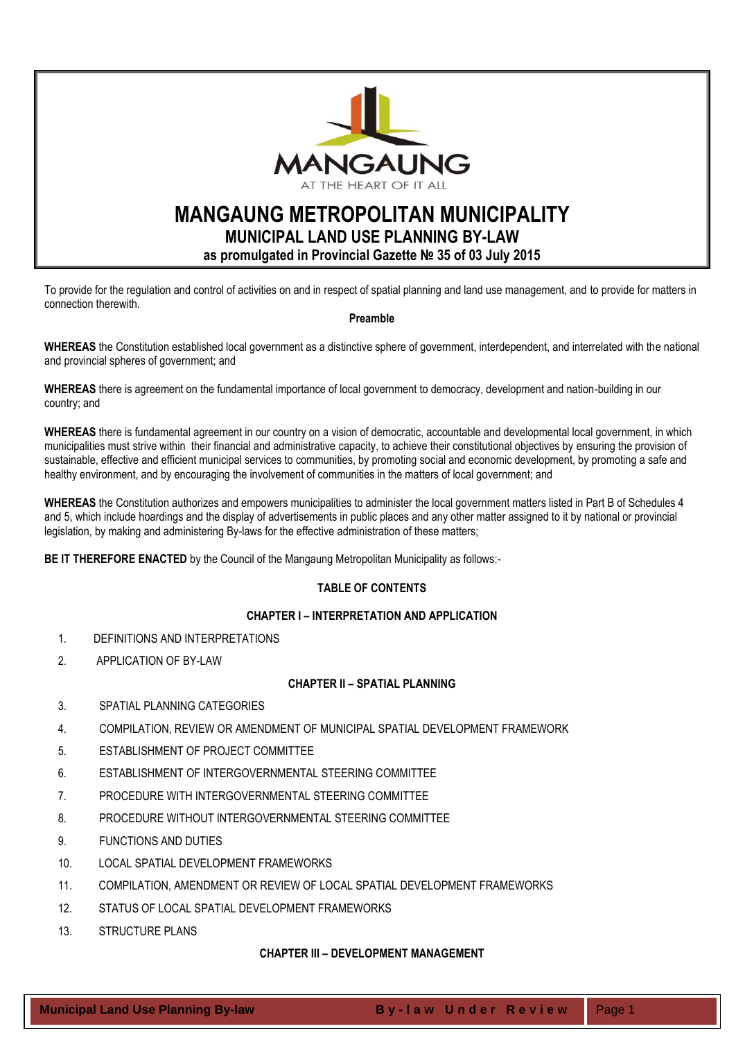

# **MANGAUNG METROPOLITAN MUNICIPALITY MUNICIPAL LAND USE PLANNING BY-LAW**

**as promulgated in Provincial Gazette № 35 of 03 July 2015**

To provide for the regulation and control of activities on and in respect of spatial planning and land use management, and to provide for matters in connection therewith.

## **Preamble**

**WHEREAS** the Constitution established local government as a distinctive sphere of government, interdependent, and interrelated with the national and provincial spheres of government; and

**WHEREAS** there is agreement on the fundamental importance of local government to democracy, development and nation-building in our country; and

**WHEREAS** there is fundamental agreement in our country on a vision of democratic, accountable and developmental local government, in which municipalities must strive within their financial and administrative capacity, to achieve their constitutional objectives by ensuring the provision of sustainable, effective and efficient municipal services to communities, by promoting social and economic development, by promoting a safe and healthy environment, and by encouraging the involvement of communities in the matters of local government; and

**WHEREAS** the Constitution authorizes and empowers municipalities to administer the local government matters listed in Part B of Schedules 4 and 5, which include hoardings and the display of advertisements in public places and any other matter assigned to it by national or provincial legislation, by making and administering By-laws for the effective administration of these matters;

**BE IT THEREFORE ENACTED** by the Council of the Mangaung Metropolitan Municipality as follows:-

# **TABLE OF CONTENTS**

## **CHAPTER I – [INTERPRETATION AND APPLICATION](#page-3-0)**

- [1. DEFINITIONS AND INTERPRETATIONS](#page-3-1)
- [2. APPLICATION OF BY-LAW](#page-4-0)

## **CHAPTER II – [SPATIAL PLANNING](#page-4-1)**

- 3. SPATIAL PLANNING CATEGORIES
- [4. COMPILATION, REVIEW OR AMENDMENT OF MUNICIPAL SPATIAL DEVELOPMENT FRAMEWORK](#page-5-0)
- [5. ESTABLISHMENT OF PROJECT COMMITTEE](#page-5-1)
- [6. ESTABLISHMENT OF INTERGOVERNMENTAL STEERING COMMITTEE](#page-6-0)
- [7. PROCEDURE WITH INTERGOVERNMENTAL STEERING COMMITTEE](#page-6-1)
- [8. PROCEDURE WITHOUT INTERGOVERNMENTAL STEERING COMMITTEE](#page-6-2)
- [9. FUNCTIONS AND DUTIES](#page-7-0)
- 10. [LOCAL SPATIAL DEVELOPMENT FRAMEWORKS](#page-7-1)
- 11. [COMPILATION, AMENDMENT OR REVIEW OF LOCAL SPATIAL DEVELOPMENT FRAMEWORKS](#page-8-0)
- 12. [STATUS OF LOCAL SPATIAL DEVELOPMENT FRAMEWORKS](#page-8-1)
- 13. [STRUCTURE PLANS](#page-8-2)

## **CHAPTER III – [DEVELOPMENT MANAGEMENT](#page-8-3)**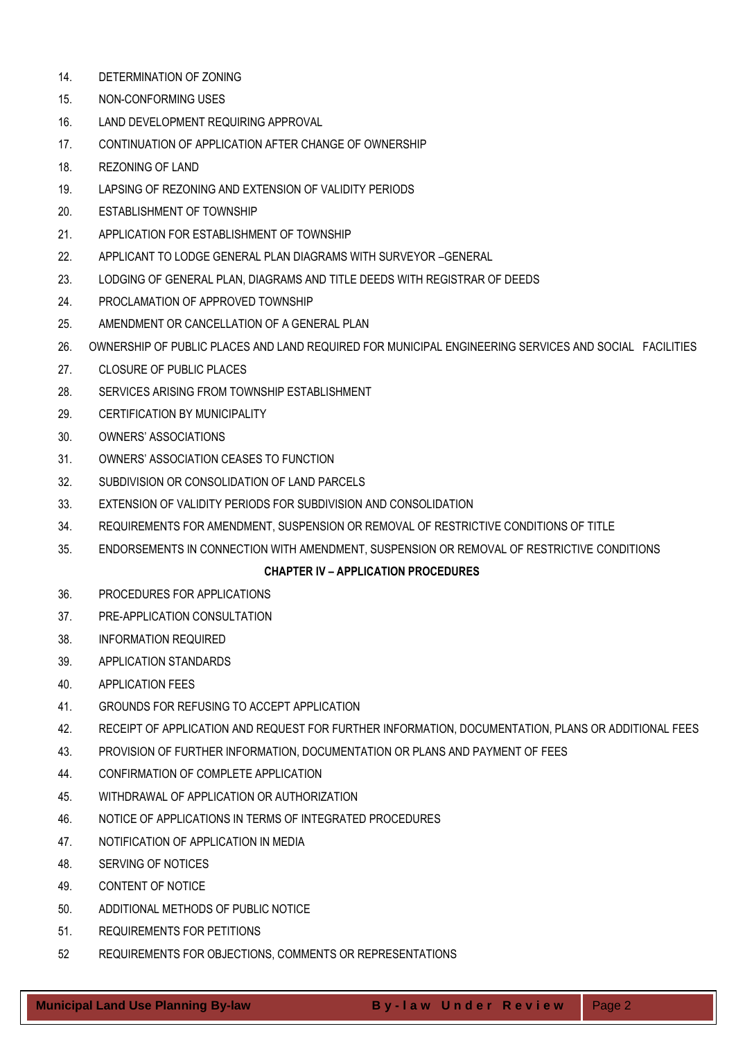- 14. [DETERMINATION OF ZONING](#page-8-4)
- 15. [NON-CONFORMING USES](#page-9-0)
- 16. [LAND DEVELOPMENT REQUIRING APPROVAL](#page-9-1)
- 17. [CONTINUATION OF APPLICATION AFTER CHANGE OF OWNERSHIP](#page-10-0)
- 18. [REZONING OF LAND](#page-10-1)
- 19. [LAPSING OF REZONING AND EXTENSION OF VALIDITY PERIODS](#page-11-0)
- 20. [ESTABLISHMENT OF TOWNSHIP](#page-11-1)
- 21. [APPLICATION FOR ESTABLISHMENT OF TOWNSHIP](#page-11-2)
- 22. [APPLICANT TO LODGE GENERAL PLAN DIAGRAMS WITH SURVEYOR](#page-11-3) –GENERAL
- 23. [LODGING OF GENERAL PLAN, DIAGRAMS AND TITLE DEEDS WITH REGISTRAR OF DEEDS](#page-11-4)
- 24. [PROCLAMATION OF APPROVED TOWNSHIP](#page-12-0)
- 25. [AMENDMENT OR CANCELLATION OF A GENERAL PLAN](#page-12-1)
- 26. [OWNERSHIP OF PUBLIC PLACES AND LAND REQUIRED FOR MUNICIPAL ENGINEERING SERVICES AND SOCIAL FACILITIES](#page-12-2)
- 27. [CLOSURE OF PUBLIC PLACES](#page-12-3)
- 28. [SERVICES ARISING FROM TOWNSHIP ESTABLISHMENT](#page-13-0)
- 29. [CERTIFICATION BY MUNICIPALITY](#page-13-1)
- 30. OWNERS' [ASSOCIATIONS](#page-14-0)
- 31. [OWNERS' ASSOCIATION CEASES TO FUNCTION](#page-14-1)
- 32. [SUBDIVISION OR CONSOLIDATION OF LAND PARCELS](#page-15-0)
- 33. [EXTENSION OF VALIDITY PERIODS FOR SUBDIVISION AND CONSOLIDATION](#page-15-1)
- 34. [REQUIREMENTS FOR AMENDMENT, SUSPENSION OR REMOVAL OF RESTRICTIVE CONDITIONS OF TITLE](#page-15-2)
- 35. [ENDORSEMENTS IN CONNECTION WITH AMENDMENT, SUSPENSION OR REMOVAL OF RESTRICTIVE](#page-16-0) CONDITIONS

## **CHAPTER IV – [APPLICATION PROCEDURES](#page-16-1)**

- 36. [PROCEDURES FOR APPLICATIONS](#page-16-2)
- 37. [PRE-APPLICATION CONSULTATION](#page-16-3)
- 38. [INFORMATION REQUIRED](#page-17-0)
- 39. [APPLICATION STANDARDS](#page-17-1)
- 40. [APPLICATION FEES](#page-19-0)
- 41. [GROUNDS FOR REFUSING TO ACCEPT APPLICATION](#page-19-1)
- 42. [RECEIPT OF APPLICATION AND REQUEST FOR FURTHER INFORMATION, DOCUMENTATION, PLANS OR ADDITIONAL FEES](#page-19-2)
- 43. [PROVISION OF FURTHER INFORMATION, DOCUMENTATION OR PLANS AND PAYMENT OF FEES](#page-19-3)
- 44. [CONFIRMATION OF COMPLETE APPLICATION](#page-20-0)
- 45. [WITHDRAWAL OF APPLICATION OR AUTHORIZATION](#page-20-1)
- 46. [NOTICE OF APPLICATIONS IN TERMS OF INTEGRATED PROCEDURES](#page-20-2)
- 47. [NOTIFICATION OF APPLICATION IN MEDIA](#page-20-3)
- 48. [SERVING OF NOTICES](#page-20-4)
- 49. [CONTENT OF NOTICE](#page-21-0)
- 50. [ADDITIONAL METHODS OF PUBLIC NOTICE](#page-21-1)
- 51. [REQUIREMENTS FOR PETITIONS](#page-22-0)
- 52 [REQUIREMENTS FOR OBJECTIONS, COMMENTS OR REPRESENTATIONS](#page-22-1)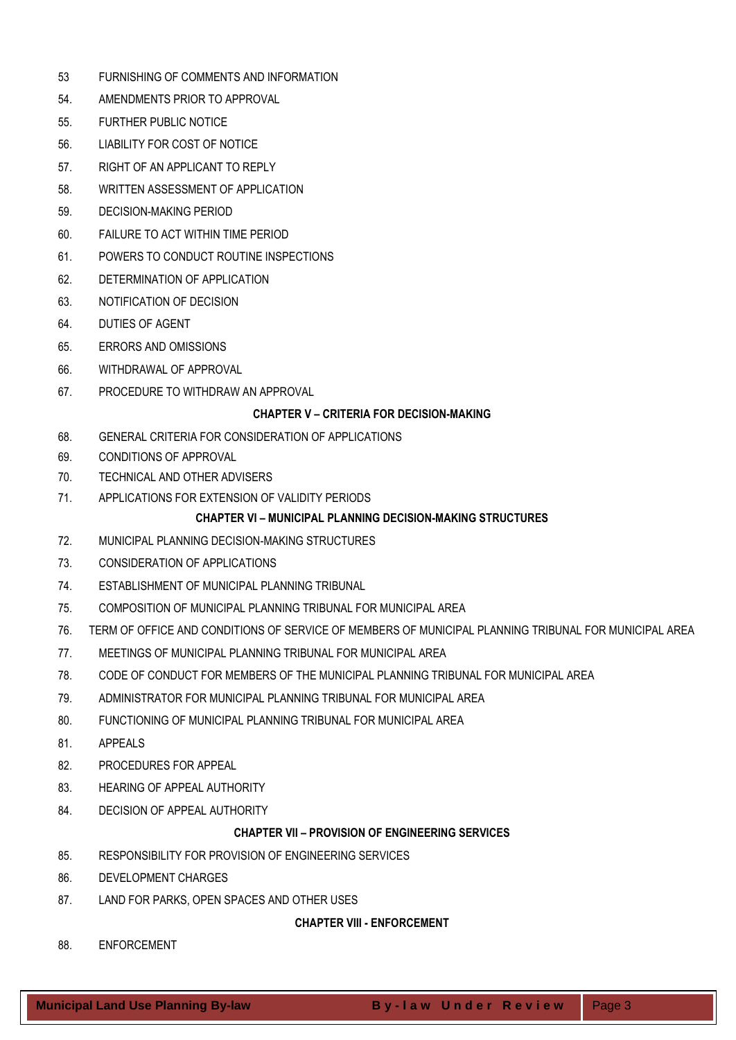- 53 [FURNISHING OF COMMENTS AND INFORMATION](#page-22-2)
- 54. [AMENDMENTS PRIOR TO APPROVAL](#page-23-0)
- 55. [FURTHER PUBLIC NOTICE](#page-23-1)
- 56. [LIABILITY FOR COST OF NOTICE](#page-23-2)
- 57. [RIGHT OF AN APPLICANT TO REPLY](#page-23-3)
- 58. [WRITTEN ASSESSMENT OF APPLICATION](#page-23-4)
- 59. [DECISION-MAKING PERIOD](#page-23-5)
- 60. [FAILURE TO ACT WITHIN TIME PERIOD](#page-24-0)
- 61. [POWERS TO CONDUCT ROUTINE INSPECTIONS](#page-24-1)
- 62. [DETERMINATION OF APPLICATION](#page-24-2)
- 63. [NOTIFICATION OF DECISION](#page-24-3)
- 64. [DUTIES OF AGENT](#page-25-0)
- 65. [ERRORS AND OMISSIONS](#page-25-1)
- 66. [WITHDRAWAL OF APPROVAL](#page-25-2)
- 67. [PROCEDURE TO WITHDRAW AN APPROVAL](#page-25-3)

## **CHAPTER V – [CRITERIA FOR DECISION-MAKING](#page-25-4)**

- 68. [GENERAL CRITERIA FOR CONSIDERATION OF APPLICATIONS](#page-25-5)
- 69. [CONDITIONS OF APPROVAL](#page-26-0)
- 70. [TECHNICAL AND OTHER ADVISERS](#page-27-0)
- 71. [APPLICATIONS FOR EXTENSION OF VALIDITY PERIODS](#page-27-1)

## **CHAPTER VI – [MUNICIPAL PLANNING DECISION-MAKING STRUCTURES](#page-28-0)**

- 72. [MUNICIPAL PLANNING DECISION-MAKING STRUCTURES](#page-28-1)
- 73. [CONSIDERATION OF APPLICATIONS](#page-28-2)
- 74. [ESTABLISHMENT OF MUNICIPAL PLANNING TRIBUNAL](#page-28-3)
- 75. [COMPOSITION OF MUNICIPAL PLANNING TRIBUNAL FOR MUNICIPAL AREA](#page-28-4)
- 76. [TERM OF OFFICE AND CONDITIONS OF SERVICE OF MEMBERS OF MUNICIPAL PLANNING TRIBUNAL FOR MUNICIPAL AREA](#page-29-0)
- 77. [MEETINGS OF MUNICIPAL PLANNING TRIBUNAL FOR MUNICIPAL AREA](#page-29-1)
- 78. [CODE OF CONDUCT FOR MEMBERS OF THE MUNICIPAL PLANNING TRIBUNAL FOR MUNICIPAL AREA](#page-30-0)
- 79. [ADMINISTRATOR FOR MUNICIPAL PLANNING TRIBUNAL FOR MUNICIPAL AREA](#page-30-1)
- 80. [FUNCTIONING OF MUNICIPAL PLANNING TRIBUNAL FOR MUNICIPAL AREA](#page-30-2)
- 81. [APPEALS](#page-30-3)
- 82. [PROCEDURES FOR](#page-31-0) APPEAL
- 83. [HEARING OF APPEAL AUTHORITY](#page-32-0)
- 84. [DECISION OF APPEAL AUTHORITY](#page-32-1)

## **CHAPTER VII – [PROVISION OF ENGINEERING SERVICES](#page-33-0)**

- 85. [RESPONSIBILITY FOR PROVISION OF ENGINEERING SERVICES](#page-33-1)
- 86. [DEVELOPMENT CHARGES](#page-33-2)
- 87. [LAND FOR PARKS, OPEN SPACES AND OTHER USES](#page-34-0)

## **CHAPTER VIII - [ENFORCEMENT](#page-34-1)**

88. [ENFORCEMENT](#page-34-2)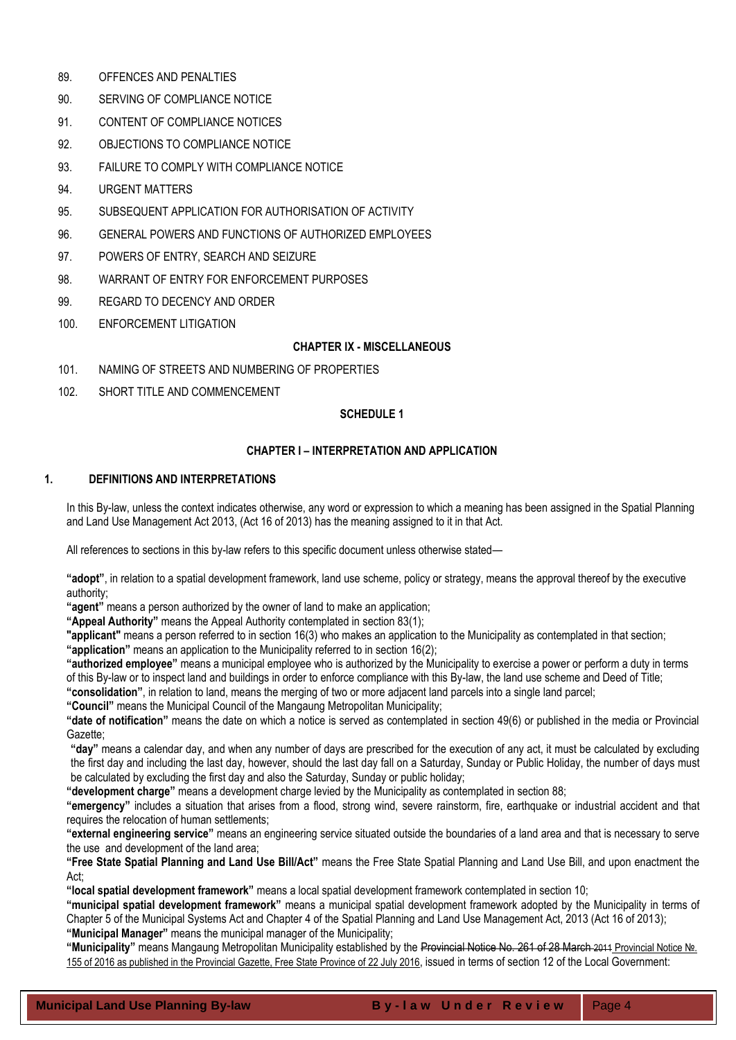- 89. [OFFENCES AND PENALTIES](#page-34-3)
- 90. [SERVING OF COMPLIANCE NOTICE](#page-34-4)
- 91. [CONTENT OF COMPLIANCE NOTICES](#page-35-0)
- 92. [OBJECTIONS TO COMPLIANCE NOTICE](#page-35-1)
- 93. [FAILURE TO COMPLY WITH COMPLIANCE NOTICE](#page-35-2)
- 94. [URGENT MATTERS](#page-35-3)
- 95. SUBSEQUENT APPLICATION [FOR AUTHORISATION OF ACTIVITY](#page-36-0)
- 96. [GENERAL POWERS AND FUNCTIONS OF AUTHORIZED EMPLOYEES](#page-36-1)
- 97. [POWERS OF ENTRY, SEARCH AND SEIZURE](#page-36-2)
- 98. [WARRANT OF ENTRY FOR ENFORCEMENT PURPOSES](#page-36-3)
- 99. [REGARD TO DECENCY AND ORDER](#page-37-0)
- 100. [ENFORCEMENT LITIGATION](#page-37-1)

## **CHAPTER IX - [MISCELLANEOUS](#page-38-0)**

- 101. [NAMING OF STREETS AND NUMBERING OF PROPERTIES](#page-38-1)
- 102. [SHORT TITLE AND COMMENCEMENT](#page-38-2)

## **SCHEDULE 1**

## **CHAPTER I – INTERPRETATION AND APPLICATION**

## <span id="page-3-1"></span><span id="page-3-0"></span>**1. DEFINITIONS AND INTERPRETATIONS**

In this By-law, unless the context indicates otherwise, any word or expression to which a meaning has been assigned in the Spatial Planning and Land Use Management Act 2013, (Act 16 of 2013) has the meaning assigned to it in that Act.

All references to sections in this by-law refers to this specific document unless otherwise stated—

**"adopt"**, in relation to a spatial development framework, land use scheme, policy or strategy, means the approval thereof by the executive authority;

**"agent"** means a person authorized by the owner of land to make an application;

**"Appeal Authority"** means the Appeal Authority contemplated in section 83(1);

**"applicant"** means a person referred to in section 16(3) who makes an application to the Municipality as contemplated in that section;

**"application"** means an application to the Municipality referred to in section 16(2);

**"authorized employee"** means a municipal employee who is authorized by the Municipality to exercise a power or perform a duty in terms of this By-law or to inspect land and buildings in order to enforce compliance with this By-law, the land use scheme and Deed of Title;

**"consolidation"**, in relation to land, means the merging of two or more adjacent land parcels into a single land parcel;

**"Council"** means the Municipal Council of the Mangaung Metropolitan Municipality;

**"date of notification"** means the date on which a notice is served as contemplated in section 49(6) or published in the media or Provincial Gazette;

**"day"** means a calendar day, and when any number of days are prescribed for the execution of any act, it must be calculated by excluding the first day and including the last day, however, should the last day fall on a Saturday, Sunday or Public Holiday, the number of days must be calculated by excluding the first day and also the Saturday, Sunday or public holiday;

**"development charge"** means a development charge levied by the Municipality as contemplated in section 88;

**"emergency"** includes a situation that arises from a flood, strong wind, severe rainstorm, fire, earthquake or industrial accident and that requires the relocation of human settlements;

**"external engineering service"** means an engineering service situated outside the boundaries of a land area and that is necessary to serve the use and development of the land area;

**"Free State Spatial Planning and Land Use Bill/Act"** means the Free State Spatial Planning and Land Use Bill, and upon enactment the Act;

**"local spatial development framework"** means a local spatial development framework contemplated in section 10;

**"municipal spatial development framework"** means a municipal spatial development framework adopted by the Municipality in terms of Chapter 5 of the Municipal Systems Act and Chapter 4 of the Spatial Planning and Land Use Management Act, 2013 (Act 16 of 2013); **"Municipal Manager"** means the municipal manager of the Municipality;

**"Municipality"** means Mangaung Metropolitan Municipality established by the Provincial Notice No. 261 of 28 March 2011 Provincial Notice №. 155 of 2016 as published in the Provincial Gazette, Free State Province of 22 July 2016, issued in terms of section 12 of the Local Government: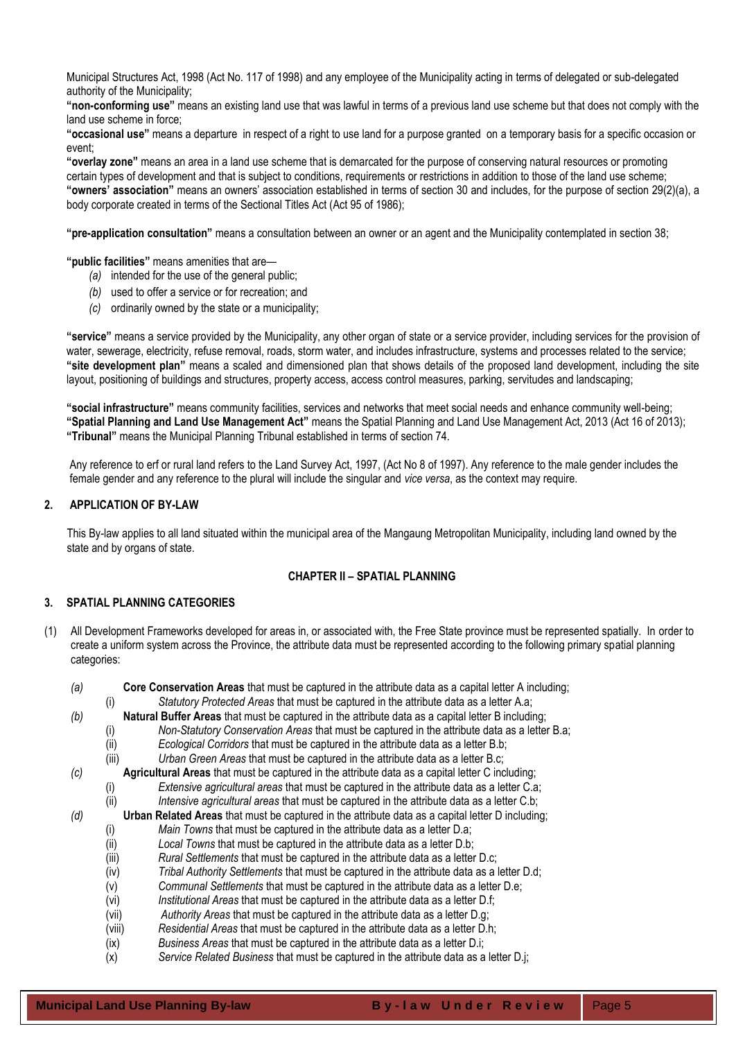Municipal Structures Act, 1998 (Act No. 117 of 1998) and any employee of the Municipality acting in terms of delegated or sub-delegated authority of the Municipality;

**"non-conforming use"** means an existing land use that was lawful in terms of a previous land use scheme but that does not comply with the land use scheme in force;

**"occasional use"** means a departure in respect of a right to use land for a purpose granted on a temporary basis for a specific occasion or event;

**"overlay zone"** means an area in a land use scheme that is demarcated for the purpose of conserving natural resources or promoting certain types of development and that is subject to conditions, requirements or restrictions in addition to those of the land use scheme; **"owners' association"** means an owners' association established in terms of section 30 and includes, for the purpose of section 29(2)(a), a body corporate created in terms of the Sectional Titles Act (Act 95 of 1986);

**"pre-application consultation"** means a consultation between an owner or an agent and the Municipality contemplated in section 38;

**"public facilities"** means amenities that are—

- *(a)* intended for the use of the general public;
- *(b)* used to offer a service or for recreation; and
- *(c)* ordinarily owned by the state or a municipality;

**"service"** means a service provided by the Municipality, any other organ of state or a service provider, including services for the provision of water, sewerage, electricity, refuse removal, roads, storm water, and includes infrastructure, systems and processes related to the service; **"site development plan"** means a scaled and dimensioned plan that shows details of the proposed land development, including the site layout, positioning of buildings and structures, property access, access control measures, parking, servitudes and landscaping;

**"social infrastructure"** means community facilities, services and networks that meet social needs and enhance community well-being; **"Spatial Planning and Land Use Management Act"** means the Spatial Planning and Land Use Management Act, 2013 (Act 16 of 2013); **"Tribunal"** means the Municipal Planning Tribunal established in terms of section 74.

 Any reference to erf or rural land refers to the Land Survey Act, 1997, (Act No 8 of 1997). Any reference to the male gender includes the female gender and any reference to the plural will include the singular and *vice versa*, as the context may require.

#### <span id="page-4-0"></span>**2. APPLICATION OF BY-LAW**

<span id="page-4-1"></span> This By-law applies to all land situated within the municipal area of the Mangaung Metropolitan Municipality, including land owned by the state and by organs of state.

## **CHAPTER II – SPATIAL PLANNING**

## **3. SPATIAL PLANNING CATEGORIES**

(1) All Development Frameworks developed for areas in, or associated with, the Free State province must be represented spatially. In order to create a uniform system across the Province, the attribute data must be represented according to the following primary spatial planning categories:

*(a)* **Core Conservation Areas** that must be captured in the attribute data as a capital letter A including;

- (i) *Statutory Protected Areas* that must be captured in the attribute data as a letter A.a;
- *(b)* **Natural Buffer Areas** that must be captured in the attribute data as a capital letter B including;
	- (i) *Non-Statutory Conservation Areas* that must be captured in the attribute data as a letter B.a;
	- (ii) *Ecological Corridors* that must be captured in the attribute data as a letter B.b;
	- (iii) *Urban Green Areas* that must be captured in the attribute data as a letter B.c;
- *(c)* **Agricultural Areas** that must be captured in the attribute data as a capital letter C including;
	- (i) *Extensive agricultural areas* that must be captured in the attribute data as a letter C.a;
	- (ii) *Intensive agricultural areas* that must be captured in the attribute data as a letter C.b;
- *(d)* **Urban Related Areas** that must be captured in the attribute data as a capital letter D including;
	- (i) *Main Towns* that must be captured in the attribute data as a letter D.a;
	- (ii) *Local Towns* that must be captured in the attribute data as a letter D.b;
	- (iii) *Rural Settlements* that must be captured in the attribute data as a letter D.c;
	- (iv) *Tribal Authority Settlements* that must be captured in the attribute data as a letter D.d;
	- (v) *Communal Settlements* that must be captured in the attribute data as a letter D.e;
	- (vi) *Institutional Areas* that must be captured in the attribute data as a letter D.f;
	- (vii) *Authority Areas* that must be captured in the attribute data as a letter D.g;
	- (viii) *Residential Areas* that must be captured in the attribute data as a letter D.h;
	- (ix) *Business Areas* that must be captured in the attribute data as a letter D.i;
	- (x) *Service Related Business* that must be captured in the attribute data as a letter D.j;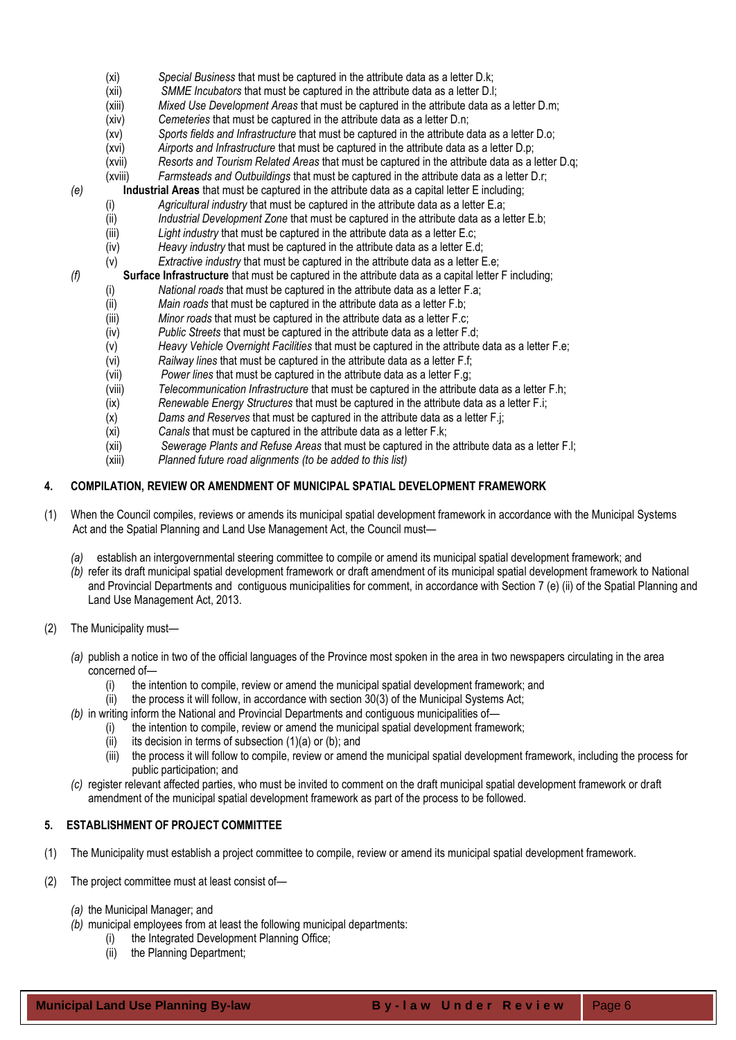- (xi) *Special Business* that must be captured in the attribute data as a letter D.k;
- (xii) *SMME Incubators* that must be captured in the attribute data as a letter D.l;
- (xiii) *Mixed Use Development Areas* that must be captured in the attribute data as a letter D.m;
- (xiv) *Cemeteries* that must be captured in the attribute data as a letter D.n;
- (xv) *Sports fields and Infrastructure* that must be captured in the attribute data as a letter D.o;
- (xvi) *Airports and Infrastructure* that must be captured in the attribute data as a letter D.p;
- (xvii) *Resorts and Tourism Related Areas* that must be captured in the attribute data as a letter D.q;
- (xviii) *Farmsteads and Outbuildings* that must be captured in the attribute data as a letter D.r;
- *(e)* **Industrial Areas** that must be captured in the attribute data as a capital letter E including;
	- (i) *Agricultural industry* that must be captured in the attribute data as a letter E.a;
	- (ii) *Industrial Development Zone* that must be captured in the attribute data as a letter E.b;
	- (iii) *Light industry* that must be captured in the attribute data as a letter E.c;
	- (iv) *Heavy industry* that must be captured in the attribute data as a letter E.d;
- (v) *Extractive industry* that must be captured in the attribute data as a letter E.e; *(f)* **Surface Infrastructure** that must be captured in the attribute data as a capital letter F including;
	- (i) *National roads* that must be captured in the attribute data as a letter F.a;
		- (ii) *Main roads* that must be captured in the attribute data as a letter F.b;
		- (iii) *Minor roads* that must be captured in the attribute data as a letter F.c;
		- (iv) *Public Streets* that must be captured in the attribute data as a letter F.d;
		- (v) *Heavy Vehicle Overnight Facilities* that must be captured in the attribute data as a letter F.e;
		- (vi) *Railway lines* that must be captured in the attribute data as a letter F.f;
		- (vii) *Power lines* that must be captured in the attribute data as a letter F.g;
		- (viii) *Telecommunication Infrastructure* that must be captured in the attribute data as a letter F.h;
		- (ix) *Renewable Energy Structures* that must be captured in the attribute data as a letter F.i;
		- (x) *Dams and Reserves* that must be captured in the attribute data as a letter F.j;
		- (xi) *Canals* that must be captured in the attribute data as a letter F.k;
		- (xii) *Sewerage Plants and Refuse Areas* that must be captured in the attribute data as a letter F.l;
		- (xiii) *Planned future road alignments (to be added to this list)*

## <span id="page-5-0"></span>**4. COMPILATION, REVIEW OR AMENDMENT OF MUNICIPAL SPATIAL DEVELOPMENT FRAMEWORK**

- (1) When the Council compiles, reviews or amends its municipal spatial development framework in accordance with the Municipal Systems Act and the Spatial Planning and Land Use Management Act, the Council must—
	- *(a)* establish an intergovernmental steering committee to compile or amend its municipal spatial development framework; and
	- *(b)* refer its draft municipal spatial development framework or draft amendment of its municipal spatial development framework to National and Provincial Departments and contiguous municipalities for comment, in accordance with Section 7 (e) (ii) of the Spatial Planning and Land Use Management Act, 2013.
- (2) The Municipality must—
	- *(a)* publish a notice in two of the official languages of the Province most spoken in the area in two newspapers circulating in the area concerned of—
		- (i) the intention to compile, review or amend the municipal spatial development framework; and
		- (ii) the process it will follow, in accordance with section 30(3) of the Municipal Systems Act;
	- *(b)* in writing inform the National and Provincial Departments and contiguous municipalities of—
		- (i) the intention to compile, review or amend the municipal spatial development framework;
			- (ii) its decision in terms of subsection  $(1)(a)$  or  $(b)$ ; and
			- (iii) the process it will follow to compile, review or amend the municipal spatial development framework, including the process for public participation; and
	- *(c)* register relevant affected parties, who must be invited to comment on the draft municipal spatial development framework or draft amendment of the municipal spatial development framework as part of the process to be followed.

## <span id="page-5-1"></span>**5. ESTABLISHMENT OF PROJECT COMMITTEE**

- (1) The Municipality must establish a project committee to compile, review or amend its municipal spatial development framework.
- (2) The project committee must at least consist of—
	- *(a)* the Municipal Manager; and
	- *(b)* municipal employees from at least the following municipal departments:
		- (i) the Integrated Development Planning Office;
		- (ii) the Planning Department;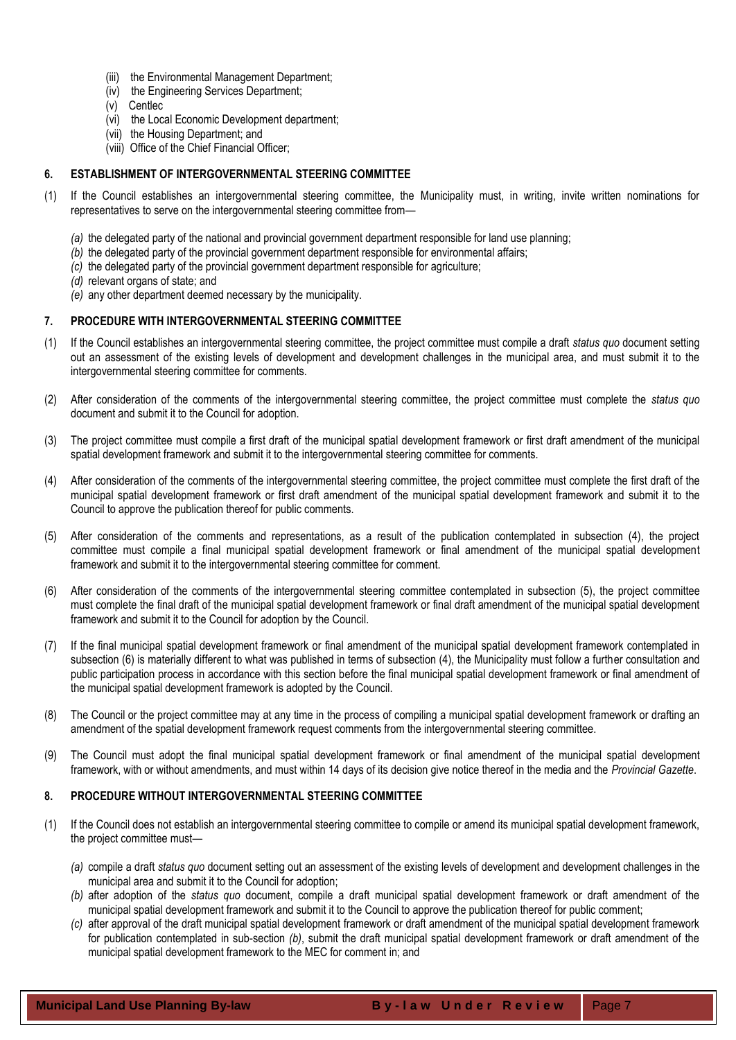- (iii) the Environmental Management Department;
- (iv) the Engineering Services Department;
- (v) Centlec
- (vi) the Local Economic Development department;
- (vii) the Housing Department; and
- (viii) Office of the Chief Financial Officer;

## <span id="page-6-0"></span>**6. ESTABLISHMENT OF INTERGOVERNMENTAL STEERING COMMITTEE**

- (1) If the Council establishes an intergovernmental steering committee, the Municipality must, in writing, invite written nominations for representatives to serve on the intergovernmental steering committee from—
	- *(a)* the delegated party of the national and provincial government department responsible for land use planning;
	- *(b)* the delegated party of the provincial government department responsible for environmental affairs;
	- *(c)* the delegated party of the provincial government department responsible for agriculture;
	- *(d)* relevant organs of state; and
	- *(e)* any other department deemed necessary by the municipality.

## <span id="page-6-1"></span>**7. PROCEDURE WITH INTERGOVERNMENTAL STEERING COMMITTEE**

- (1) If the Council establishes an intergovernmental steering committee, the project committee must compile a draft *status quo* document setting out an assessment of the existing levels of development and development challenges in the municipal area, and must submit it to the intergovernmental steering committee for comments.
- (2) After consideration of the comments of the intergovernmental steering committee, the project committee must complete the *status quo* document and submit it to the Council for adoption.
- (3) The project committee must compile a first draft of the municipal spatial development framework or first draft amendment of the municipal spatial development framework and submit it to the intergovernmental steering committee for comments.
- (4) After consideration of the comments of the intergovernmental steering committee, the project committee must complete the first draft of the municipal spatial development framework or first draft amendment of the municipal spatial development framework and submit it to the Council to approve the publication thereof for public comments.
- (5) After consideration of the comments and representations, as a result of the publication contemplated in subsection (4), the project committee must compile a final municipal spatial development framework or final amendment of the municipal spatial development framework and submit it to the intergovernmental steering committee for comment.
- (6) After consideration of the comments of the intergovernmental steering committee contemplated in subsection (5), the project committee must complete the final draft of the municipal spatial development framework or final draft amendment of the municipal spatial development framework and submit it to the Council for adoption by the Council.
- (7) If the final municipal spatial development framework or final amendment of the municipal spatial development framework contemplated in subsection (6) is materially different to what was published in terms of subsection (4), the Municipality must follow a further consultation and public participation process in accordance with this section before the final municipal spatial development framework or final amendment of the municipal spatial development framework is adopted by the Council.
- (8) The Council or the project committee may at any time in the process of compiling a municipal spatial development framework or drafting an amendment of the spatial development framework request comments from the intergovernmental steering committee.
- (9) The Council must adopt the final municipal spatial development framework or final amendment of the municipal spatial development framework, with or without amendments, and must within 14 days of its decision give notice thereof in the media and the *Provincial Gazette*.

## <span id="page-6-2"></span>**8. PROCEDURE WITHOUT INTERGOVERNMENTAL STEERING COMMITTEE**

- (1) If the Council does not establish an intergovernmental steering committee to compile or amend its municipal spatial development framework, the project committee must—
	- *(a)* compile a draft *status quo* document setting out an assessment of the existing levels of development and development challenges in the municipal area and submit it to the Council for adoption;
	- *(b)* after adoption of the *status quo* document, compile a draft municipal spatial development framework or draft amendment of the municipal spatial development framework and submit it to the Council to approve the publication thereof for public comment;
	- *(c)* after approval of the draft municipal spatial development framework or draft amendment of the municipal spatial development framework for publication contemplated in sub-section *(b)*, submit the draft municipal spatial development framework or draft amendment of the municipal spatial development framework to the MEC for comment in; and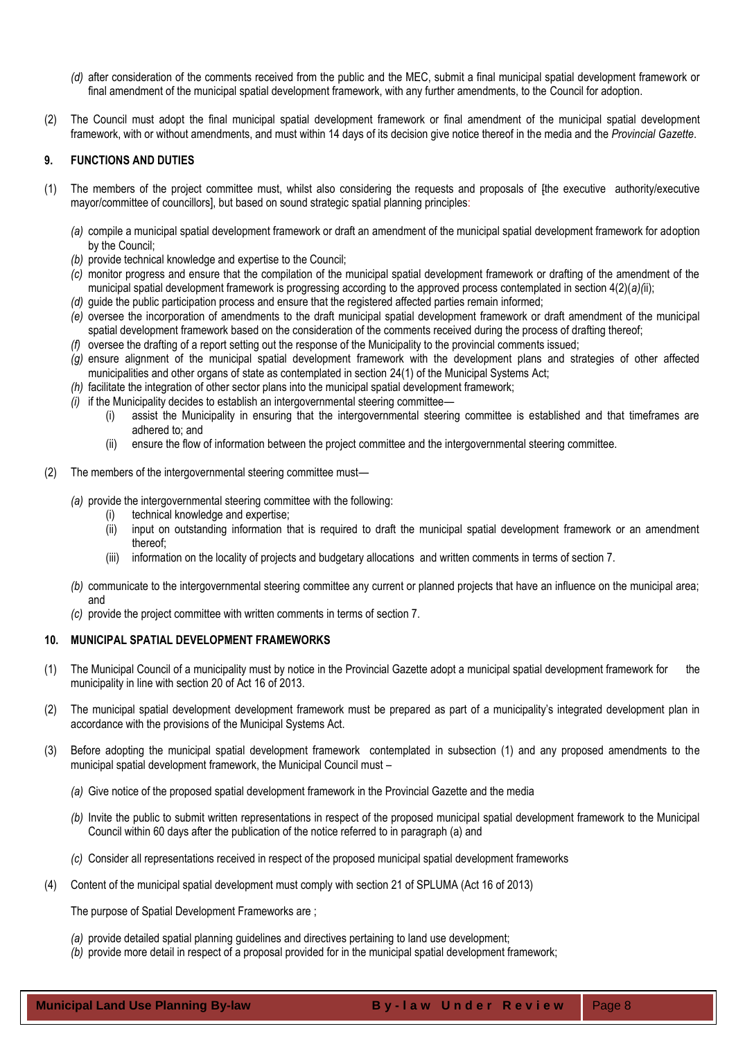- *(d)* after consideration of the comments received from the public and the MEC, submit a final municipal spatial development framework or final amendment of the municipal spatial development framework, with any further amendments, to the Council for adoption.
- (2) The Council must adopt the final municipal spatial development framework or final amendment of the municipal spatial development framework, with or without amendments, and must within 14 days of its decision give notice thereof in the media and the *Provincial Gazette*.

## <span id="page-7-0"></span>**9. FUNCTIONS AND DUTIES**

- (1) The members of the project committee must, whilst also considering the requests and proposals of [the executive authority/executive mayor/committee of councillors], but based on sound strategic spatial planning principles:
	- *(a)* compile a municipal spatial development framework or draft an amendment of the municipal spatial development framework for adoption by the Council;
	- *(b)* provide technical knowledge and expertise to the Council;
	- *(c)* monitor progress and ensure that the compilation of the municipal spatial development framework or drafting of the amendment of the municipal spatial development framework is progressing according to the approved process contemplated in section 4(2)(*a)(*ii);
	- *(d)* guide the public participation process and ensure that the registered affected parties remain informed;
	- *(e)* oversee the incorporation of amendments to the draft municipal spatial development framework or draft amendment of the municipal spatial development framework based on the consideration of the comments received during the process of drafting thereof;
	- *(f)* oversee the drafting of a report setting out the response of the Municipality to the provincial comments issued;
	- *(g)* ensure alignment of the municipal spatial development framework with the development plans and strategies of other affected municipalities and other organs of state as contemplated in section 24(1) of the Municipal Systems Act;
	- *(h)* facilitate the integration of other sector plans into the municipal spatial development framework;
	- *(i)* if the Municipality decides to establish an intergovernmental steering committee—
		- (i) assist the Municipality in ensuring that the intergovernmental steering committee is established and that timeframes are adhered to; and
		- (ii) ensure the flow of information between the project committee and the intergovernmental steering committee.
- (2) The members of the intergovernmental steering committee must—
	- *(a)* provide the intergovernmental steering committee with the following:
		- (i) technical knowledge and expertise;
		- (ii) input on outstanding information that is required to draft the municipal spatial development framework or an amendment thereof;
		- (iii) information on the locality of projects and budgetary allocations and written comments in terms of section 7.
	- *(b)* communicate to the intergovernmental steering committee any current or planned projects that have an influence on the municipal area; and
	- *(c)* provide the project committee with written comments in terms of section 7.

## <span id="page-7-1"></span>**10. MUNICIPAL SPATIAL DEVELOPMENT FRAMEWORKS**

- (1) The Municipal Council of a municipality must by notice in the Provincial Gazette adopt a municipal spatial development framework for the municipality in line with section 20 of Act 16 of 2013.
- (2) The municipal spatial development development framework must be prepared as part of a municipality's integrated development plan in accordance with the provisions of the Municipal Systems Act.
- (3) Before adopting the municipal spatial development framework contemplated in subsection (1) and any proposed amendments to the municipal spatial development framework, the Municipal Council must –
	- *(a)* Give notice of the proposed spatial development framework in the Provincial Gazette and the media
	- *(b)* Invite the public to submit written representations in respect of the proposed municipal spatial development framework to the Municipal Council within 60 days after the publication of the notice referred to in paragraph (a) and
	- *(c)* Consider all representations received in respect of the proposed municipal spatial development frameworks
- (4) Content of the municipal spatial development must comply with section 21 of SPLUMA (Act 16 of 2013)

The purpose of Spatial Development Frameworks are ;

- *(a)* provide detailed spatial planning guidelines and directives pertaining to land use development;
- *(b)* provide more detail in respect of a proposal provided for in the municipal spatial development framework;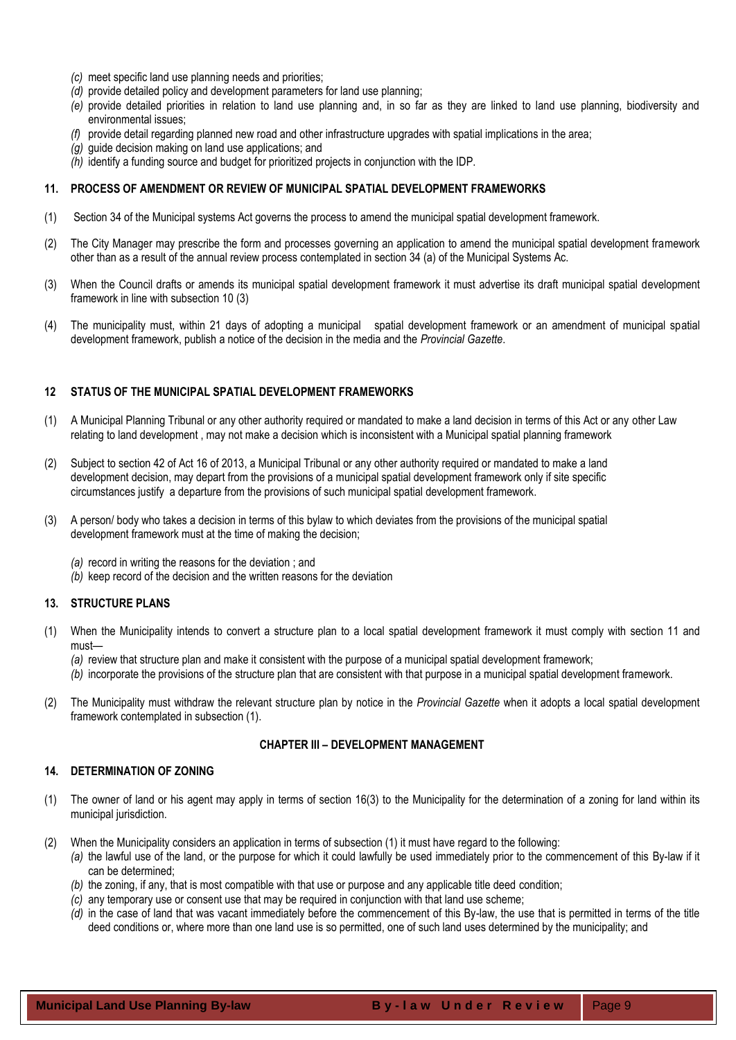- *(c)* meet specific land use planning needs and priorities;
- *(d)* provide detailed policy and development parameters for land use planning;
- *(e)* provide detailed priorities in relation to land use planning and, in so far as they are linked to land use planning, biodiversity and environmental issues;
- *(f)* provide detail regarding planned new road and other infrastructure upgrades with spatial implications in the area;
- *(g)* guide decision making on land use applications; and
- *(h)* identify a funding source and budget for prioritized projects in conjunction with the IDP.

#### <span id="page-8-0"></span>**11. PROCESS OF AMENDMENT OR REVIEW OF MUNICIPAL SPATIAL DEVELOPMENT FRAMEWORKS**

- (1) Section 34 of the Municipal systems Act governs the process to amend the municipal spatial development framework.
- (2) The City Manager may prescribe the form and processes governing an application to amend the municipal spatial development framework other than as a result of the annual review process contemplated in section 34 (a) of the Municipal Systems Ac.
- (3) When the Council drafts or amends its municipal spatial development framework it must advertise its draft municipal spatial development framework in line with subsection 10 (3)
- (4) The municipality must, within 21 days of adopting a municipal spatial development framework or an amendment of municipal spatial development framework, publish a notice of the decision in the media and the *Provincial Gazette*.

#### <span id="page-8-1"></span>**12 STATUS OF THE MUNICIPAL SPATIAL DEVELOPMENT FRAMEWORKS**

- (1) A Municipal Planning Tribunal or any other authority required or mandated to make a land decision in terms of this Act or any other Law relating to land development , may not make a decision which is inconsistent with a Municipal spatial planning framework
- (2) Subject to section 42 of Act 16 of 2013, a Municipal Tribunal or any other authority required or mandated to make a land development decision, may depart from the provisions of a municipal spatial development framework only if site specific circumstances justify a departure from the provisions of such municipal spatial development framework.
- (3) A person/ body who takes a decision in terms of this bylaw to which deviates from the provisions of the municipal spatial development framework must at the time of making the decision;
	- *(a)* record in writing the reasons for the deviation ; and
	- *(b)* keep record of the decision and the written reasons for the deviation

#### <span id="page-8-2"></span>**13. STRUCTURE PLANS**

- (1) When the Municipality intends to convert a structure plan to a local spatial development framework it must comply with section 11 and must—
	- *(a)* review that structure plan and make it consistent with the purpose of a municipal spatial development framework;
	- *(b)* incorporate the provisions of the structure plan that are consistent with that purpose in a municipal spatial development framework.
- (2) The Municipality must withdraw the relevant structure plan by notice in the *Provincial Gazette* when it adopts a local spatial development framework contemplated in subsection (1).

#### **CHAPTER III – DEVELOPMENT MANAGEMENT**

#### <span id="page-8-4"></span><span id="page-8-3"></span>**14. DETERMINATION OF ZONING**

- (1) The owner of land or his agent may apply in terms of section 16(3) to the Municipality for the determination of a zoning for land within its municipal jurisdiction.
- (2) When the Municipality considers an application in terms of subsection (1) it must have regard to the following:
	- *(a)* the lawful use of the land, or the purpose for which it could lawfully be used immediately prior to the commencement of this By-law if it can be determined;
		- *(b)* the zoning, if any, that is most compatible with that use or purpose and any applicable title deed condition;
		- *(c)* any temporary use or consent use that may be required in conjunction with that land use scheme;
		- *(d)* in the case of land that was vacant immediately before the commencement of this By-law, the use that is permitted in terms of the title deed conditions or, where more than one land use is so permitted, one of such land uses determined by the municipality; and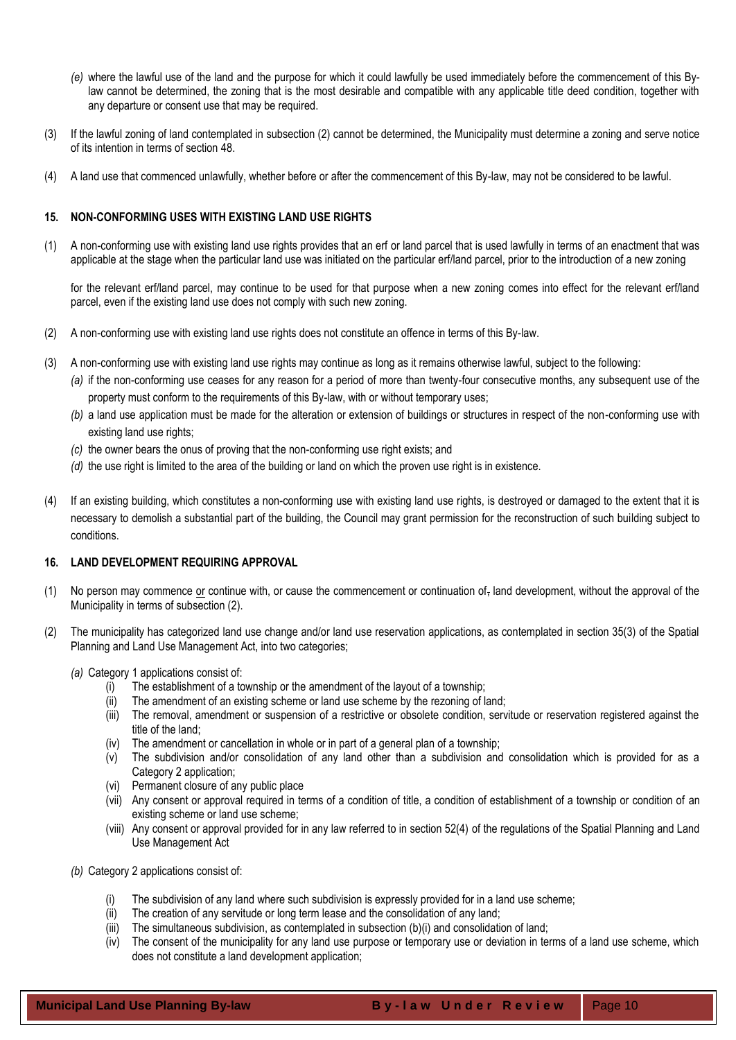- *(e)* where the lawful use of the land and the purpose for which it could lawfully be used immediately before the commencement of this Bylaw cannot be determined, the zoning that is the most desirable and compatible with any applicable title deed condition, together with any departure or consent use that may be required.
- (3) If the lawful zoning of land contemplated in subsection (2) cannot be determined, the Municipality must determine a zoning and serve notice of its intention in terms of section 48.
- (4) A land use that commenced unlawfully, whether before or after the commencement of this By-law, may not be considered to be lawful.

## <span id="page-9-0"></span>**15. NON-CONFORMING USES WITH EXISTING LAND USE RIGHTS**

(1) A non-conforming use with existing land use rights provides that an erf or land parcel that is used lawfully in terms of an enactment that was applicable at the stage when the particular land use was initiated on the particular erf/land parcel, prior to the introduction of a new zoning

for the relevant erf/land parcel, may continue to be used for that purpose when a new zoning comes into effect for the relevant erf/land parcel, even if the existing land use does not comply with such new zoning.

- (2) A non-conforming use with existing land use rights does not constitute an offence in terms of this By-law.
- (3) A non-conforming use with existing land use rights may continue as long as it remains otherwise lawful, subject to the following:
	- *(a)* if the non-conforming use ceases for any reason for a period of more than twenty-four consecutive months, any subsequent use of the property must conform to the requirements of this By-law, with or without temporary uses;
	- *(b)* a land use application must be made for the alteration or extension of buildings or structures in respect of the non-conforming use with existing land use rights;
	- *(c)* the owner bears the onus of proving that the non-conforming use right exists; and
	- *(d)* the use right is limited to the area of the building or land on which the proven use right is in existence.
- (4) If an existing building, which constitutes a non-conforming use with existing land use rights, is destroyed or damaged to the extent that it is necessary to demolish a substantial part of the building, the Council may grant permission for the reconstruction of such building subject to conditions.

# <span id="page-9-1"></span>**16. LAND DEVELOPMENT REQUIRING APPROVAL**

- (1) No person may commence or continue with, or cause the commencement or continuation of, land development, without the approval of the Municipality in terms of subsection (2).
- (2) The municipality has categorized land use change and/or land use reservation applications, as contemplated in section 35(3) of the Spatial Planning and Land Use Management Act, into two categories;
	- *(a)* Category 1 applications consist of:
		- (i) The establishment of a township or the amendment of the layout of a township;
		- (ii) The amendment of an existing scheme or land use scheme by the rezoning of land;
		- (iii) The removal, amendment or suspension of a restrictive or obsolete condition, servitude or reservation registered against the title of the land;
		- (iv) The amendment or cancellation in whole or in part of a general plan of a township;
		- (v) The subdivision and/or consolidation of any land other than a subdivision and consolidation which is provided for as a Category 2 application;
		- (vi) Permanent closure of any public place
		- (vii) Any consent or approval required in terms of a condition of title, a condition of establishment of a township or condition of an existing scheme or land use scheme;
		- (viii) Any consent or approval provided for in any law referred to in section 52(4) of the regulations of the Spatial Planning and Land Use Management Act
	- *(b)* Category 2 applications consist of:
		- (i) The subdivision of any land where such subdivision is expressly provided for in a land use scheme;
		- (ii) The creation of any servitude or long term lease and the consolidation of any land;
		- $(iii)$  The simultaneous subdivision, as contemplated in subsection  $(b)(i)$  and consolidation of land;
		- (iv) The consent of the municipality for any land use purpose or temporary use or deviation in terms of a land use scheme, which does not constitute a land development application;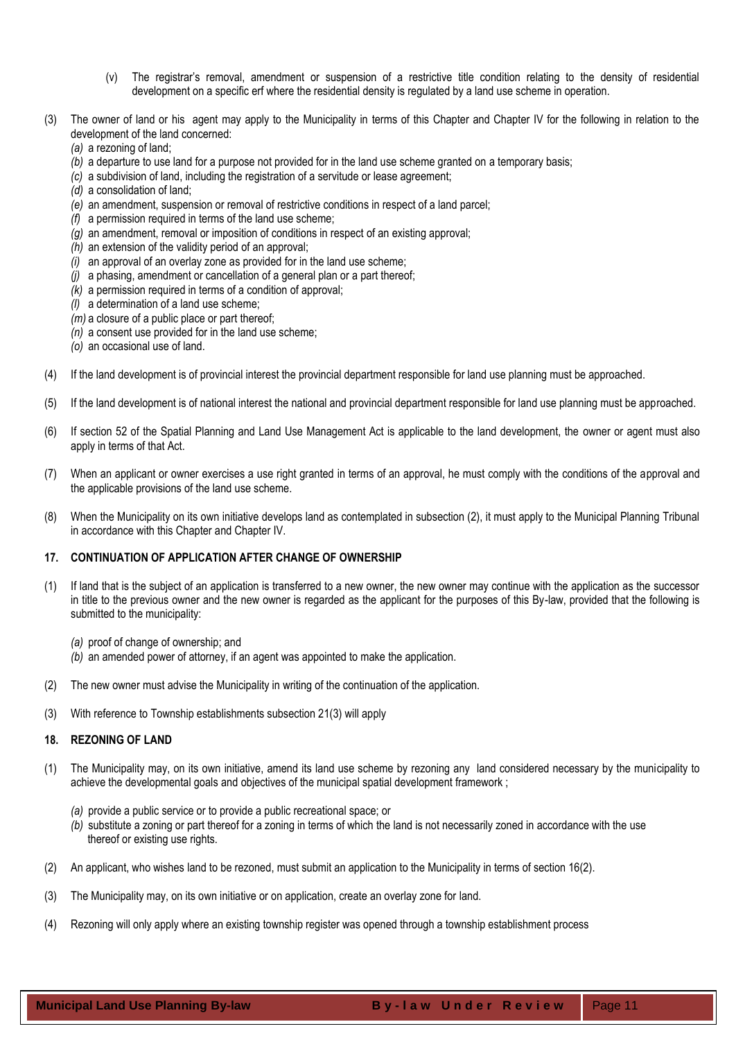- (v) The registrar's removal, amendment or suspension of a restrictive title condition relating to the density of residential development on a specific erf where the residential density is regulated by a land use scheme in operation.
- (3) The owner of land or his agent may apply to the Municipality in terms of this Chapter and Chapter IV for the following in relation to the development of the land concerned:
	- *(a)* a rezoning of land;
	- *(b)* a departure to use land for a purpose not provided for in the land use scheme granted on a temporary basis;
	- *(c)* a subdivision of land, including the registration of a servitude or lease agreement;
	- *(d)* a consolidation of land;
	- *(e)* an amendment, suspension or removal of restrictive conditions in respect of a land parcel;
	- *(f)* a permission required in terms of the land use scheme;
	- *(g)* an amendment, removal or imposition of conditions in respect of an existing approval;
	- *(h)* an extension of the validity period of an approval;
	- *(i)* an approval of an overlay zone as provided for in the land use scheme;
	- *(j)* a phasing, amendment or cancellation of a general plan or a part thereof;
	- *(k)* a permission required in terms of a condition of approval;
	- *(l)* a determination of a land use scheme;
	- *(m)* a closure of a public place or part thereof;
	- *(n)* a consent use provided for in the land use scheme;
	- *(o)* an occasional use of land.
- (4) If the land development is of provincial interest the provincial department responsible for land use planning must be approached.
- (5) If the land development is of national interest the national and provincial department responsible for land use planning must be approached.
- (6) If section 52 of the Spatial Planning and Land Use Management Act is applicable to the land development, the owner or agent must also apply in terms of that Act.
- (7) When an applicant or owner exercises a use right granted in terms of an approval, he must comply with the conditions of the approval and the applicable provisions of the land use scheme.
- (8) When the Municipality on its own initiative develops land as contemplated in subsection (2), it must apply to the Municipal Planning Tribunal in accordance with this Chapter and Chapter IV.

## <span id="page-10-0"></span>**17. CONTINUATION OF APPLICATION AFTER CHANGE OF OWNERSHIP**

- (1) If land that is the subject of an application is transferred to a new owner, the new owner may continue with the application as the successor in title to the previous owner and the new owner is regarded as the applicant for the purposes of this By-law, provided that the following is submitted to the municipality:
	- *(a)* proof of change of ownership; and
	- *(b)* an amended power of attorney, if an agent was appointed to make the application.
- (2) The new owner must advise the Municipality in writing of the continuation of the application.
- <span id="page-10-1"></span>(3) With reference to Township establishments subsection 21(3) will apply

#### **18. REZONING OF LAND**

- (1) The Municipality may, on its own initiative, amend its land use scheme by rezoning any land considered necessary by the municipality to achieve the developmental goals and objectives of the municipal spatial development framework ;
	- *(a)* provide a public service or to provide a public recreational space; or
	- *(b)* substitute a zoning or part thereof for a zoning in terms of which the land is not necessarily zoned in accordance with the use thereof or existing use rights.
- (2) An applicant, who wishes land to be rezoned, must submit an application to the Municipality in terms of section 16(2).
- (3) The Municipality may, on its own initiative or on application, create an overlay zone for land.
- (4) Rezoning will only apply where an existing township register was opened through a township establishment process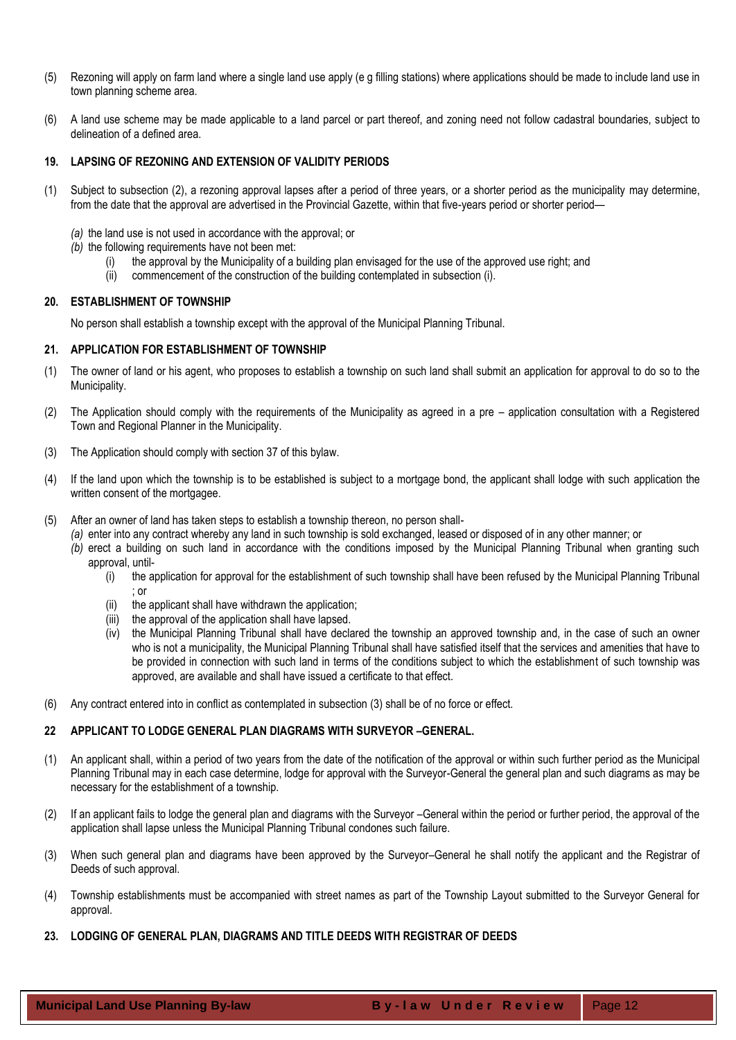- (5) Rezoning will apply on farm land where a single land use apply (e g filling stations) where applications should be made to include land use in town planning scheme area.
- <span id="page-11-0"></span>(6) A land use scheme may be made applicable to a land parcel or part thereof, and zoning need not follow cadastral boundaries, subject to delineation of a defined area.

## **19. LAPSING OF REZONING AND EXTENSION OF VALIDITY PERIODS**

- (1) Subject to subsection (2), a rezoning approval lapses after a period of three years, or a shorter period as the municipality may determine, from the date that the approval are advertised in the Provincial Gazette, within that five-years period or shorter period—
	- *(a)* the land use is not used in accordance with the approval; or
	- *(b)* the following requirements have not been met:
		- the approval by the Municipality of a building plan envisaged for the use of the approved use right; and
		- (ii) commencement of the construction of the building contemplated in subsection (i).

#### <span id="page-11-1"></span>**20. ESTABLISHMENT OF TOWNSHIP**

No person shall establish a township except with the approval of the Municipal Planning Tribunal.

## <span id="page-11-2"></span>**21. APPLICATION FOR ESTABLISHMENT OF TOWNSHIP**

- (1) The owner of land or his agent, who proposes to establish a township on such land shall submit an application for approval to do so to the Municipality.
- (2) The Application should comply with the requirements of the Municipality as agreed in a pre application consultation with a Registered Town and Regional Planner in the Municipality.
- (3) The Application should comply with section 37 of this bylaw.
- (4) If the land upon which the township is to be established is subject to a mortgage bond, the applicant shall lodge with such application the written consent of the mortgagee.
- (5) After an owner of land has taken steps to establish a township thereon, no person shall-
	- *(a)* enter into any contract whereby any land in such township is sold exchanged, leased or disposed of in any other manner; or
	- *(b)* erect a building on such land in accordance with the conditions imposed by the Municipal Planning Tribunal when granting such approval, until-
		- (i) the application for approval for the establishment of such township shall have been refused by the Municipal Planning Tribunal ; or
		- (ii) the applicant shall have withdrawn the application;
		- (iii) the approval of the application shall have lapsed.
		- (iv) the Municipal Planning Tribunal shall have declared the township an approved township and, in the case of such an owner who is not a municipality, the Municipal Planning Tribunal shall have satisfied itself that the services and amenities that have to be provided in connection with such land in terms of the conditions subject to which the establishment of such township was approved, are available and shall have issued a certificate to that effect.
- (6) Any contract entered into in conflict as contemplated in subsection (3) shall be of no force or effect.

## <span id="page-11-3"></span>**22 APPLICANT TO LODGE GENERAL PLAN DIAGRAMS WITH SURVEYOR –GENERAL.**

- (1) An applicant shall, within a period of two years from the date of the notification of the approval or within such further period as the Municipal Planning Tribunal may in each case determine, lodge for approval with the Surveyor-General the general plan and such diagrams as may be necessary for the establishment of a township.
- (2) If an applicant fails to lodge the general plan and diagrams with the Surveyor –General within the period or further period, the approval of the application shall lapse unless the Municipal Planning Tribunal condones such failure.
- (3) When such general plan and diagrams have been approved by the Surveyor–General he shall notify the applicant and the Registrar of Deeds of such approval.
- (4) Township establishments must be accompanied with street names as part of the Township Layout submitted to the Surveyor General for approval.
- <span id="page-11-4"></span>**23. LODGING OF GENERAL PLAN, DIAGRAMS AND TITLE DEEDS WITH REGISTRAR OF DEEDS**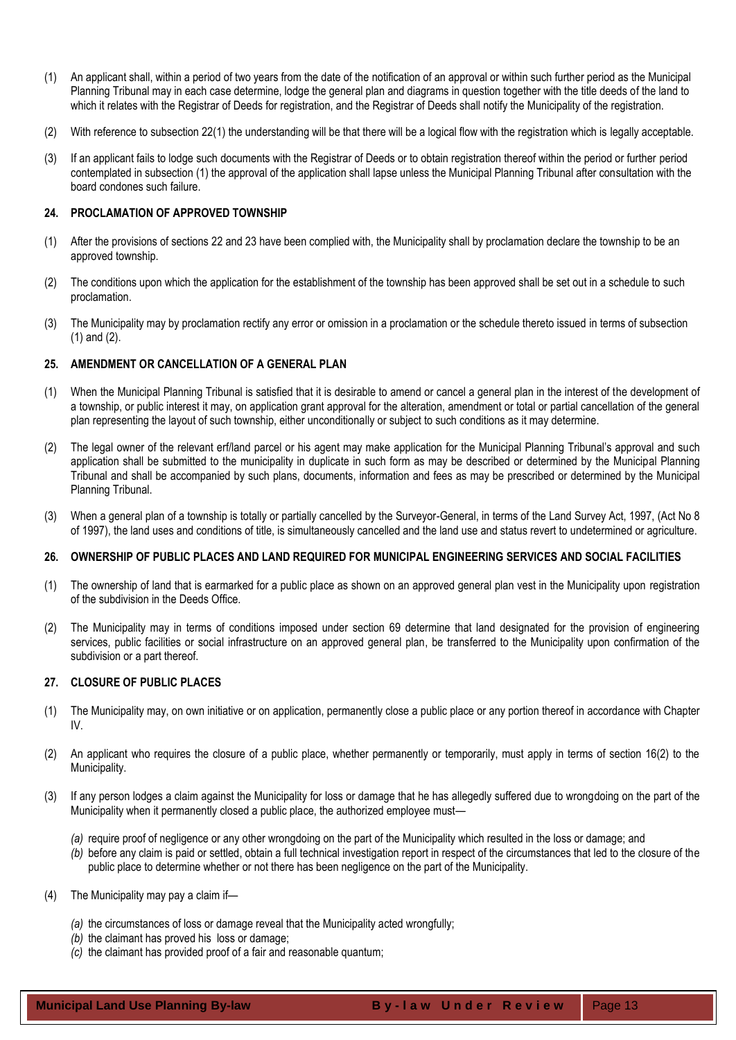- (1) An applicant shall, within a period of two years from the date of the notification of an approval or within such further period as the Municipal Planning Tribunal may in each case determine, lodge the general plan and diagrams in question together with the title deeds of the land to which it relates with the Registrar of Deeds for registration, and the Registrar of Deeds shall notify the Municipality of the registration.
- (2) With reference to subsection 22(1) the understanding will be that there will be a logical flow with the registration which is legally acceptable.
- (3) If an applicant fails to lodge such documents with the Registrar of Deeds or to obtain registration thereof within the period or further period contemplated in subsection (1) the approval of the application shall lapse unless the Municipal Planning Tribunal after consultation with the board condones such failure.

## <span id="page-12-0"></span>**24. PROCLAMATION OF APPROVED TOWNSHIP**

- (1) After the provisions of sections 22 and 23 have been complied with, the Municipality shall by proclamation declare the township to be an approved township.
- (2) The conditions upon which the application for the establishment of the township has been approved shall be set out in a schedule to such proclamation.
- (3) The Municipality may by proclamation rectify any error or omission in a proclamation or the schedule thereto issued in terms of subsection (1) and (2).

## <span id="page-12-1"></span>**25. AMENDMENT OR CANCELLATION OF A GENERAL PLAN**

- (1) When the Municipal Planning Tribunal is satisfied that it is desirable to amend or cancel a general plan in the interest of the development of a township, or public interest it may, on application grant approval for the alteration, amendment or total or partial cancellation of the general plan representing the layout of such township, either unconditionally or subject to such conditions as it may determine.
- (2) The legal owner of the relevant erf/land parcel or his agent may make application for the Municipal Planning Tribunal's approval and such application shall be submitted to the municipality in duplicate in such form as may be described or determined by the Municipal Planning Tribunal and shall be accompanied by such plans, documents, information and fees as may be prescribed or determined by the Municipal Planning Tribunal.
- (3) When a general plan of a township is totally or partially cancelled by the Surveyor-General, in terms of the Land Survey Act, 1997, (Act No 8 of 1997), the land uses and conditions of title, is simultaneously cancelled and the land use and status revert to undetermined or agriculture.

## <span id="page-12-2"></span>**26. OWNERSHIP OF PUBLIC PLACES AND LAND REQUIRED FOR MUNICIPAL ENGINEERING SERVICES AND SOCIAL FACILITIES**

- (1) The ownership of land that is earmarked for a public place as shown on an approved general plan vest in the Municipality upon registration of the subdivision in the Deeds Office.
- (2) The Municipality may in terms of conditions imposed under section 69 determine that land designated for the provision of engineering services, public facilities or social infrastructure on an approved general plan, be transferred to the Municipality upon confirmation of the subdivision or a part thereof.

## <span id="page-12-3"></span>**27. CLOSURE OF PUBLIC PLACES**

- (1) The Municipality may, on own initiative or on application, permanently close a public place or any portion thereof in accordance with Chapter IV.
- (2) An applicant who requires the closure of a public place, whether permanently or temporarily, must apply in terms of section 16(2) to the Municipality.
- (3) If any person lodges a claim against the Municipality for loss or damage that he has allegedly suffered due to wrongdoing on the part of the Municipality when it permanently closed a public place, the authorized employee must—
	- *(a)* require proof of negligence or any other wrongdoing on the part of the Municipality which resulted in the loss or damage; and
	- *(b)* before any claim is paid or settled, obtain a full technical investigation report in respect of the circumstances that led to the closure of the public place to determine whether or not there has been negligence on the part of the Municipality.
- (4) The Municipality may pay a claim if—
	- *(a)* the circumstances of loss or damage reveal that the Municipality acted wrongfully;
	- *(b)* the claimant has proved his loss or damage;
	- *(c)* the claimant has provided proof of a fair and reasonable quantum;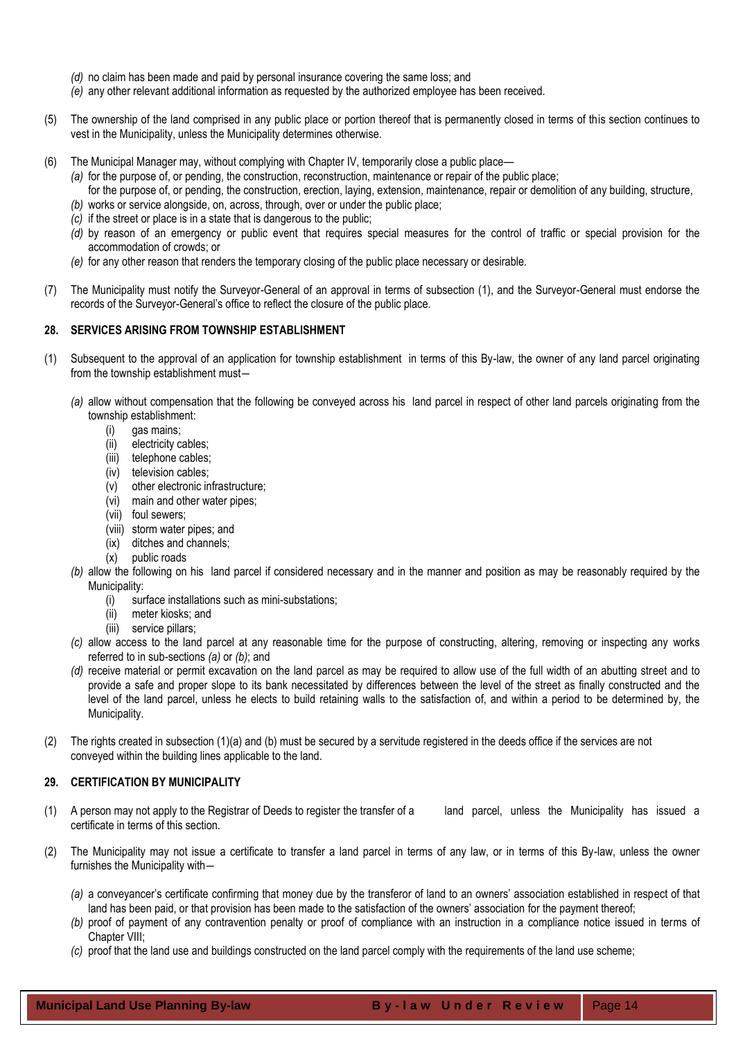- *(d)* no claim has been made and paid by personal insurance covering the same loss; and
- *(e)* any other relevant additional information as requested by the authorized employee has been received.
- (5) The ownership of the land comprised in any public place or portion thereof that is permanently closed in terms of this section continues to vest in the Municipality, unless the Municipality determines otherwise.
- (6) The Municipal Manager may, without complying with Chapter IV, temporarily close a public place—
	- *(a)* for the purpose of, or pending, the construction, reconstruction, maintenance or repair of the public place;
	- for the purpose of, or pending, the construction, erection, laying, extension, maintenance, repair or demolition of any building, structure,
	- *(b)* works or service alongside, on, across, through, over or under the public place;
	- *(c)* if the street or place is in a state that is dangerous to the public;
	- *(d)* by reason of an emergency or public event that requires special measures for the control of traffic or special provision for the accommodation of crowds; or
	- *(e)* for any other reason that renders the temporary closing of the public place necessary or desirable.
- (7) The Municipality must notify the Surveyor-General of an approval in terms of subsection (1), and the Surveyor-General must endorse the records of the Surveyor-General's office to reflect the closure of the public place.

#### <span id="page-13-0"></span>**28. SERVICES ARISING FROM TOWNSHIP ESTABLISHMENT**

- (1) Subsequent to the approval of an application for township establishment in terms of this By-law, the owner of any land parcel originating from the township establishment must―
	- *(a)* allow without compensation that the following be conveyed across his land parcel in respect of other land parcels originating from the township establishment:
		- (i) gas mains;
		- (ii) electricity cables;
		- (iii) telephone cables;
		- (iv) television cables;
		- (v) other electronic infrastructure;
		- (vi) main and other water pipes;
		- (vii) foul sewers;
		- (viii) storm water pipes; and
		- (ix) ditches and channels;
		- (x) public roads
	- *(b)* allow the following on his land parcel if considered necessary and in the manner and position as may be reasonably required by the Municipality:
		- (i) surface installations such as mini-substations;
		- (ii) meter kiosks; and
		- (iii) service pillars;
	- *(c)* allow access to the land parcel at any reasonable time for the purpose of constructing, altering, removing or inspecting any works referred to in sub-sections *(a)* or *(b)*; and
	- *(d)* receive material or permit excavation on the land parcel as may be required to allow use of the full width of an abutting street and to provide a safe and proper slope to its bank necessitated by differences between the level of the street as finally constructed and the level of the land parcel, unless he elects to build retaining walls to the satisfaction of, and within a period to be determined by, the Municipality.
- (2) The rights created in subsection (1)(a) and (b) must be secured by a servitude registered in the deeds office if the services are not conveyed within the building lines applicable to the land.

## <span id="page-13-1"></span>**29. CERTIFICATION BY MUNICIPALITY**

- (1) A person may not apply to the Registrar of Deeds to register the transfer of a land parcel, unless the Municipality has issued a certificate in terms of this section.
- (2) The Municipality may not issue a certificate to transfer a land parcel in terms of any law, or in terms of this By-law, unless the owner furnishes the Municipality with―
	- *(a)* a conveyancer's certificate confirming that money due by the transferor of land to an owners' association established in respect of that land has been paid, or that provision has been made to the satisfaction of the owners' association for the payment thereof;
	- *(b)* proof of payment of any contravention penalty or proof of compliance with an instruction in a compliance notice issued in terms of Chapter VIII;
	- *(c)* proof that the land use and buildings constructed on the land parcel comply with the requirements of the land use scheme;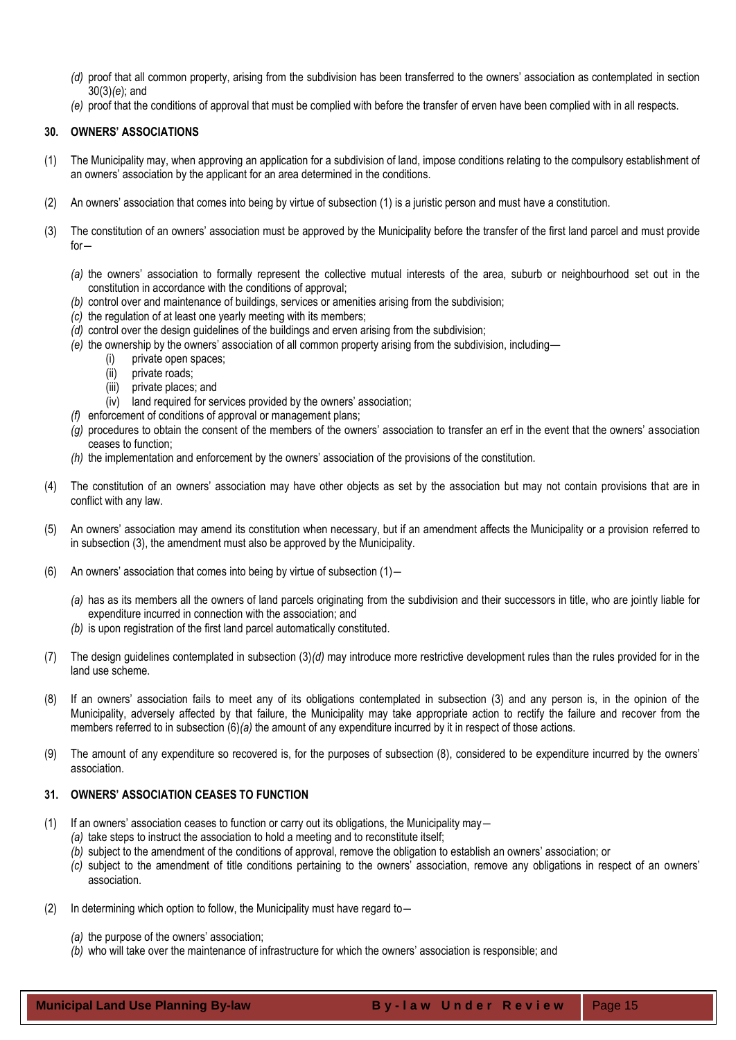- *(d)* proof that all common property, arising from the subdivision has been transferred to the owners' association as contemplated in section 30(3)*(e*); and
- *(e)* proof that the conditions of approval that must be complied with before the transfer of erven have been complied with in all respects.

## <span id="page-14-0"></span>**30. OWNERS' ASSOCIATIONS**

- (1) The Municipality may, when approving an application for a subdivision of land, impose conditions relating to the compulsory establishment of an owners' association by the applicant for an area determined in the conditions.
- (2) An owners' association that comes into being by virtue of subsection (1) is a juristic person and must have a constitution.
- (3) The constitution of an owners' association must be approved by the Municipality before the transfer of the first land parcel and must provide for―
	- *(a)* the owners' association to formally represent the collective mutual interests of the area, suburb or neighbourhood set out in the constitution in accordance with the conditions of approval;
	- *(b)* control over and maintenance of buildings, services or amenities arising from the subdivision;
	- *(c)* the regulation of at least one yearly meeting with its members;
	- *(d)* control over the design guidelines of the buildings and erven arising from the subdivision;
	- *(e)* the ownership by the owners' association of all common property arising from the subdivision, including—
		- (i) private open spaces;
			- (ii) private roads;
			- (iii) private places; and
		- (iv) land required for services provided by the owners' association;
	- *(f)* enforcement of conditions of approval or management plans;
	- *(g)* procedures to obtain the consent of the members of the owners' association to transfer an erf in the event that the owners' association ceases to function;
	- *(h)* the implementation and enforcement by the owners' association of the provisions of the constitution.
- (4) The constitution of an owners' association may have other objects as set by the association but may not contain provisions that are in conflict with any law.
- (5) An owners' association may amend its constitution when necessary, but if an amendment affects the Municipality or a provision referred to in subsection (3), the amendment must also be approved by the Municipality.
- (6) An owners' association that comes into being by virtue of subsection (1)―
	- *(a)* has as its members all the owners of land parcels originating from the subdivision and their successors in title, who are jointly liable for expenditure incurred in connection with the association; and
	- *(b)* is upon registration of the first land parcel automatically constituted.
- (7) The design guidelines contemplated in subsection (3)*(d)* may introduce more restrictive development rules than the rules provided for in the land use scheme.
- (8) If an owners' association fails to meet any of its obligations contemplated in subsection (3) and any person is, in the opinion of the Municipality, adversely affected by that failure, the Municipality may take appropriate action to rectify the failure and recover from the members referred to in subsection (6)*(a)* the amount of any expenditure incurred by it in respect of those actions.
- (9) The amount of any expenditure so recovered is, for the purposes of subsection (8), considered to be expenditure incurred by the owners' association.

## <span id="page-14-1"></span>**31. OWNERS' ASSOCIATION CEASES TO FUNCTION**

- (1) If an owners' association ceases to function or carry out its obligations, the Municipality may―
	- *(a)* take steps to instruct the association to hold a meeting and to reconstitute itself;
	- *(b)* subject to the amendment of the conditions of approval, remove the obligation to establish an owners' association; or
	- *(c)* subject to the amendment of title conditions pertaining to the owners' association, remove any obligations in respect of an owners' association.
- (2) In determining which option to follow, the Municipality must have regard to―
	- *(a)* the purpose of the owners' association;
	- *(b)* who will take over the maintenance of infrastructure for which the owners' association is responsible; and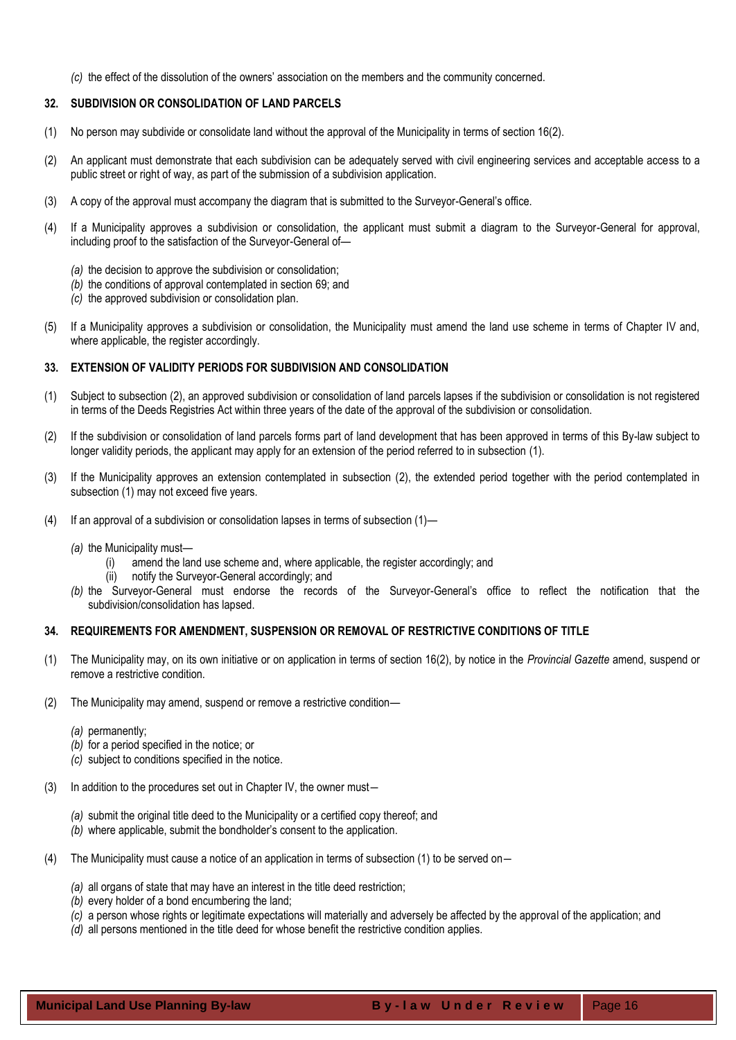*(c)* the effect of the dissolution of the owners' association on the members and the community concerned.

## <span id="page-15-0"></span>**32. SUBDIVISION OR CONSOLIDATION OF LAND PARCELS**

- (1) No person may subdivide or consolidate land without the approval of the Municipality in terms of section 16(2).
- (2) An applicant must demonstrate that each subdivision can be adequately served with civil engineering services and acceptable access to a public street or right of way, as part of the submission of a subdivision application.
- (3) A copy of the approval must accompany the diagram that is submitted to the Surveyor-General's office.
- (4) If a Municipality approves a subdivision or consolidation, the applicant must submit a diagram to the Surveyor-General for approval, including proof to the satisfaction of the Surveyor-General of—
	- *(a)* the decision to approve the subdivision or consolidation;
	- *(b)* the conditions of approval contemplated in section 69; and
	- *(c)* the approved subdivision or consolidation plan.
- (5) If a Municipality approves a subdivision or consolidation, the Municipality must amend the land use scheme in terms of Chapter IV and, where applicable, the register accordingly.

## <span id="page-15-1"></span>**33. EXTENSION OF VALIDITY PERIODS FOR SUBDIVISION AND CONSOLIDATION**

- (1) Subject to subsection (2), an approved subdivision or consolidation of land parcels lapses if the subdivision or consolidation is not registered in terms of the Deeds Registries Act within three years of the date of the approval of the subdivision or consolidation.
- (2) If the subdivision or consolidation of land parcels forms part of land development that has been approved in terms of this By-law subject to longer validity periods, the applicant may apply for an extension of the period referred to in subsection (1).
- (3) If the Municipality approves an extension contemplated in subsection (2), the extended period together with the period contemplated in subsection (1) may not exceed five years.
- (4) If an approval of a subdivision or consolidation lapses in terms of subsection (1)—
	- *(a)* the Municipality must—
		- (i) amend the land use scheme and, where applicable, the register accordingly; and
		- (ii) notify the Surveyor-General accordingly; and
	- *(b)* the Surveyor-General must endorse the records of the Surveyor-General's office to reflect the notification that the subdivision/consolidation has lapsed.

## <span id="page-15-2"></span>**34. REQUIREMENTS FOR AMENDMENT, SUSPENSION OR REMOVAL OF RESTRICTIVE CONDITIONS OF TITLE**

- (1) The Municipality may, on its own initiative or on application in terms of section 16(2), by notice in the *Provincial Gazette* amend, suspend or remove a restrictive condition.
- (2) The Municipality may amend, suspend or remove a restrictive condition—
	- *(a)* permanently;
	- *(b)* for a period specified in the notice; or
	- *(c)* subject to conditions specified in the notice.
- (3) In addition to the procedures set out in Chapter IV, the owner must―
	- *(a)* submit the original title deed to the Municipality or a certified copy thereof; and
	- *(b)* where applicable, submit the bondholder's consent to the application.
- (4) The Municipality must cause a notice of an application in terms of subsection (1) to be served on―
	- *(a)* all organs of state that may have an interest in the title deed restriction;
	- *(b)* every holder of a bond encumbering the land;
	- *(c)* a person whose rights or legitimate expectations will materially and adversely be affected by the approval of the application; and
	- *(d)* all persons mentioned in the title deed for whose benefit the restrictive condition applies.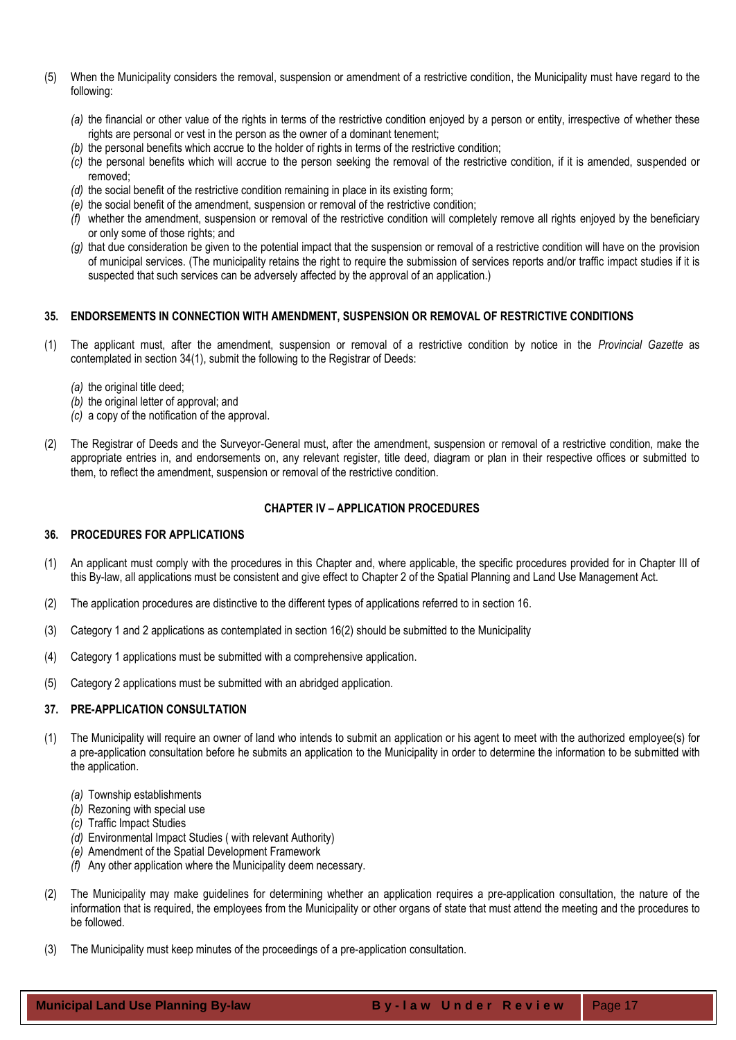- (5) When the Municipality considers the removal, suspension or amendment of a restrictive condition, the Municipality must have regard to the following:
	- *(a)* the financial or other value of the rights in terms of the restrictive condition enjoyed by a person or entity, irrespective of whether these rights are personal or vest in the person as the owner of a dominant tenement;
	- *(b)* the personal benefits which accrue to the holder of rights in terms of the restrictive condition;
	- *(c)* the personal benefits which will accrue to the person seeking the removal of the restrictive condition, if it is amended, suspended or removed;
	- *(d)* the social benefit of the restrictive condition remaining in place in its existing form;
	- *(e)* the social benefit of the amendment, suspension or removal of the restrictive condition;
	- *(f)* whether the amendment, suspension or removal of the restrictive condition will completely remove all rights enjoyed by the beneficiary or only some of those rights; and
	- *(g)* that due consideration be given to the potential impact that the suspension or removal of a restrictive condition will have on the provision of municipal services. (The municipality retains the right to require the submission of services reports and/or traffic impact studies if it is suspected that such services can be adversely affected by the approval of an application.)

## <span id="page-16-0"></span>**35. ENDORSEMENTS IN CONNECTION WITH AMENDMENT, SUSPENSION OR REMOVAL OF RESTRICTIVE CONDITIONS**

- (1) The applicant must, after the amendment, suspension or removal of a restrictive condition by notice in the *Provincial Gazette* as contemplated in section 34(1), submit the following to the Registrar of Deeds:
	- *(a)* the original title deed;
	- *(b)* the original letter of approval; and
	- *(c)* a copy of the notification of the approval.
- (2) The Registrar of Deeds and the Surveyor-General must, after the amendment, suspension or removal of a restrictive condition, make the appropriate entries in, and endorsements on, any relevant register, title deed, diagram or plan in their respective offices or submitted to them, to reflect the amendment, suspension or removal of the restrictive condition.

## **CHAPTER IV – APPLICATION PROCEDURES**

## <span id="page-16-2"></span><span id="page-16-1"></span>**36. PROCEDURES FOR APPLICATIONS**

- (1) An applicant must comply with the procedures in this Chapter and, where applicable, the specific procedures provided for in Chapter III of this By-law, all applications must be consistent and give effect to Chapter 2 of the Spatial Planning and Land Use Management Act.
- (2) The application procedures are distinctive to the different types of applications referred to in section 16.
- (3) Category 1 and 2 applications as contemplated in section 16(2) should be submitted to the Municipality
- (4) Category 1 applications must be submitted with a comprehensive application.
- (5) Category 2 applications must be submitted with an abridged application.

## <span id="page-16-3"></span>**37. PRE-APPLICATION CONSULTATION**

- (1) The Municipality will require an owner of land who intends to submit an application or his agent to meet with the authorized employee(s) for a pre-application consultation before he submits an application to the Municipality in order to determine the information to be submitted with the application.
	- *(a)* Township establishments
	- *(b)* Rezoning with special use
	- *(c)* Traffic Impact Studies
	- *(d)* Environmental Impact Studies ( with relevant Authority)
	- *(e)* Amendment of the Spatial Development Framework
	- *(f)* Any other application where the Municipality deem necessary.
- (2) The Municipality may make guidelines for determining whether an application requires a pre-application consultation, the nature of the information that is required, the employees from the Municipality or other organs of state that must attend the meeting and the procedures to be followed.
- (3) The Municipality must keep minutes of the proceedings of a pre-application consultation.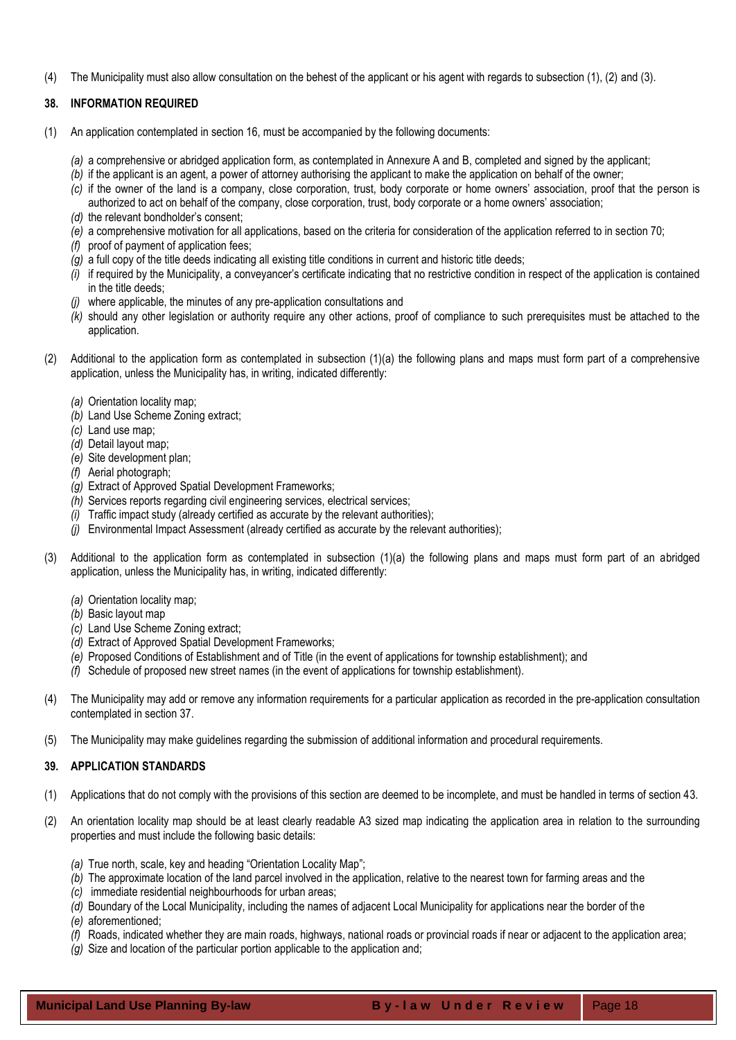(4) The Municipality must also allow consultation on the behest of the applicant or his agent with regards to subsection (1), (2) and (3).

## <span id="page-17-0"></span>**38. INFORMATION REQUIRED**

- (1) An application contemplated in section 16, must be accompanied by the following documents:
	- *(a)* a comprehensive or abridged application form, as contemplated in Annexure A and B, completed and signed by the applicant;
	- *(b)* if the applicant is an agent, a power of attorney authorising the applicant to make the application on behalf of the owner;
	- *(c)* if the owner of the land is a company, close corporation, trust, body corporate or home owners' association, proof that the person is authorized to act on behalf of the company, close corporation, trust, body corporate or a home owners' association;
	- *(d)* the relevant bondholder's consent;
	- *(e)* a comprehensive motivation for all applications, based on the criteria for consideration of the application referred to in section 70;
	- *(f)* proof of payment of application fees;
	- *(g)* a full copy of the title deeds indicating all existing title conditions in current and historic title deeds;
	- *(i)* if required by the Municipality, a conveyancer's certificate indicating that no restrictive condition in respect of the application is contained in the title deeds;
	- *(j)* where applicable, the minutes of any pre-application consultations and
	- *(k)* should any other legislation or authority require any other actions, proof of compliance to such prerequisites must be attached to the application.
- (2) Additional to the application form as contemplated in subsection (1)(a) the following plans and maps must form part of a comprehensive application, unless the Municipality has, in writing, indicated differently:
	- *(a)* Orientation locality map;
	- *(b)* Land Use Scheme Zoning extract;
	- *(c)* Land use map;
	- *(d)* Detail layout map;
	- *(e)* Site development plan;
	- *(f)* Aerial photograph;
	- *(g)* Extract of Approved Spatial Development Frameworks;
	- *(h)* Services reports regarding civil engineering services, electrical services;
	- *(i)* Traffic impact study (already certified as accurate by the relevant authorities);
	- *(j)* Environmental Impact Assessment (already certified as accurate by the relevant authorities);
- (3) Additional to the application form as contemplated in subsection (1)(a) the following plans and maps must form part of an abridged application, unless the Municipality has, in writing, indicated differently:
	- *(a)* Orientation locality map;
	- *(b)* Basic layout map
	- *(c)* Land Use Scheme Zoning extract;
	- *(d)* Extract of Approved Spatial Development Frameworks;
	- *(e)* Proposed Conditions of Establishment and of Title (in the event of applications for township establishment); and
	- *(f)* Schedule of proposed new street names (in the event of applications for township establishment).
- (4) The Municipality may add or remove any information requirements for a particular application as recorded in the pre-application consultation contemplated in section 37.
- (5) The Municipality may make guidelines regarding the submission of additional information and procedural requirements.

## <span id="page-17-1"></span>**39. APPLICATION STANDARDS**

- (1) Applications that do not comply with the provisions of this section are deemed to be incomplete, and must be handled in terms of section 43.
- (2) An orientation locality map should be at least clearly readable A3 sized map indicating the application area in relation to the surrounding properties and must include the following basic details:
	- *(a)* True north, scale, key and heading "Orientation Locality Map";
	- *(b)* The approximate location of the land parcel involved in the application, relative to the nearest town for farming areas and the
	- *(c)* immediate residential neighbourhoods for urban areas;
	- *(d)* Boundary of the Local Municipality, including the names of adjacent Local Municipality for applications near the border of the
	- *(e)* aforementioned;
	- *(f)* Roads, indicated whether they are main roads, highways, national roads or provincial roads if near or adjacent to the application area;
	- *(g)* Size and location of the particular portion applicable to the application and;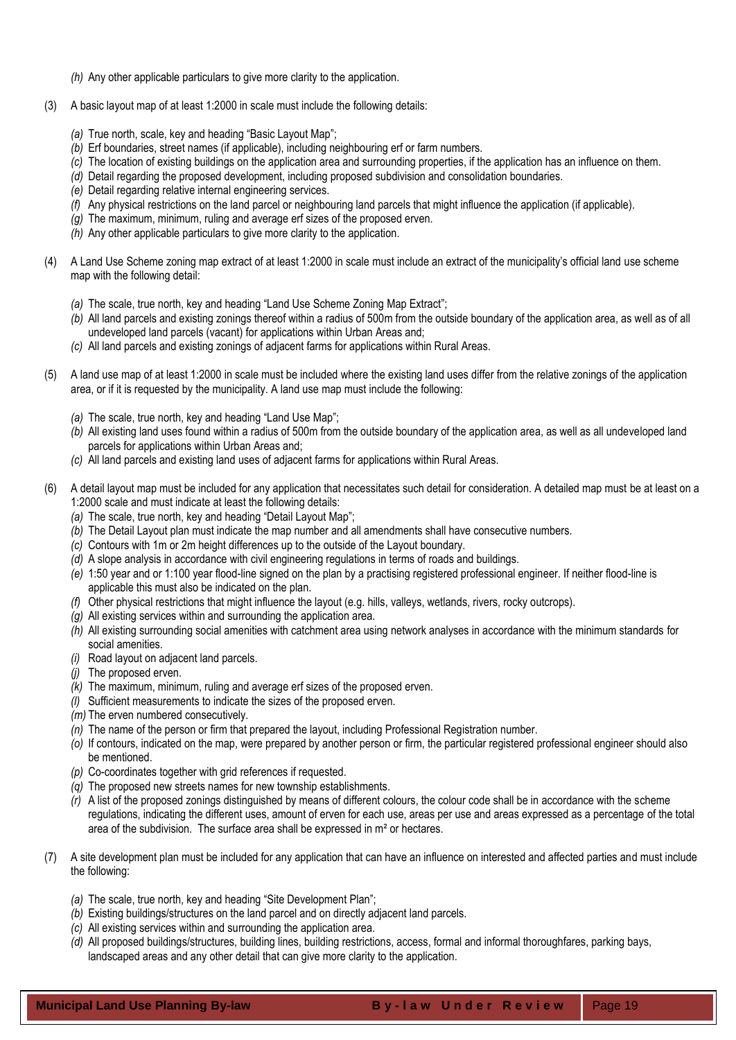- *(h)* Any other applicable particulars to give more clarity to the application.
- (3) A basic layout map of at least 1:2000 in scale must include the following details:
	- *(a)* True north, scale, key and heading "Basic Layout Map";
	- *(b)* Erf boundaries, street names (if applicable), including neighbouring erf or farm numbers.
	- *(c)* The location of existing buildings on the application area and surrounding properties, if the application has an influence on them.
	- *(d)* Detail regarding the proposed development, including proposed subdivision and consolidation boundaries.
	- *(e)* Detail regarding relative internal engineering services.
	- *(f)* Any physical restrictions on the land parcel or neighbouring land parcels that might influence the application (if applicable).
	- *(g)* The maximum, minimum, ruling and average erf sizes of the proposed erven.
	- *(h)* Any other applicable particulars to give more clarity to the application.
- (4) A Land Use Scheme zoning map extract of at least 1:2000 in scale must include an extract of the municipality's official land use scheme map with the following detail:
	- *(a)* The scale, true north, key and heading "Land Use Scheme Zoning Map Extract";
	- *(b)* All land parcels and existing zonings thereof within a radius of 500m from the outside boundary of the application area, as well as of all undeveloped land parcels (vacant) for applications within Urban Areas and;
	- *(c)* All land parcels and existing zonings of adjacent farms for applications within Rural Areas.
- (5) A land use map of at least 1:2000 in scale must be included where the existing land uses differ from the relative zonings of the application area, or if it is requested by the municipality. A land use map must include the following:
	- *(a)* The scale, true north, key and heading "Land Use Map";
	- *(b)* All existing land uses found within a radius of 500m from the outside boundary of the application area, as well as all undeveloped land parcels for applications within Urban Areas and;
	- *(c)* All land parcels and existing land uses of adjacent farms for applications within Rural Areas.
- (6) A detail layout map must be included for any application that necessitates such detail for consideration. A detailed map must be at least on a 1:2000 scale and must indicate at least the following details:
	- *(a)* The scale, true north, key and heading "Detail Layout Map";
	- *(b)* The Detail Layout plan must indicate the map number and all amendments shall have consecutive numbers.
	- *(c)* Contours with 1m or 2m height differences up to the outside of the Layout boundary.
	- *(d)* A slope analysis in accordance with civil engineering regulations in terms of roads and buildings.
	- *(e)* 1:50 year and or 1:100 year flood-line signed on the plan by a practising registered professional engineer. If neither flood-line is applicable this must also be indicated on the plan.
	- *(f)* Other physical restrictions that might influence the layout (e.g. hills, valleys, wetlands, rivers, rocky outcrops).
	- *(g)* All existing services within and surrounding the application area.
	- *(h)* All existing surrounding social amenities with catchment area using network analyses in accordance with the minimum standards for social amenities.
	- *(i)* Road layout on adjacent land parcels.
	- *(j)* The proposed erven.
	- *(k)* The maximum, minimum, ruling and average erf sizes of the proposed erven.
	- *(l)* Sufficient measurements to indicate the sizes of the proposed erven.
	- *(m)* The erven numbered consecutively.
	- *(n)* The name of the person or firm that prepared the layout, including Professional Registration number.
	- *(o)* If contours, indicated on the map, were prepared by another person or firm, the particular registered professional engineer should also be mentioned.
	- *(p)* Co-coordinates together with grid references if requested.
	- *(q)* The proposed new streets names for new township establishments.
	- *(r)* A list of the proposed zonings distinguished by means of different colours, the colour code shall be in accordance with the scheme regulations, indicating the different uses, amount of erven for each use, areas per use and areas expressed as a percentage of the total area of the subdivision. The surface area shall be expressed in m² or hectares.
- (7) A site development plan must be included for any application that can have an influence on interested and affected parties and must include the following:
	- *(a)* The scale, true north, key and heading "Site Development Plan";
	- *(b)* Existing buildings/structures on the land parcel and on directly adjacent land parcels.
	- *(c)* All existing services within and surrounding the application area.
	- *(d)* All proposed buildings/structures, building lines, building restrictions, access, formal and informal thoroughfares, parking bays, landscaped areas and any other detail that can give more clarity to the application.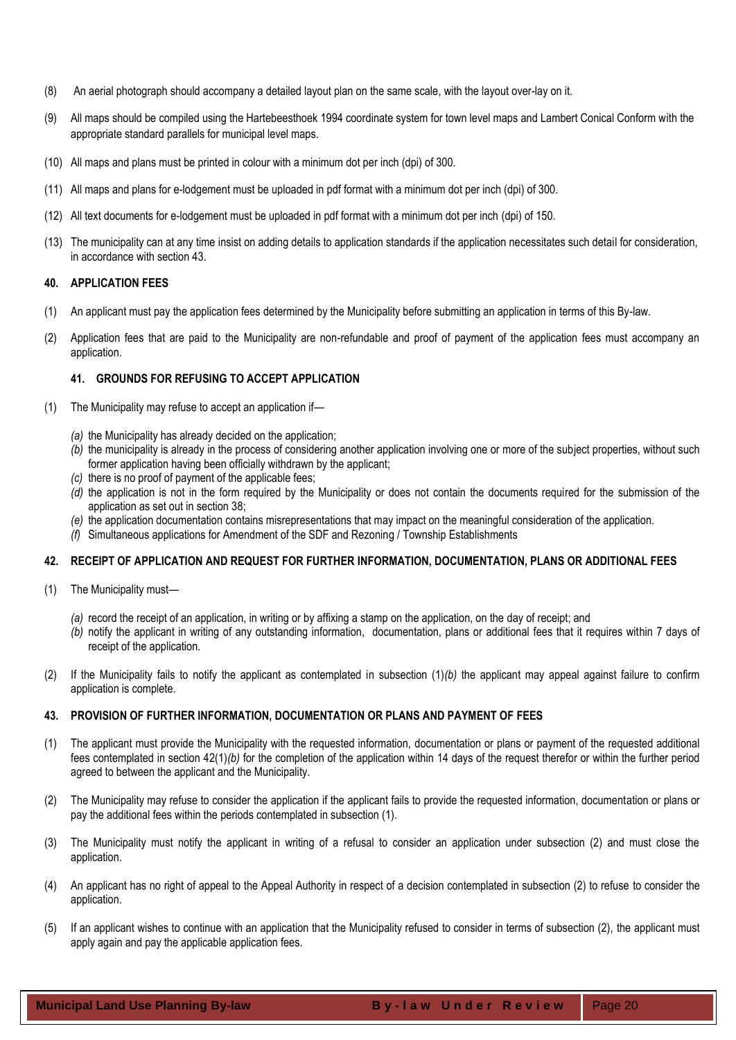- (8) An aerial photograph should accompany a detailed layout plan on the same scale, with the layout over-lay on it.
- (9) All maps should be compiled using the Hartebeesthoek 1994 coordinate system for town level maps and Lambert Conical Conform with the appropriate standard parallels for municipal level maps.
- (10) All maps and plans must be printed in colour with a minimum dot per inch (dpi) of 300.
- (11) All maps and plans for e-lodgement must be uploaded in pdf format with a minimum dot per inch (dpi) of 300.
- (12) All text documents for e-lodgement must be uploaded in pdf format with a minimum dot per inch (dpi) of 150.
- (13) The municipality can at any time insist on adding details to application standards if the application necessitates such detail for consideration, in accordance with section 43.

#### <span id="page-19-0"></span>**40. APPLICATION FEES**

- (1) An applicant must pay the application fees determined by the Municipality before submitting an application in terms of this By-law.
- (2) Application fees that are paid to the Municipality are non-refundable and proof of payment of the application fees must accompany an application.

## **41. GROUNDS FOR REFUSING TO ACCEPT APPLICATION**

- <span id="page-19-1"></span>(1) The Municipality may refuse to accept an application if—
	- *(a)* the Municipality has already decided on the application;
	- *(b)* the municipality is already in the process of considering another application involving one or more of the subject properties, without such former application having been officially withdrawn by the applicant;
	- *(c)* there is no proof of payment of the applicable fees;
	- *(d)* the application is not in the form required by the Municipality or does not contain the documents required for the submission of the application as set out in section 38;
	- *(e)* the application documentation contains misrepresentations that may impact on the meaningful consideration of the application.
	- *(f)* Simultaneous applications for Amendment of the SDF and Rezoning / Township Establishments

## <span id="page-19-2"></span>**42. RECEIPT OF APPLICATION AND REQUEST FOR FURTHER INFORMATION, DOCUMENTATION, PLANS OR ADDITIONAL FEES**

- (1) The Municipality must—
	- *(a)* record the receipt of an application, in writing or by affixing a stamp on the application, on the day of receipt; and
	- *(b)* notify the applicant in writing of any outstanding information, documentation, plans or additional fees that it requires within 7 days of receipt of the application.
- (2) If the Municipality fails to notify the applicant as contemplated in subsection (1)*(b)* the applicant may appeal against failure to confirm application is complete.

## <span id="page-19-3"></span>**43. PROVISION OF FURTHER INFORMATION, DOCUMENTATION OR PLANS AND PAYMENT OF FEES**

- (1) The applicant must provide the Municipality with the requested information, documentation or plans or payment of the requested additional fees contemplated in section 42(1)*(b)* for the completion of the application within 14 days of the request therefor or within the further period agreed to between the applicant and the Municipality.
- (2) The Municipality may refuse to consider the application if the applicant fails to provide the requested information, documentation or plans or pay the additional fees within the periods contemplated in subsection (1).
- (3) The Municipality must notify the applicant in writing of a refusal to consider an application under subsection (2) and must close the application.
- (4) An applicant has no right of appeal to the Appeal Authority in respect of a decision contemplated in subsection (2) to refuse to consider the application.
- (5) If an applicant wishes to continue with an application that the Municipality refused to consider in terms of subsection (2), the applicant must apply again and pay the applicable application fees.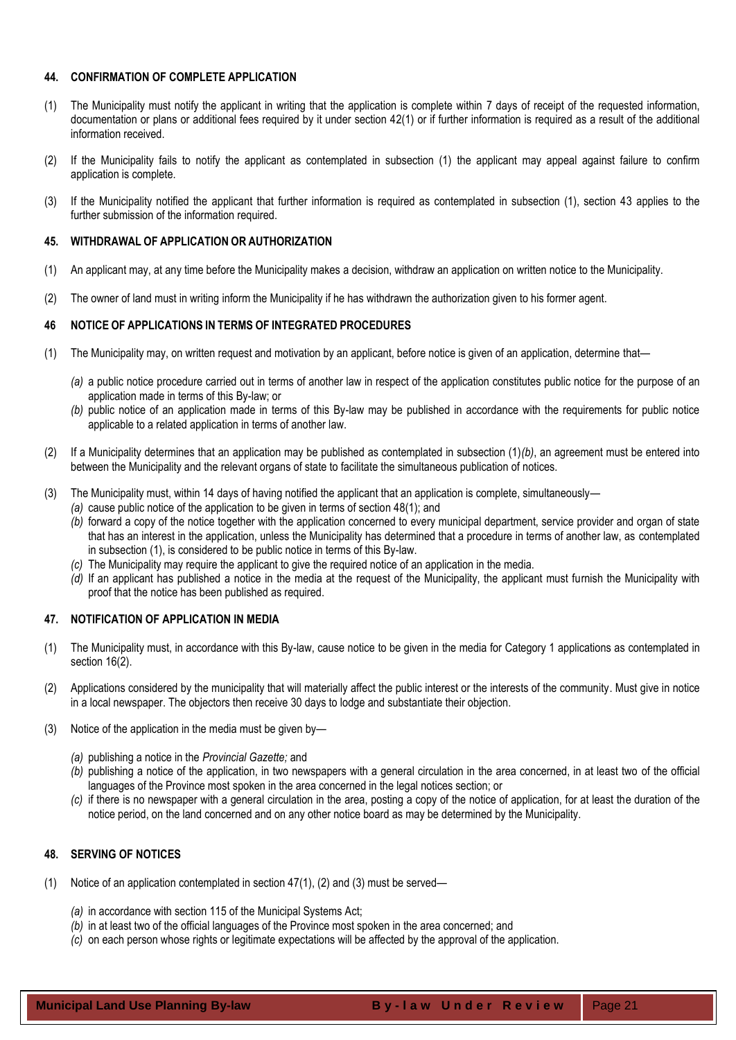## <span id="page-20-0"></span>**44. CONFIRMATION OF COMPLETE APPLICATION**

- (1) The Municipality must notify the applicant in writing that the application is complete within 7 days of receipt of the requested information, documentation or plans or additional fees required by it under section 42(1) or if further information is required as a result of the additional information received.
- (2) If the Municipality fails to notify the applicant as contemplated in subsection (1) the applicant may appeal against failure to confirm application is complete.
- (3) If the Municipality notified the applicant that further information is required as contemplated in subsection (1), section 43 applies to the further submission of the information required.

## <span id="page-20-1"></span>**45. WITHDRAWAL OF APPLICATION OR AUTHORIZATION**

- (1) An applicant may, at any time before the Municipality makes a decision, withdraw an application on written notice to the Municipality.
- (2) The owner of land must in writing inform the Municipality if he has withdrawn the authorization given to his former agent.

## <span id="page-20-2"></span>**46 NOTICE OF APPLICATIONS IN TERMS OF INTEGRATED PROCEDURES**

- (1) The Municipality may, on written request and motivation by an applicant, before notice is given of an application, determine that—
	- *(a)* a public notice procedure carried out in terms of another law in respect of the application constitutes public notice for the purpose of an application made in terms of this By-law; or
	- *(b)* public notice of an application made in terms of this By-law may be published in accordance with the requirements for public notice applicable to a related application in terms of another law.
- (2) If a Municipality determines that an application may be published as contemplated in subsection (1)*(b)*, an agreement must be entered into between the Municipality and the relevant organs of state to facilitate the simultaneous publication of notices.
- (3) The Municipality must, within 14 days of having notified the applicant that an application is complete, simultaneously—
	- *(a)* cause public notice of the application to be given in terms of section 48(1); and
		- *(b)* forward a copy of the notice together with the application concerned to every municipal department, service provider and organ of state that has an interest in the application, unless the Municipality has determined that a procedure in terms of another law, as contemplated in subsection (1), is considered to be public notice in terms of this By-law.
		- *(c)* The Municipality may require the applicant to give the required notice of an application in the media.
		- *(d)* If an applicant has published a notice in the media at the request of the Municipality, the applicant must furnish the Municipality with proof that the notice has been published as required.

## <span id="page-20-3"></span>**47. NOTIFICATION OF APPLICATION IN MEDIA**

- (1) The Municipality must, in accordance with this By-law, cause notice to be given in the media for Category 1 applications as contemplated in section 16(2).
- (2) Applications considered by the municipality that will materially affect the public interest or the interests of the community. Must give in notice in a local newspaper. The objectors then receive 30 days to lodge and substantiate their objection.
- (3) Notice of the application in the media must be given by—
	- *(a)* publishing a notice in the *Provincial Gazette;* and
	- *(b)* publishing a notice of the application, in two newspapers with a general circulation in the area concerned, in at least two of the official languages of the Province most spoken in the area concerned in the legal notices section; or
	- *(c)* if there is no newspaper with a general circulation in the area, posting a copy of the notice of application, for at least the duration of the notice period, on the land concerned and on any other notice board as may be determined by the Municipality.

## <span id="page-20-4"></span>**48. SERVING OF NOTICES**

- (1) Notice of an application contemplated in section 47(1), (2) and (3) must be served—
	- *(a)* in accordance with section 115 of the Municipal Systems Act;
	- *(b)* in at least two of the official languages of the Province most spoken in the area concerned; and
	- *(c)* on each person whose rights or legitimate expectations will be affected by the approval of the application.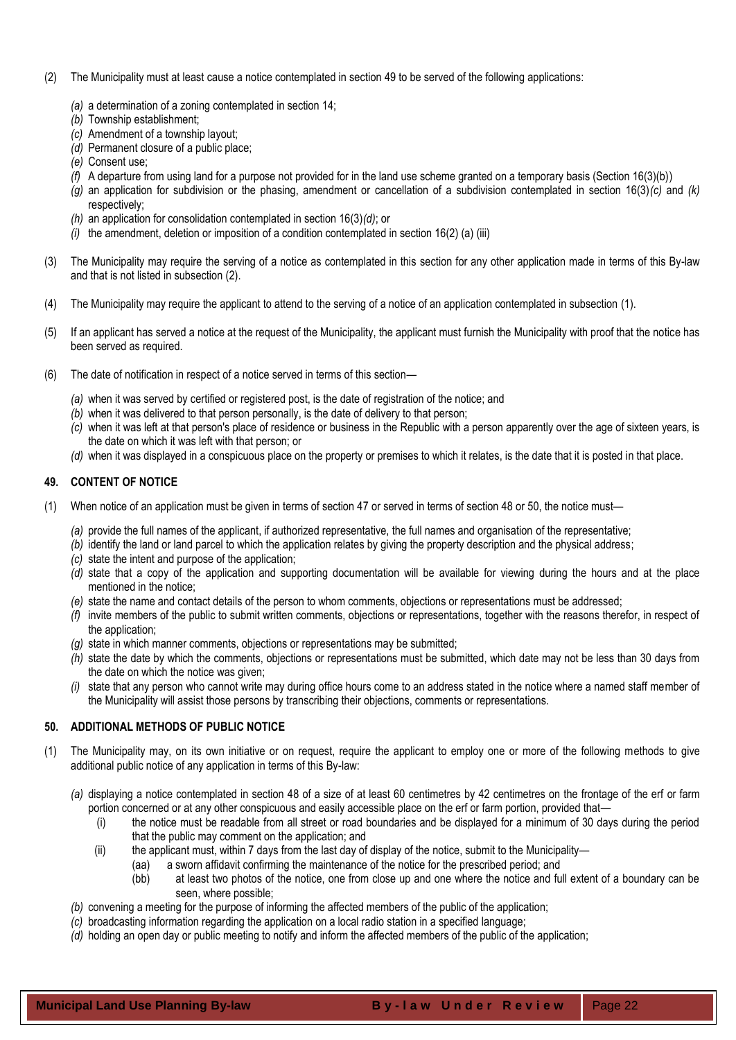- (2) The Municipality must at least cause a notice contemplated in section 49 to be served of the following applications:
	- *(a)* a determination of a zoning contemplated in section 14;
	- *(b)* Township establishment;
	- *(c)* Amendment of a township layout;
	- *(d)* Permanent closure of a public place;
	- *(e)* Consent use;
	- *(f)* A departure from using land for a purpose not provided for in the land use scheme granted on a temporary basis (Section 16(3)(b))
	- *(g)* an application for subdivision or the phasing, amendment or cancellation of a subdivision contemplated in section 16(3)*(c)* and *(k)*  respectively;
	- *(h)* an application for consolidation contemplated in section 16(3)*(d)*; or
	- *(i)* the amendment, deletion or imposition of a condition contemplated in section 16(2) (a) (iii)
- (3) The Municipality may require the serving of a notice as contemplated in this section for any other application made in terms of this By-law and that is not listed in subsection (2).
- (4) The Municipality may require the applicant to attend to the serving of a notice of an application contemplated in subsection (1).
- (5) If an applicant has served a notice at the request of the Municipality, the applicant must furnish the Municipality with proof that the notice has been served as required.
- (6) The date of notification in respect of a notice served in terms of this section—
	- *(a)* when it was served by certified or registered post, is the date of registration of the notice; and
	- *(b)* when it was delivered to that person personally, is the date of delivery to that person;
	- *(c)* when it was left at that person's place of residence or business in the Republic with a person apparently over the age of sixteen years, is the date on which it was left with that person; or
	- *(d)* when it was displayed in a conspicuous place on the property or premises to which it relates, is the date that it is posted in that place.

## <span id="page-21-0"></span>**49. CONTENT OF NOTICE**

- (1) When notice of an application must be given in terms of section 47 or served in terms of section 48 or 50, the notice must—
	- *(a)* provide the full names of the applicant, if authorized representative, the full names and organisation of the representative;
	- *(b)* identify the land or land parcel to which the application relates by giving the property description and the physical address;
	- *(c)* state the intent and purpose of the application;
	- *(d)* state that a copy of the application and supporting documentation will be available for viewing during the hours and at the place mentioned in the notice;
	- *(e)* state the name and contact details of the person to whom comments, objections or representations must be addressed;
	- *(f)* invite members of the public to submit written comments, objections or representations, together with the reasons therefor, in respect of the application;
	- *(g)* state in which manner comments, objections or representations may be submitted;
	- *(h)* state the date by which the comments, objections or representations must be submitted, which date may not be less than 30 days from the date on which the notice was given;
	- *(i)* state that any person who cannot write may during office hours come to an address stated in the notice where a named staff member of the Municipality will assist those persons by transcribing their objections, comments or representations.

## <span id="page-21-1"></span>**50. ADDITIONAL METHODS OF PUBLIC NOTICE**

- (1) The Municipality may, on its own initiative or on request, require the applicant to employ one or more of the following methods to give additional public notice of any application in terms of this By-law:
	- *(a)* displaying a notice contemplated in section 48 of a size of at least 60 centimetres by 42 centimetres on the frontage of the erf or farm portion concerned or at any other conspicuous and easily accessible place on the erf or farm portion, provided that—
		- (i) the notice must be readable from all street or road boundaries and be displayed for a minimum of 30 days during the period that the public may comment on the application; and
		- (ii) the applicant must, within 7 days from the last day of display of the notice, submit to the Municipality—
			- (aa) a sworn affidavit confirming the maintenance of the notice for the prescribed period; and
			- (bb) at least two photos of the notice, one from close up and one where the notice and full extent of a boundary can be seen, where possible;
	- *(b)* convening a meeting for the purpose of informing the affected members of the public of the application;
	- *(c)* broadcasting information regarding the application on a local radio station in a specified language;
	- *(d)* holding an open day or public meeting to notify and inform the affected members of the public of the application;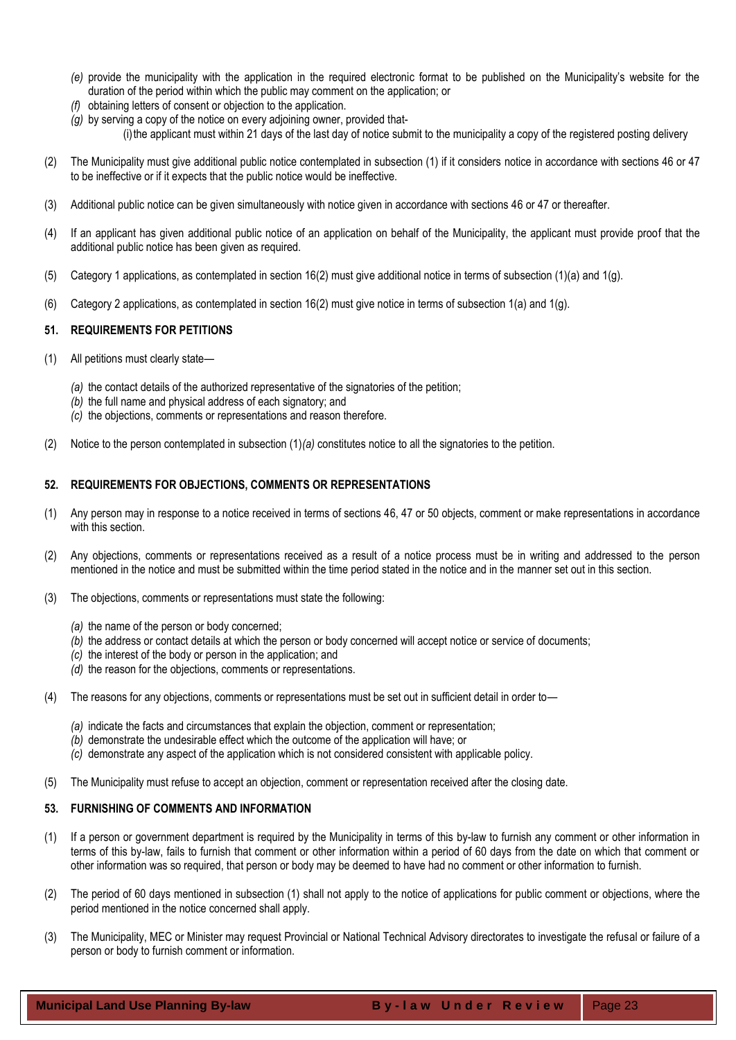- *(e)* provide the municipality with the application in the required electronic format to be published on the Municipality's website for the duration of the period within which the public may comment on the application; or
- *(f)* obtaining letters of consent or objection to the application.
- *(g)* by serving a copy of the notice on every adjoining owner, provided that- (i)the applicant must within 21 days of the last day of notice submit to the municipality a copy of the registered posting delivery
- (2) The Municipality must give additional public notice contemplated in subsection (1) if it considers notice in accordance with sections 46 or 47 to be ineffective or if it expects that the public notice would be ineffective.
- (3) Additional public notice can be given simultaneously with notice given in accordance with sections 46 or 47 or thereafter.
- (4) If an applicant has given additional public notice of an application on behalf of the Municipality, the applicant must provide proof that the additional public notice has been given as required.
- (5) Category 1 applications, as contemplated in section 16(2) must give additional notice in terms of subsection (1)(a) and 1(g).
- (6) Category 2 applications, as contemplated in section 16(2) must give notice in terms of subsection 1(a) and 1(g).

## <span id="page-22-0"></span>**51. REQUIREMENTS FOR PETITIONS**

- (1) All petitions must clearly state—
	- *(a)* the contact details of the authorized representative of the signatories of the petition;
	- *(b)* the full name and physical address of each signatory; and
	- *(c)* the objections, comments or representations and reason therefore.
- (2) Notice to the person contemplated in subsection (1)*(a)* constitutes notice to all the signatories to the petition.

#### <span id="page-22-1"></span>**52. REQUIREMENTS FOR OBJECTIONS, COMMENTS OR REPRESENTATIONS**

- (1) Any person may in response to a notice received in terms of sections 46, 47 or 50 objects, comment or make representations in accordance with this section.
- (2) Any objections, comments or representations received as a result of a notice process must be in writing and addressed to the person mentioned in the notice and must be submitted within the time period stated in the notice and in the manner set out in this section.
- (3) The objections, comments or representations must state the following:
	- *(a)* the name of the person or body concerned;
	- *(b)* the address or contact details at which the person or body concerned will accept notice or service of documents;
	- *(c)* the interest of the body or person in the application; and
	- *(d)* the reason for the objections, comments or representations.
- (4) The reasons for any objections, comments or representations must be set out in sufficient detail in order to—
	- *(a)* indicate the facts and circumstances that explain the objection, comment or representation;
	- *(b)* demonstrate the undesirable effect which the outcome of the application will have; or
	- *(c)* demonstrate any aspect of the application which is not considered consistent with applicable policy.
- <span id="page-22-2"></span>(5) The Municipality must refuse to accept an objection, comment or representation received after the closing date.

## **53. FURNISHING OF COMMENTS AND INFORMATION**

- (1) If a person or government department is required by the Municipality in terms of this by-law to furnish any comment or other information in terms of this by-law, fails to furnish that comment or other information within a period of 60 days from the date on which that comment or other information was so required, that person or body may be deemed to have had no comment or other information to furnish.
- (2) The period of 60 days mentioned in subsection (1) shall not apply to the notice of applications for public comment or objections, where the period mentioned in the notice concerned shall apply.
- (3) The Municipality, MEC or Minister may request Provincial or National Technical Advisory directorates to investigate the refusal or failure of a person or body to furnish comment or information.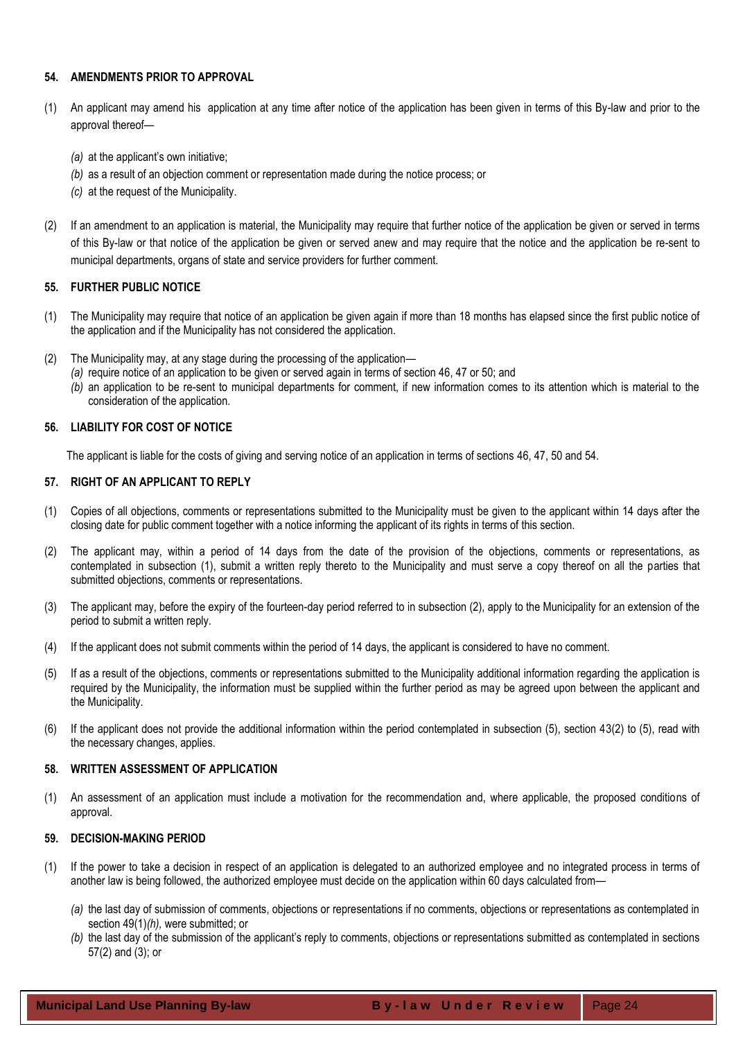## <span id="page-23-0"></span>**54. AMENDMENTS PRIOR TO APPROVAL**

- (1) An applicant may amend his application at any time after notice of the application has been given in terms of this By-law and prior to the approval thereof—
	- *(a)* at the applicant's own initiative;
	- *(b)* as a result of an objection comment or representation made during the notice process; or
	- *(c)* at the request of the Municipality.
- (2) If an amendment to an application is material, the Municipality may require that further notice of the application be given or served in terms of this By-law or that notice of the application be given or served anew and may require that the notice and the application be re-sent to municipal departments, organs of state and service providers for further comment.

## <span id="page-23-1"></span>**55. FURTHER PUBLIC NOTICE**

- (1) The Municipality may require that notice of an application be given again if more than 18 months has elapsed since the first public notice of the application and if the Municipality has not considered the application.
- (2) The Municipality may, at any stage during the processing of the application—
	- *(a)* require notice of an application to be given or served again in terms of section 46, 47 or 50; and
	- *(b)* an application to be re-sent to municipal departments for comment, if new information comes to its attention which is material to the consideration of the application.

## <span id="page-23-2"></span>**56. LIABILITY FOR COST OF NOTICE**

The applicant is liable for the costs of giving and serving notice of an application in terms of sections 46, 47, 50 and 54.

## <span id="page-23-3"></span>**57. RIGHT OF AN APPLICANT TO REPLY**

- (1) Copies of all objections, comments or representations submitted to the Municipality must be given to the applicant within 14 days after the closing date for public comment together with a notice informing the applicant of its rights in terms of this section.
- (2) The applicant may, within a period of 14 days from the date of the provision of the objections, comments or representations, as contemplated in subsection (1), submit a written reply thereto to the Municipality and must serve a copy thereof on all the parties that submitted objections, comments or representations.
- (3) The applicant may, before the expiry of the fourteen-day period referred to in subsection (2), apply to the Municipality for an extension of the period to submit a written reply.
- (4) If the applicant does not submit comments within the period of 14 days, the applicant is considered to have no comment.
- (5) If as a result of the objections, comments or representations submitted to the Municipality additional information regarding the application is required by the Municipality, the information must be supplied within the further period as may be agreed upon between the applicant and the Municipality.
- (6) If the applicant does not provide the additional information within the period contemplated in subsection (5), section 43(2) to (5), read with the necessary changes, applies.

## <span id="page-23-4"></span>**58. WRITTEN ASSESSMENT OF APPLICATION**

(1) An assessment of an application must include a motivation for the recommendation and, where applicable, the proposed conditions of approval.

## <span id="page-23-5"></span>**59. DECISION-MAKING PERIOD**

- (1) If the power to take a decision in respect of an application is delegated to an authorized employee and no integrated process in terms of another law is being followed, the authorized employee must decide on the application within 60 days calculated from—
	- *(a)* the last day of submission of comments, objections or representations if no comments, objections or representations as contemplated in section 49(1)*(h),* were submitted; or
	- *(b)* the last day of the submission of the applicant's reply to comments, objections or representations submitted as contemplated in sections 57(2) and (3); or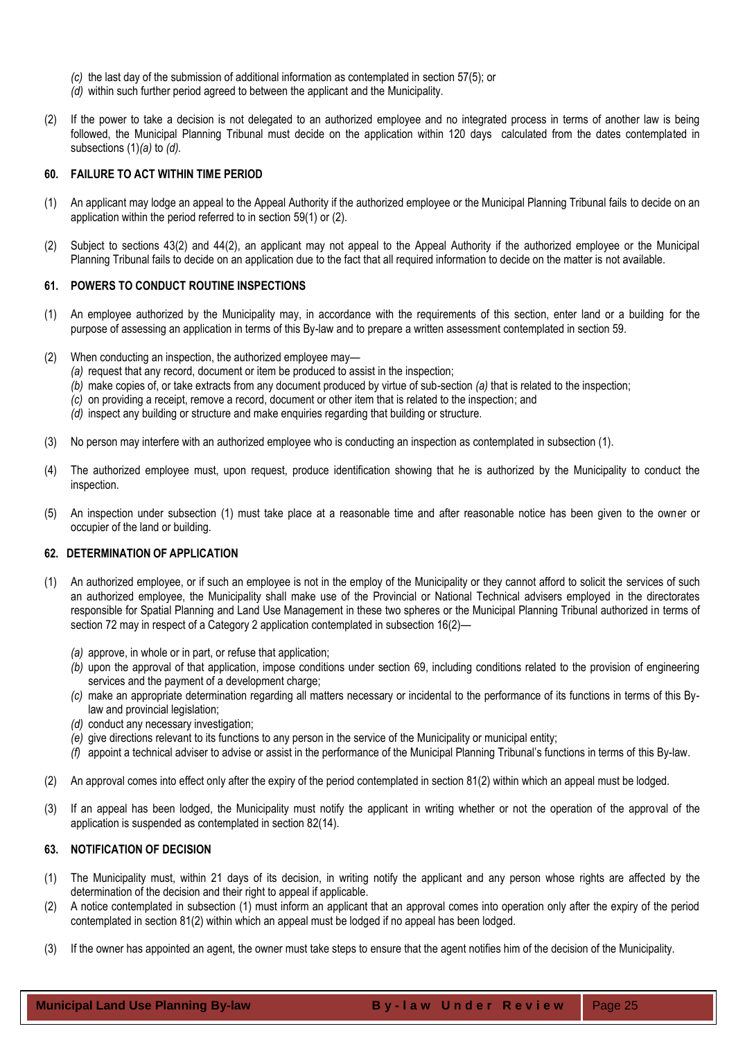- *(c)* the last day of the submission of additional information as contemplated in section 57(5); or
- *(d)* within such further period agreed to between the applicant and the Municipality.
- (2) If the power to take a decision is not delegated to an authorized employee and no integrated process in terms of another law is being followed, the Municipal Planning Tribunal must decide on the application within 120 days calculated from the dates contemplated in subsections (1)*(a)* to *(d).*

#### <span id="page-24-0"></span>**60. FAILURE TO ACT WITHIN TIME PERIOD**

- (1) An applicant may lodge an appeal to the Appeal Authority if the authorized employee or the Municipal Planning Tribunal fails to decide on an application within the period referred to in section 59(1) or (2).
- (2) Subject to sections 43(2) and 44(2), an applicant may not appeal to the Appeal Authority if the authorized employee or the Municipal Planning Tribunal fails to decide on an application due to the fact that all required information to decide on the matter is not available.

#### <span id="page-24-1"></span>**61. POWERS TO CONDUCT ROUTINE INSPECTIONS**

- (1) An employee authorized by the Municipality may, in accordance with the requirements of this section, enter land or a building for the purpose of assessing an application in terms of this By-law and to prepare a written assessment contemplated in section 59.
- (2) When conducting an inspection, the authorized employee may—
	- *(a)* request that any record, document or item be produced to assist in the inspection;
	- *(b)* make copies of, or take extracts from any document produced by virtue of sub-section *(a)* that is related to the inspection;
	- *(c)* on providing a receipt, remove a record, document or other item that is related to the inspection; and
	- *(d)* inspect any building or structure and make enquiries regarding that building or structure.
- (3) No person may interfere with an authorized employee who is conducting an inspection as contemplated in subsection (1).
- (4) The authorized employee must, upon request, produce identification showing that he is authorized by the Municipality to conduct the inspection.
- (5) An inspection under subsection (1) must take place at a reasonable time and after reasonable notice has been given to the owner or occupier of the land or building.

## <span id="page-24-2"></span>**62. DETERMINATION OF APPLICATION**

- (1) An authorized employee, or if such an employee is not in the employ of the Municipality or they cannot afford to solicit the services of such an authorized employee, the Municipality shall make use of the Provincial or National Technical advisers employed in the directorates responsible for Spatial Planning and Land Use Management in these two spheres or the Municipal Planning Tribunal authorized in terms of section 72 may in respect of a Category 2 application contemplated in subsection 16(2)—
	- *(a)* approve, in whole or in part, or refuse that application;
	- *(b)* upon the approval of that application, impose conditions under section 69, including conditions related to the provision of engineering services and the payment of a development charge;
	- *(c)* make an appropriate determination regarding all matters necessary or incidental to the performance of its functions in terms of this Bylaw and provincial legislation;
	- *(d)* conduct any necessary investigation;
	- *(e)* give directions relevant to its functions to any person in the service of the Municipality or municipal entity;
	- *(f)* appoint a technical adviser to advise or assist in the performance of the Municipal Planning Tribunal's functions in terms of this By-law.
- (2) An approval comes into effect only after the expiry of the period contemplated in section 81(2) within which an appeal must be lodged.
- (3) If an appeal has been lodged, the Municipality must notify the applicant in writing whether or not the operation of the approval of the application is suspended as contemplated in section 82(14).

#### <span id="page-24-3"></span>**63. NOTIFICATION OF DECISION**

- (1) The Municipality must, within 21 days of its decision, in writing notify the applicant and any person whose rights are affected by the determination of the decision and their right to appeal if applicable.
- (2) A notice contemplated in subsection (1) must inform an applicant that an approval comes into operation only after the expiry of the period contemplated in section 81(2) within which an appeal must be lodged if no appeal has been lodged.
- (3) If the owner has appointed an agent, the owner must take steps to ensure that the agent notifies him of the decision of the Municipality.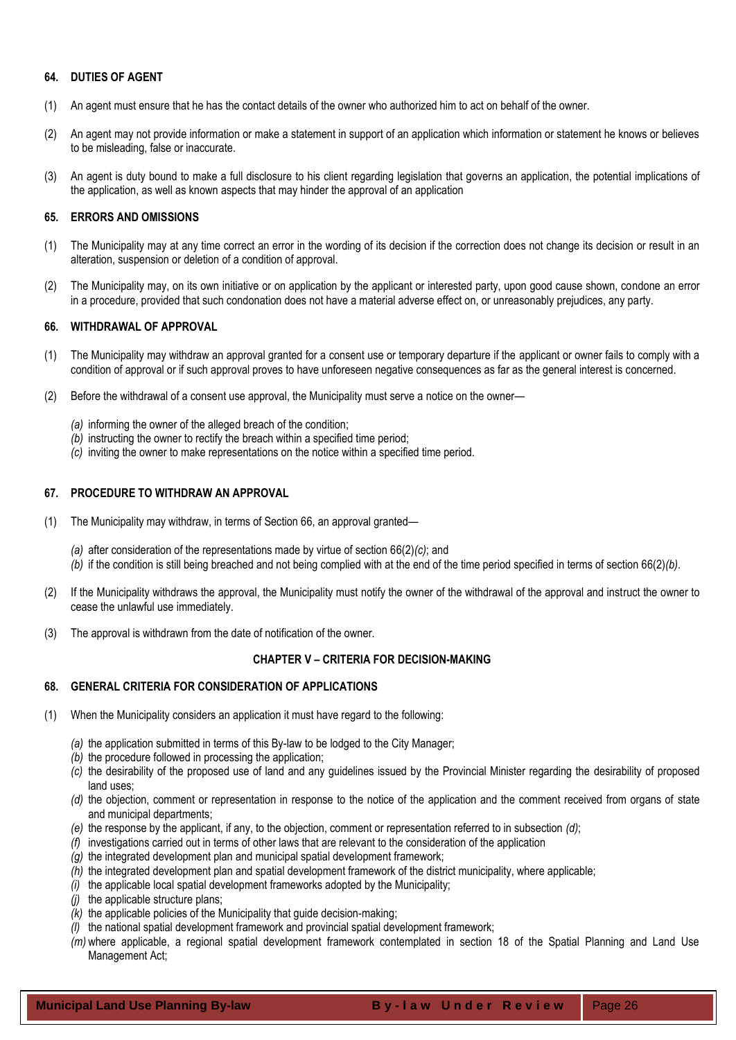## <span id="page-25-0"></span>**64. DUTIES OF AGENT**

- (1) An agent must ensure that he has the contact details of the owner who authorized him to act on behalf of the owner.
- (2) An agent may not provide information or make a statement in support of an application which information or statement he knows or believes to be misleading, false or inaccurate.
- (3) An agent is duty bound to make a full disclosure to his client regarding legislation that governs an application, the potential implications of the application, as well as known aspects that may hinder the approval of an application

## <span id="page-25-1"></span>**65. ERRORS AND OMISSIONS**

- (1) The Municipality may at any time correct an error in the wording of its decision if the correction does not change its decision or result in an alteration, suspension or deletion of a condition of approval.
- (2) The Municipality may, on its own initiative or on application by the applicant or interested party, upon good cause shown, condone an error in a procedure, provided that such condonation does not have a material adverse effect on, or unreasonably prejudices, any party.

#### <span id="page-25-2"></span>**66. WITHDRAWAL OF APPROVAL**

- (1) The Municipality may withdraw an approval granted for a consent use or temporary departure if the applicant or owner fails to comply with a condition of approval or if such approval proves to have unforeseen negative consequences as far as the general interest is concerned.
- (2) Before the withdrawal of a consent use approval, the Municipality must serve a notice on the owner—
	- *(a)* informing the owner of the alleged breach of the condition;
	- *(b)* instructing the owner to rectify the breach within a specified time period;
	- *(c)* inviting the owner to make representations on the notice within a specified time period.

## <span id="page-25-3"></span>**67. PROCEDURE TO WITHDRAW AN APPROVAL**

- (1) The Municipality may withdraw, in terms of Section 66, an approval granted—
	- *(a)* after consideration of the representations made by virtue of section 66(2)*(c)*; and
	- *(b)* if the condition is still being breached and not being complied with at the end of the time period specified in terms of section 66(2)*(b)*.
- (2) If the Municipality withdraws the approval, the Municipality must notify the owner of the withdrawal of the approval and instruct the owner to cease the unlawful use immediately.
- <span id="page-25-4"></span>(3) The approval is withdrawn from the date of notification of the owner.

## **CHAPTER V – CRITERIA FOR DECISION-MAKING**

#### <span id="page-25-5"></span>**68. GENERAL CRITERIA FOR CONSIDERATION OF APPLICATIONS**

- (1) When the Municipality considers an application it must have regard to the following:
	- *(a)* the application submitted in terms of this By-law to be lodged to the City Manager;
	- *(b)* the procedure followed in processing the application;
	- *(c)* the desirability of the proposed use of land and any guidelines issued by the Provincial Minister regarding the desirability of proposed land uses;
	- *(d)* the objection, comment or representation in response to the notice of the application and the comment received from organs of state and municipal departments;
	- *(e)* the response by the applicant, if any, to the objection, comment or representation referred to in subsection *(d)*;
	- *(f)* investigations carried out in terms of other laws that are relevant to the consideration of the application
	- *(g)* the integrated development plan and municipal spatial development framework;
	- *(h)* the integrated development plan and spatial development framework of the district municipality, where applicable;
	- *(i)* the applicable local spatial development frameworks adopted by the Municipality;
	- *(j)* the applicable structure plans;
	- *(k)* the applicable policies of the Municipality that guide decision-making;
	- *(l)* the national spatial development framework and provincial spatial development framework;
	- *(m)* where applicable, a regional spatial development framework contemplated in section 18 of the Spatial Planning and Land Use Management Act;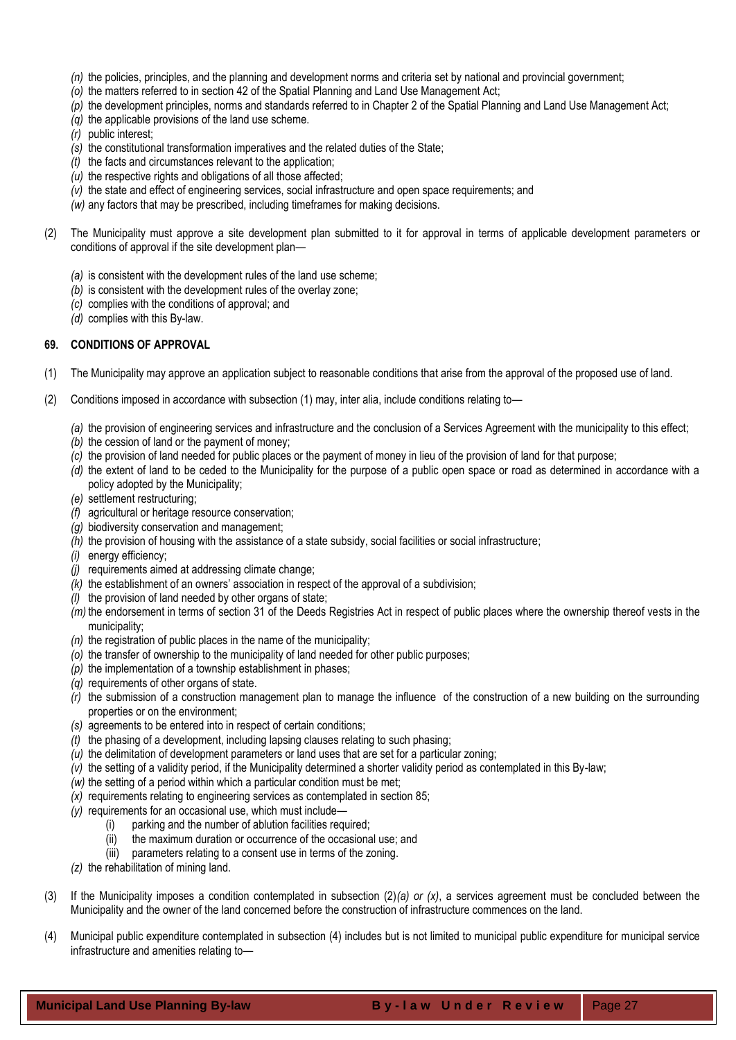- *(n)* the policies, principles, and the planning and development norms and criteria set by national and provincial government;
- *(o)* the matters referred to in section 42 of the Spatial Planning and Land Use Management Act;
- *(p)* the development principles, norms and standards referred to in Chapter 2 of the Spatial Planning and Land Use Management Act;
- *(q)* the applicable provisions of the land use scheme.
- *(r)* public interest;
- *(s)* the constitutional transformation imperatives and the related duties of the State;
- *(t)* the facts and circumstances relevant to the application;
- *(u)* the respective rights and obligations of all those affected;
- *(v)* the state and effect of engineering services, social infrastructure and open space requirements; and
- *(w)* any factors that may be prescribed, including timeframes for making decisions.
- (2) The Municipality must approve a site development plan submitted to it for approval in terms of applicable development parameters or conditions of approval if the site development plan—
	- *(a)* is consistent with the development rules of the land use scheme;
	- *(b)* is consistent with the development rules of the overlay zone;
	- *(c)* complies with the conditions of approval; and
	- *(d)* complies with this By-law.

## <span id="page-26-0"></span>**69. CONDITIONS OF APPROVAL**

- (1) The Municipality may approve an application subject to reasonable conditions that arise from the approval of the proposed use of land.
- (2) Conditions imposed in accordance with subsection (1) may, inter alia, include conditions relating to—
	- *(a)* the provision of engineering services and infrastructure and the conclusion of a Services Agreement with the municipality to this effect;
	- *(b)* the cession of land or the payment of money;
	- *(c)* the provision of land needed for public places or the payment of money in lieu of the provision of land for that purpose;
	- *(d)* the extent of land to be ceded to the Municipality for the purpose of a public open space or road as determined in accordance with a policy adopted by the Municipality;
	- *(e)* settlement restructuring;
	- *(f)* agricultural or heritage resource conservation;
	- *(g)* biodiversity conservation and management;
	- *(h)* the provision of housing with the assistance of a state subsidy, social facilities or social infrastructure;
	- *(i)* energy efficiency;
	- *(j)* requirements aimed at addressing climate change;
	- *(k)* the establishment of an owners' association in respect of the approval of a subdivision;
	- *(l)* the provision of land needed by other organs of state;
	- *(m)* the endorsement in terms of section 31 of the Deeds Registries Act in respect of public places where the ownership thereof vests in the municipality;
	- *(n)* the registration of public places in the name of the municipality;
	- *(o)* the transfer of ownership to the municipality of land needed for other public purposes;
	- *(p)* the implementation of a township establishment in phases;
	- *(q)* requirements of other organs of state.
	- *(r)* the submission of a construction management plan to manage the influence of the construction of a new building on the surrounding properties or on the environment;
	- *(s)* agreements to be entered into in respect of certain conditions;
	- *(t)* the phasing of a development, including lapsing clauses relating to such phasing;
	- *(u)* the delimitation of development parameters or land uses that are set for a particular zoning;
	- *(v)* the setting of a validity period, if the Municipality determined a shorter validity period as contemplated in this By-law;
	- *(w)* the setting of a period within which a particular condition must be met;
	- *(x)* requirements relating to engineering services as contemplated in section 85;
	- *(y)* requirements for an occasional use, which must include—
		- (i) parking and the number of ablution facilities required;
		- (ii) the maximum duration or occurrence of the occasional use; and
		- (iii) parameters relating to a consent use in terms of the zoning.
	- *(z)* the rehabilitation of mining land.
- (3) If the Municipality imposes a condition contemplated in subsection (2)*(a) or (x)*, a services agreement must be concluded between the Municipality and the owner of the land concerned before the construction of infrastructure commences on the land.
- (4) Municipal public expenditure contemplated in subsection (4) includes but is not limited to municipal public expenditure for municipal service infrastructure and amenities relating to—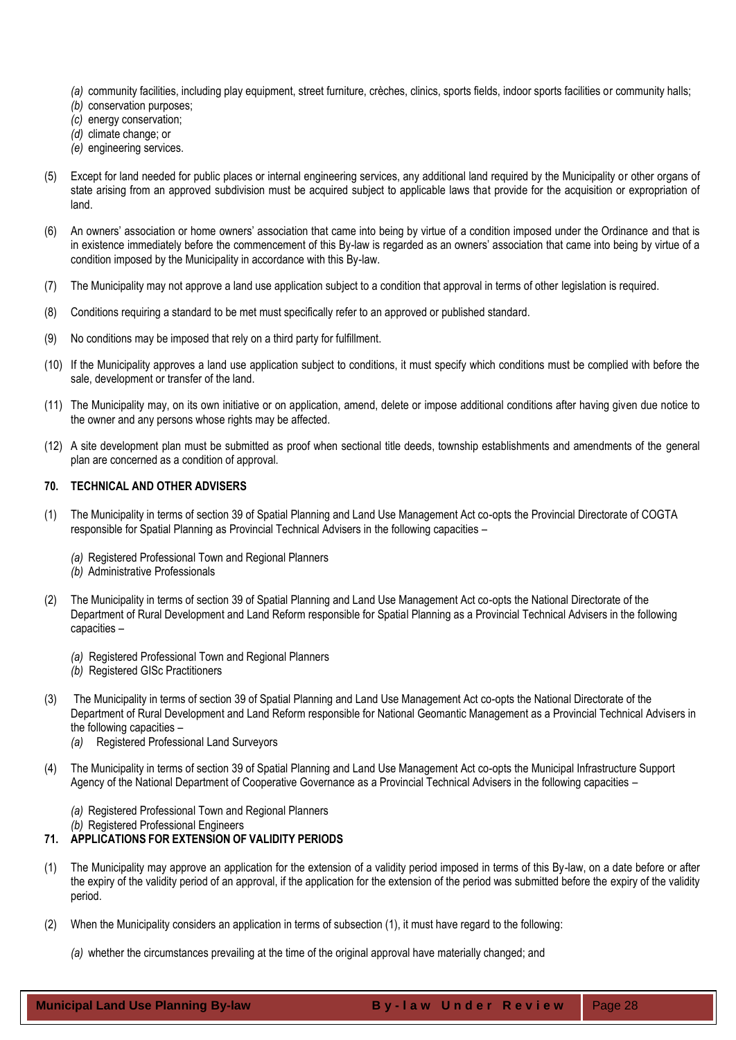- *(a)* community facilities, including play equipment, street furniture, crèches, clinics, sports fields, indoor sports facilities or community halls;
- *(b)* conservation purposes;
- *(c)* energy conservation;
- *(d)* climate change; or
- *(e)* engineering services.
- (5) Except for land needed for public places or internal engineering services, any additional land required by the Municipality or other organs of state arising from an approved subdivision must be acquired subject to applicable laws that provide for the acquisition or expropriation of land.
- (6) An owners' association or home owners' association that came into being by virtue of a condition imposed under the Ordinance and that is in existence immediately before the commencement of this By-law is regarded as an owners' association that came into being by virtue of a condition imposed by the Municipality in accordance with this By-law.
- (7) The Municipality may not approve a land use application subject to a condition that approval in terms of other legislation is required.
- (8) Conditions requiring a standard to be met must specifically refer to an approved or published standard.
- (9) No conditions may be imposed that rely on a third party for fulfillment.
- (10) If the Municipality approves a land use application subject to conditions, it must specify which conditions must be complied with before the sale, development or transfer of the land.
- (11) The Municipality may, on its own initiative or on application, amend, delete or impose additional conditions after having given due notice to the owner and any persons whose rights may be affected.
- (12) A site development plan must be submitted as proof when sectional title deeds, township establishments and amendments of the general plan are concerned as a condition of approval.

## <span id="page-27-0"></span>**70. TECHNICAL AND OTHER ADVISERS**

- (1) The Municipality in terms of section 39 of Spatial Planning and Land Use Management Act co-opts the Provincial Directorate of COGTA responsible for Spatial Planning as Provincial Technical Advisers in the following capacities –
	- *(a)* Registered Professional Town and Regional Planners
	- *(b)* Administrative Professionals
- (2) The Municipality in terms of section 39 of Spatial Planning and Land Use Management Act co-opts the National Directorate of the Department of Rural Development and Land Reform responsible for Spatial Planning as a Provincial Technical Advisers in the following capacities –
	- *(a)* Registered Professional Town and Regional Planners
	- *(b)* Registered GISc Practitioners
- (3) The Municipality in terms of section 39 of Spatial Planning and Land Use Management Act co-opts the National Directorate of the Department of Rural Development and Land Reform responsible for National Geomantic Management as a Provincial Technical Advisers in the following capacities –
	- *(a)* Registered Professional Land Surveyors
- (4) The Municipality in terms of section 39 of Spatial Planning and Land Use Management Act co-opts the Municipal Infrastructure Support Agency of the National Department of Cooperative Governance as a Provincial Technical Advisers in the following capacities –
	- *(a)* Registered Professional Town and Regional Planners
	- *(b)* Registered Professional Engineers

## <span id="page-27-1"></span>**71. APPLICATIONS FOR EXTENSION OF VALIDITY PERIODS**

- (1) The Municipality may approve an application for the extension of a validity period imposed in terms of this By-law, on a date before or after the expiry of the validity period of an approval, if the application for the extension of the period was submitted before the expiry of the validity period.
- (2) When the Municipality considers an application in terms of subsection (1), it must have regard to the following:
	- *(a)* whether the circumstances prevailing at the time of the original approval have materially changed; and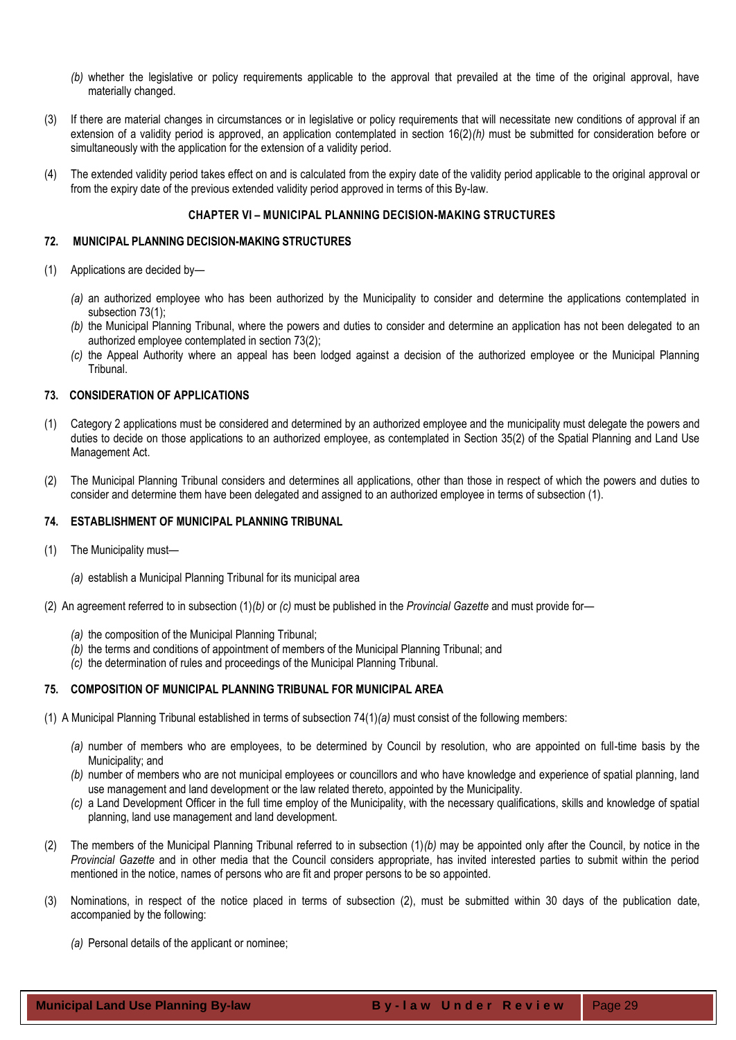- *(b)* whether the legislative or policy requirements applicable to the approval that prevailed at the time of the original approval, have materially changed.
- (3) If there are material changes in circumstances or in legislative or policy requirements that will necessitate new conditions of approval if an extension of a validity period is approved, an application contemplated in section 16(2)*(h)* must be submitted for consideration before or simultaneously with the application for the extension of a validity period.
- (4) The extended validity period takes effect on and is calculated from the expiry date of the validity period applicable to the original approval or from the expiry date of the previous extended validity period approved in terms of this By-law.

## **CHAPTER VI – MUNICIPAL PLANNING DECISION-MAKING STRUCTURES**

## <span id="page-28-1"></span><span id="page-28-0"></span>**72. MUNICIPAL PLANNING DECISION-MAKING STRUCTURES**

- (1) Applications are decided by—
	- *(a)* an authorized employee who has been authorized by the Municipality to consider and determine the applications contemplated in subsection 73(1);
	- *(b)* the Municipal Planning Tribunal, where the powers and duties to consider and determine an application has not been delegated to an authorized employee contemplated in section 73(2);
	- *(c)* the Appeal Authority where an appeal has been lodged against a decision of the authorized employee or the Municipal Planning Tribunal.

#### <span id="page-28-2"></span>**73. CONSIDERATION OF APPLICATIONS**

- (1) Category 2 applications must be considered and determined by an authorized employee and the municipality must delegate the powers and duties to decide on those applications to an authorized employee, as contemplated in Section 35(2) of the Spatial Planning and Land Use Management Act.
- (2) The Municipal Planning Tribunal considers and determines all applications, other than those in respect of which the powers and duties to consider and determine them have been delegated and assigned to an authorized employee in terms of subsection (1).

## <span id="page-28-3"></span>**74. ESTABLISHMENT OF MUNICIPAL PLANNING TRIBUNAL**

- (1) The Municipality must—
	- *(a)* establish a Municipal Planning Tribunal for its municipal area
- (2) An agreement referred to in subsection (1)*(b)* or *(c)* must be published in the *Provincial Gazette* and must provide for—
	- *(a)* the composition of the Municipal Planning Tribunal;
	- *(b)* the terms and conditions of appointment of members of the Municipal Planning Tribunal; and
	- *(c)* the determination of rules and proceedings of the Municipal Planning Tribunal.

## <span id="page-28-4"></span>**75. COMPOSITION OF MUNICIPAL PLANNING TRIBUNAL FOR MUNICIPAL AREA**

- (1) A Municipal Planning Tribunal established in terms of subsection 74(1)*(a)* must consist of the following members:
	- *(a)* number of members who are employees, to be determined by Council by resolution, who are appointed on full-time basis by the Municipality; and
	- *(b)* number of members who are not municipal employees or councillors and who have knowledge and experience of spatial planning, land use management and land development or the law related thereto, appointed by the Municipality.
	- *(c)* a Land Development Officer in the full time employ of the Municipality, with the necessary qualifications, skills and knowledge of spatial planning, land use management and land development.
- (2) The members of the Municipal Planning Tribunal referred to in subsection (1)*(b)* may be appointed only after the Council, by notice in the *Provincial Gazette* and in other media that the Council considers appropriate, has invited interested parties to submit within the period mentioned in the notice, names of persons who are fit and proper persons to be so appointed.
- (3) Nominations, in respect of the notice placed in terms of subsection (2), must be submitted within 30 days of the publication date, accompanied by the following:
	- *(a)* Personal details of the applicant or nominee;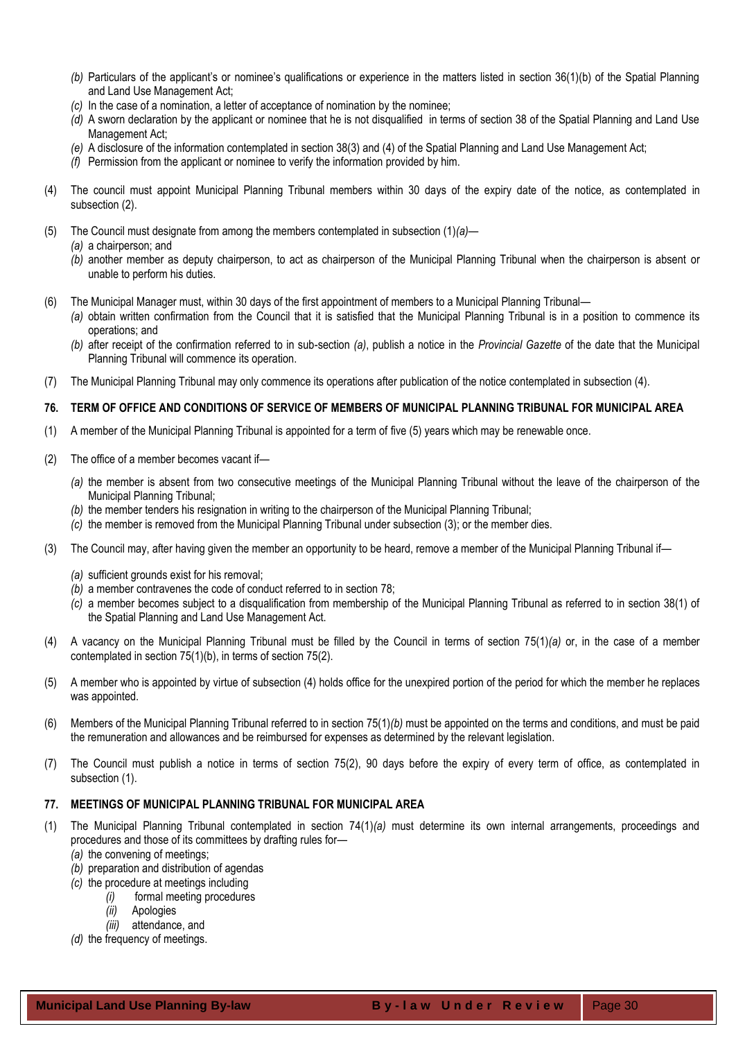- *(b)* Particulars of the applicant's or nominee's qualifications or experience in the matters listed in section 36(1)(b) of the Spatial Planning and Land Use Management Act;
- *(c)* In the case of a nomination, a letter of acceptance of nomination by the nominee;
- *(d)* A sworn declaration by the applicant or nominee that he is not disqualified in terms of section 38 of the Spatial Planning and Land Use Management Act;
- *(e)* A disclosure of the information contemplated in section 38(3) and (4) of the Spatial Planning and Land Use Management Act;
- *(f)* Permission from the applicant or nominee to verify the information provided by him.
- (4) The council must appoint Municipal Planning Tribunal members within 30 days of the expiry date of the notice, as contemplated in subsection (2).
- (5) The Council must designate from among the members contemplated in subsection (1)*(a)*
	- *(a)* a chairperson; and
	- *(b)* another member as deputy chairperson, to act as chairperson of the Municipal Planning Tribunal when the chairperson is absent or unable to perform his duties.
- (6) The Municipal Manager must, within 30 days of the first appointment of members to a Municipal Planning Tribunal—
	- *(a)* obtain written confirmation from the Council that it is satisfied that the Municipal Planning Tribunal is in a position to commence its operations; and
	- *(b)* after receipt of the confirmation referred to in sub-section *(a)*, publish a notice in the *Provincial Gazette* of the date that the Municipal Planning Tribunal will commence its operation.
- (7) The Municipal Planning Tribunal may only commence its operations after publication of the notice contemplated in subsection (4).

## <span id="page-29-0"></span>**76. TERM OF OFFICE AND CONDITIONS OF SERVICE OF MEMBERS OF MUNICIPAL PLANNING TRIBUNAL FOR MUNICIPAL AREA**

- (1) A member of the Municipal Planning Tribunal is appointed for a term of five (5) years which may be renewable once.
- (2) The office of a member becomes vacant if—
	- *(a)* the member is absent from two consecutive meetings of the Municipal Planning Tribunal without the leave of the chairperson of the Municipal Planning Tribunal;
	- *(b)* the member tenders his resignation in writing to the chairperson of the Municipal Planning Tribunal;
	- *(c)* the member is removed from the Municipal Planning Tribunal under subsection (3); or the member dies.
- (3) The Council may, after having given the member an opportunity to be heard, remove a member of the Municipal Planning Tribunal if—
	- *(a)* sufficient grounds exist for his removal;
	- *(b)* a member contravenes the code of conduct referred to in section 78;
	- *(c)* a member becomes subject to a disqualification from membership of the Municipal Planning Tribunal as referred to in section 38(1) of the Spatial Planning and Land Use Management Act.
- (4) A vacancy on the Municipal Planning Tribunal must be filled by the Council in terms of section 75(1)*(a)* or, in the case of a member contemplated in section 75(1)(b), in terms of section 75(2).
- (5) A member who is appointed by virtue of subsection (4) holds office for the unexpired portion of the period for which the member he replaces was appointed.
- (6) Members of the Municipal Planning Tribunal referred to in section 75(1)*(b)* must be appointed on the terms and conditions, and must be paid the remuneration and allowances and be reimbursed for expenses as determined by the relevant legislation.
- (7) The Council must publish a notice in terms of section 75(2), 90 days before the expiry of every term of office, as contemplated in subsection (1).

## <span id="page-29-1"></span>**77. MEETINGS OF MUNICIPAL PLANNING TRIBUNAL FOR MUNICIPAL AREA**

- (1) The Municipal Planning Tribunal contemplated in section 74(1)*(a)* must determine its own internal arrangements, proceedings and procedures and those of its committees by drafting rules for—
	- *(a)* the convening of meetings;
	- *(b)* preparation and distribution of agendas
	- *(c)* the procedure at meetings including
		- *(i)* formal meeting procedures
		- *(ii)* Apologies
	- *(iii)* attendance, and *(d)* the frequency of meetings.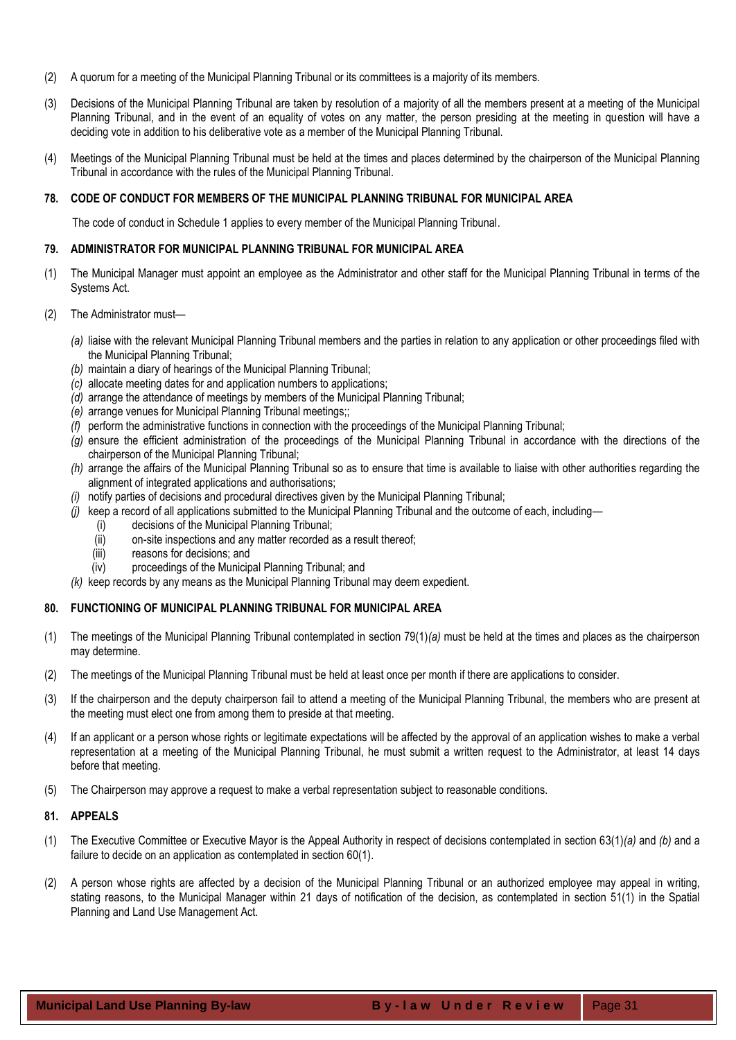- (2) A quorum for a meeting of the Municipal Planning Tribunal or its committees is a majority of its members.
- (3) Decisions of the Municipal Planning Tribunal are taken by resolution of a majority of all the members present at a meeting of the Municipal Planning Tribunal, and in the event of an equality of votes on any matter, the person presiding at the meeting in question will have a deciding vote in addition to his deliberative vote as a member of the Municipal Planning Tribunal.
- (4) Meetings of the Municipal Planning Tribunal must be held at the times and places determined by the chairperson of the Municipal Planning Tribunal in accordance with the rules of the Municipal Planning Tribunal.

## <span id="page-30-0"></span>**78. CODE OF CONDUCT FOR MEMBERS OF THE MUNICIPAL PLANNING TRIBUNAL FOR MUNICIPAL AREA**

The code of conduct in Schedule 1 applies to every member of the Municipal Planning Tribunal.

## <span id="page-30-1"></span>**79. ADMINISTRATOR FOR MUNICIPAL PLANNING TRIBUNAL FOR MUNICIPAL AREA**

- (1) The Municipal Manager must appoint an employee as the Administrator and other staff for the Municipal Planning Tribunal in terms of the Systems Act.
- (2) The Administrator must—
	- *(a)* liaise with the relevant Municipal Planning Tribunal members and the parties in relation to any application or other proceedings filed with the Municipal Planning Tribunal;
	- *(b)* maintain a diary of hearings of the Municipal Planning Tribunal;
	- *(c)* allocate meeting dates for and application numbers to applications;
	- *(d)* arrange the attendance of meetings by members of the Municipal Planning Tribunal;
	- *(e)* arrange venues for Municipal Planning Tribunal meetings;;
	- *(f)* perform the administrative functions in connection with the proceedings of the Municipal Planning Tribunal;
	- *(g)* ensure the efficient administration of the proceedings of the Municipal Planning Tribunal in accordance with the directions of the chairperson of the Municipal Planning Tribunal;
	- *(h)* arrange the affairs of the Municipal Planning Tribunal so as to ensure that time is available to liaise with other authorities regarding the alignment of integrated applications and authorisations;
	- *(i)* notify parties of decisions and procedural directives given by the Municipal Planning Tribunal;
	- *(j)* keep a record of all applications submitted to the Municipal Planning Tribunal and the outcome of each, including—
		- (i) decisions of the Municipal Planning Tribunal;
		- (ii) on-site inspections and any matter recorded as a result thereof;
		- (iii) reasons for decisions; and
		- (iv) proceedings of the Municipal Planning Tribunal; and
	- *(k)* keep records by any means as the Municipal Planning Tribunal may deem expedient.

## <span id="page-30-2"></span>**80. FUNCTIONING OF MUNICIPAL PLANNING TRIBUNAL FOR MUNICIPAL AREA**

- (1) The meetings of the Municipal Planning Tribunal contemplated in section 79(1)*(a)* must be held at the times and places as the chairperson may determine.
- (2) The meetings of the Municipal Planning Tribunal must be held at least once per month if there are applications to consider.
- (3) If the chairperson and the deputy chairperson fail to attend a meeting of the Municipal Planning Tribunal, the members who are present at the meeting must elect one from among them to preside at that meeting.
- (4) If an applicant or a person whose rights or legitimate expectations will be affected by the approval of an application wishes to make a verbal representation at a meeting of the Municipal Planning Tribunal, he must submit a written request to the Administrator, at least 14 days before that meeting.
- (5) The Chairperson may approve a request to make a verbal representation subject to reasonable conditions.

## <span id="page-30-3"></span>**81. APPEALS**

- (1) The Executive Committee or Executive Mayor is the Appeal Authority in respect of decisions contemplated in section 63(1)*(a)* and *(b)* and a failure to decide on an application as contemplated in section 60(1).
- (2) A person whose rights are affected by a decision of the Municipal Planning Tribunal or an authorized employee may appeal in writing, stating reasons, to the Municipal Manager within 21 days of notification of the decision, as contemplated in section 51(1) in the Spatial Planning and Land Use Management Act.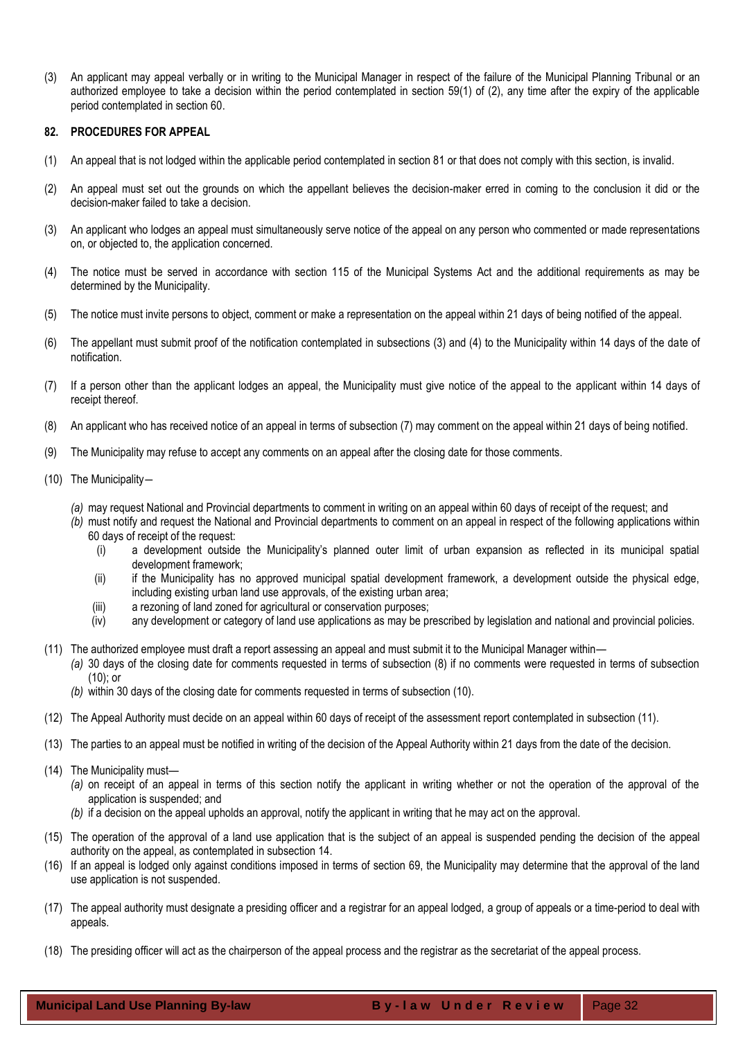(3) An applicant may appeal verbally or in writing to the Municipal Manager in respect of the failure of the Municipal Planning Tribunal or an authorized employee to take a decision within the period contemplated in section 59(1) of (2), any time after the expiry of the applicable period contemplated in section 60.

## <span id="page-31-0"></span>**82. PROCEDURES FOR APPEAL**

- (1) An appeal that is not lodged within the applicable period contemplated in section 81 or that does not comply with this section, is invalid.
- (2) An appeal must set out the grounds on which the appellant believes the decision-maker erred in coming to the conclusion it did or the decision-maker failed to take a decision.
- (3) An applicant who lodges an appeal must simultaneously serve notice of the appeal on any person who commented or made representations on, or objected to, the application concerned.
- (4) The notice must be served in accordance with section 115 of the Municipal Systems Act and the additional requirements as may be determined by the Municipality.
- (5) The notice must invite persons to object, comment or make a representation on the appeal within 21 days of being notified of the appeal.
- (6) The appellant must submit proof of the notification contemplated in subsections (3) and (4) to the Municipality within 14 days of the date of notification.
- (7) If a person other than the applicant lodges an appeal, the Municipality must give notice of the appeal to the applicant within 14 days of receipt thereof.
- (8) An applicant who has received notice of an appeal in terms of subsection (7) may comment on the appeal within 21 days of being notified.
- (9) The Municipality may refuse to accept any comments on an appeal after the closing date for those comments.
- (10) The Municipality―
	- *(a)* may request National and Provincial departments to comment in writing on an appeal within 60 days of receipt of the request; and
	- *(b)* must notify and request the National and Provincial departments to comment on an appeal in respect of the following applications within 60 days of receipt of the request:
		- (i) a development outside the Municipality's planned outer limit of urban expansion as reflected in its municipal spatial development framework;
		- (ii) if the Municipality has no approved municipal spatial development framework, a development outside the physical edge, including existing urban land use approvals, of the existing urban area;
		- (iii) a rezoning of land zoned for agricultural or conservation purposes;
		- (iv) any development or category of land use applications as may be prescribed by legislation and national and provincial policies.
- (11) The authorized employee must draft a report assessing an appeal and must submit it to the Municipal Manager within—
	- *(a)* 30 days of the closing date for comments requested in terms of subsection (8) if no comments were requested in terms of subsection (10); or
	- *(b)* within 30 days of the closing date for comments requested in terms of subsection (10).
- (12) The Appeal Authority must decide on an appeal within 60 days of receipt of the assessment report contemplated in subsection (11).
- (13) The parties to an appeal must be notified in writing of the decision of the Appeal Authority within 21 days from the date of the decision.
- (14) The Municipality must—
	- *(a)* on receipt of an appeal in terms of this section notify the applicant in writing whether or not the operation of the approval of the application is suspended; and
	- *(b)* if a decision on the appeal upholds an approval, notify the applicant in writing that he may act on the approval.
- (15) The operation of the approval of a land use application that is the subject of an appeal is suspended pending the decision of the appeal authority on the appeal, as contemplated in subsection 14.
- (16) If an appeal is lodged only against conditions imposed in terms of section 69, the Municipality may determine that the approval of the land use application is not suspended.
- (17) The appeal authority must designate a presiding officer and a registrar for an appeal lodged, a group of appeals or a time-period to deal with appeals.
- (18) The presiding officer will act as the chairperson of the appeal process and the registrar as the secretariat of the appeal process.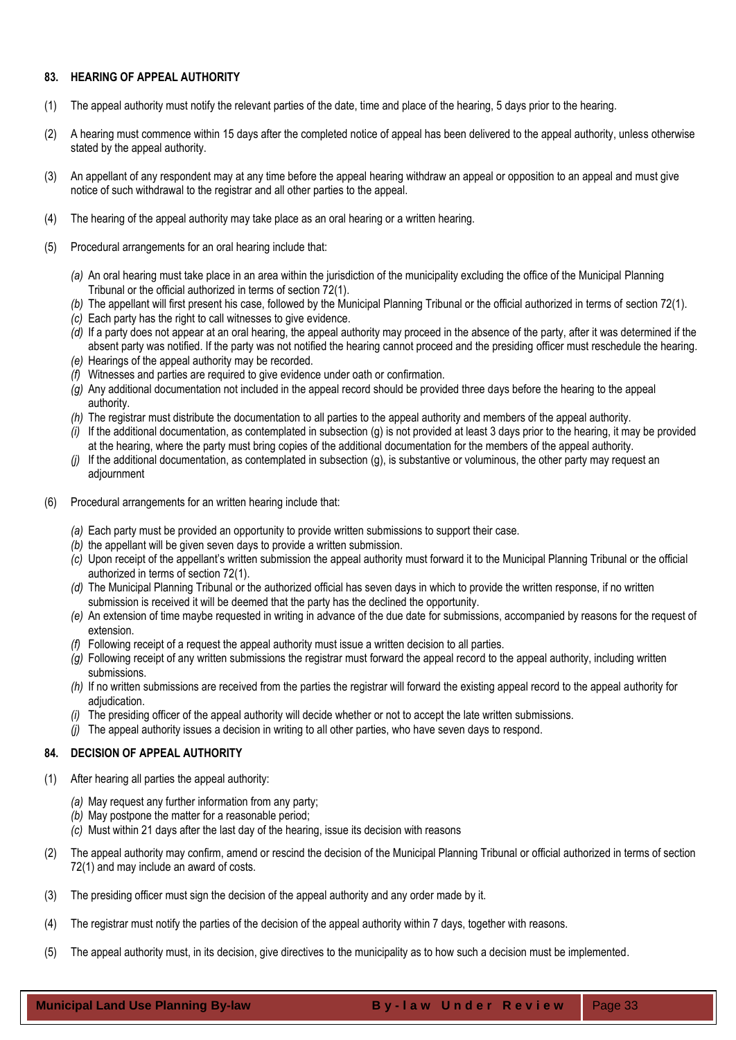## <span id="page-32-0"></span>**83. HEARING OF APPEAL AUTHORITY**

- (1) The appeal authority must notify the relevant parties of the date, time and place of the hearing, 5 days prior to the hearing.
- (2) A hearing must commence within 15 days after the completed notice of appeal has been delivered to the appeal authority, unless otherwise stated by the appeal authority.
- (3) An appellant of any respondent may at any time before the appeal hearing withdraw an appeal or opposition to an appeal and must give notice of such withdrawal to the registrar and all other parties to the appeal.
- (4) The hearing of the appeal authority may take place as an oral hearing or a written hearing.
- (5) Procedural arrangements for an oral hearing include that:
	- *(a)* An oral hearing must take place in an area within the jurisdiction of the municipality excluding the office of the Municipal Planning Tribunal or the official authorized in terms of section 72(1).
	- *(b)* The appellant will first present his case, followed by the Municipal Planning Tribunal or the official authorized in terms of section 72(1).
	- *(c)* Each party has the right to call witnesses to give evidence.
	- *(d)* If a party does not appear at an oral hearing, the appeal authority may proceed in the absence of the party, after it was determined if the absent party was notified. If the party was not notified the hearing cannot proceed and the presiding officer must reschedule the hearing.
	- *(e)* Hearings of the appeal authority may be recorded.
	- *(f)* Witnesses and parties are required to give evidence under oath or confirmation.
	- *(g)* Any additional documentation not included in the appeal record should be provided three days before the hearing to the appeal authority.
	- *(h)* The registrar must distribute the documentation to all parties to the appeal authority and members of the appeal authority.
	- *(i)* If the additional documentation, as contemplated in subsection (g) is not provided at least 3 days prior to the hearing, it may be provided at the hearing, where the party must bring copies of the additional documentation for the members of the appeal authority.
	- *(j)* If the additional documentation, as contemplated in subsection (g), is substantive or voluminous, the other party may request an adjournment
- (6) Procedural arrangements for an written hearing include that:
	- *(a)* Each party must be provided an opportunity to provide written submissions to support their case.
	- *(b)* the appellant will be given seven days to provide a written submission.
	- *(c)* Upon receipt of the appellant's written submission the appeal authority must forward it to the Municipal Planning Tribunal or the official authorized in terms of section 72(1).
	- *(d)* The Municipal Planning Tribunal or the authorized official has seven days in which to provide the written response, if no written submission is received it will be deemed that the party has the declined the opportunity.
	- *(e)* An extension of time maybe requested in writing in advance of the due date for submissions, accompanied by reasons for the request of extension.
	- *(f)* Following receipt of a request the appeal authority must issue a written decision to all parties.
	- *(g)* Following receipt of any written submissions the registrar must forward the appeal record to the appeal authority, including written submissions.
	- *(h)* If no written submissions are received from the parties the registrar will forward the existing appeal record to the appeal authority for adjudication.
	- The presiding officer of the appeal authority will decide whether or not to accept the late written submissions.
	- *(j)* The appeal authority issues a decision in writing to all other parties, who have seven days to respond.

# <span id="page-32-1"></span>**84. DECISION OF APPEAL AUTHORITY**

- (1) After hearing all parties the appeal authority:
	- *(a)* May request any further information from any party;
	- *(b)* May postpone the matter for a reasonable period;
	- *(c)* Must within 21 days after the last day of the hearing, issue its decision with reasons
- (2) The appeal authority may confirm, amend or rescind the decision of the Municipal Planning Tribunal or official authorized in terms of section 72(1) and may include an award of costs.
- (3) The presiding officer must sign the decision of the appeal authority and any order made by it.
- (4) The registrar must notify the parties of the decision of the appeal authority within 7 days, together with reasons.
- (5) The appeal authority must, in its decision, give directives to the municipality as to how such a decision must be implemented.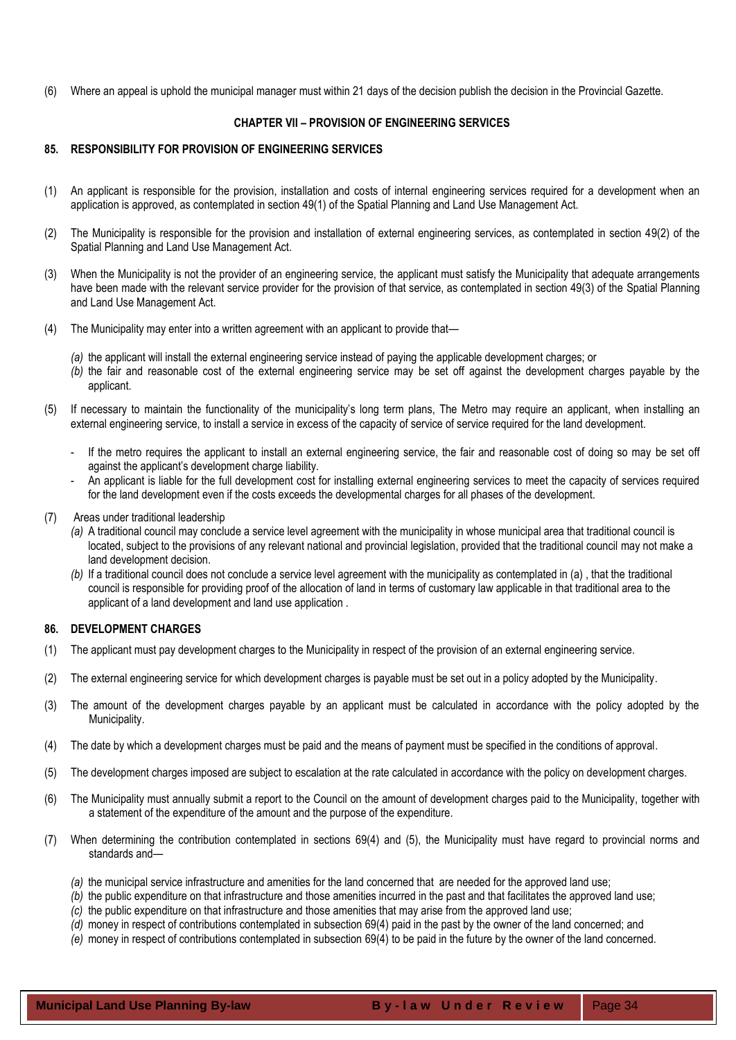(6) Where an appeal is uphold the municipal manager must within 21 days of the decision publish the decision in the Provincial Gazette.

## **CHAPTER VII – PROVISION OF ENGINEERING SERVICES**

#### <span id="page-33-1"></span><span id="page-33-0"></span>**85. RESPONSIBILITY FOR PROVISION OF ENGINEERING SERVICES**

- (1) An applicant is responsible for the provision, installation and costs of internal engineering services required for a development when an application is approved, as contemplated in section 49(1) of the Spatial Planning and Land Use Management Act.
- (2) The Municipality is responsible for the provision and installation of external engineering services, as contemplated in section 49(2) of the Spatial Planning and Land Use Management Act.
- (3) When the Municipality is not the provider of an engineering service, the applicant must satisfy the Municipality that adequate arrangements have been made with the relevant service provider for the provision of that service, as contemplated in section 49(3) of the Spatial Planning and Land Use Management Act.
- (4) The Municipality may enter into a written agreement with an applicant to provide that—
	- *(a)* the applicant will install the external engineering service instead of paying the applicable development charges; or
	- *(b)* the fair and reasonable cost of the external engineering service may be set off against the development charges payable by the applicant.
- (5) If necessary to maintain the functionality of the municipality's long term plans, The Metro may require an applicant, when installing an external engineering service, to install a service in excess of the capacity of service of service required for the land development.
	- If the metro requires the applicant to install an external engineering service, the fair and reasonable cost of doing so may be set off against the applicant's development charge liability.
	- An applicant is liable for the full development cost for installing external engineering services to meet the capacity of services required for the land development even if the costs exceeds the developmental charges for all phases of the development.
- (7) Areas under traditional leadership
	- *(a)* A traditional council may conclude a service level agreement with the municipality in whose municipal area that traditional council is located, subject to the provisions of any relevant national and provincial legislation, provided that the traditional council may not make a land development decision.
	- *(b)* If a traditional council does not conclude a service level agreement with the municipality as contemplated in (a) , that the traditional council is responsible for providing proof of the allocation of land in terms of customary law applicable in that traditional area to the applicant of a land development and land use application .

#### <span id="page-33-2"></span>**86. DEVELOPMENT CHARGES**

- (1) The applicant must pay development charges to the Municipality in respect of the provision of an external engineering service.
- (2) The external engineering service for which development charges is payable must be set out in a policy adopted by the Municipality.
- (3) The amount of the development charges payable by an applicant must be calculated in accordance with the policy adopted by the Municipality.
- (4) The date by which a development charges must be paid and the means of payment must be specified in the conditions of approval.
- (5) The development charges imposed are subject to escalation at the rate calculated in accordance with the policy on development charges.
- (6) The Municipality must annually submit a report to the Council on the amount of development charges paid to the Municipality, together with a statement of the expenditure of the amount and the purpose of the expenditure.
- (7) When determining the contribution contemplated in sections 69(4) and (5), the Municipality must have regard to provincial norms and standards and—
	- *(a)* the municipal service infrastructure and amenities for the land concerned that are needed for the approved land use;
	- *(b)* the public expenditure on that infrastructure and those amenities incurred in the past and that facilitates the approved land use;
	- *(c)* the public expenditure on that infrastructure and those amenities that may arise from the approved land use;
	- *(d)* money in respect of contributions contemplated in subsection 69(4) paid in the past by the owner of the land concerned; and
	- *(e)* money in respect of contributions contemplated in subsection 69(4) to be paid in the future by the owner of the land concerned.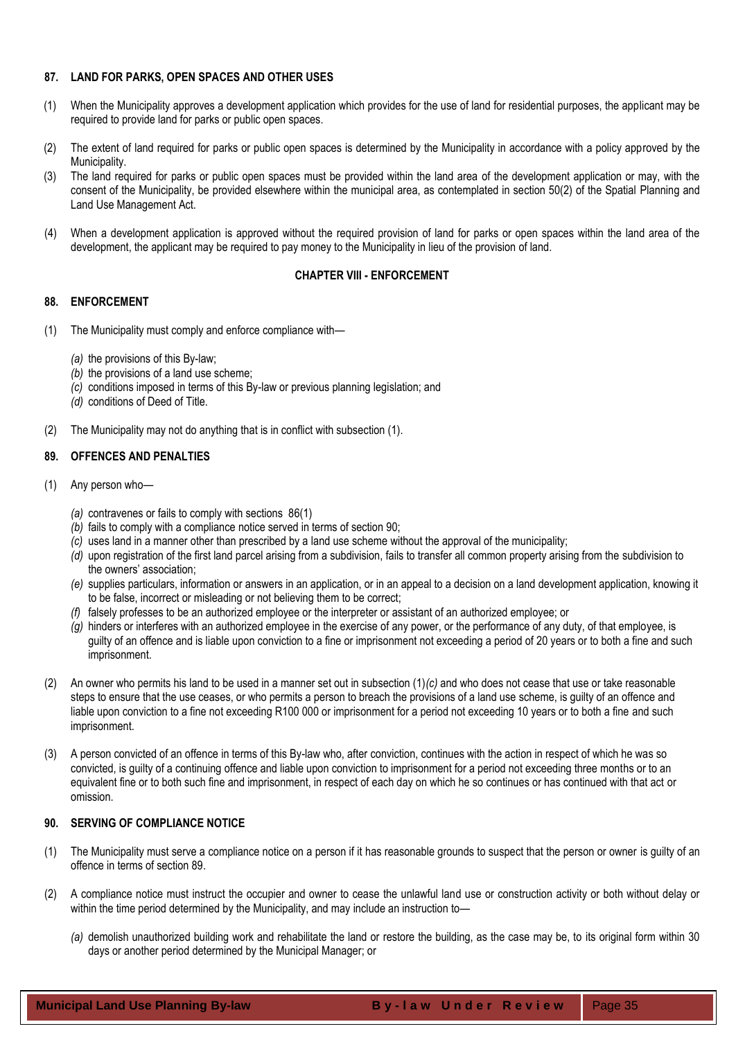## <span id="page-34-0"></span>**87. LAND FOR PARKS, OPEN SPACES AND OTHER USES**

- (1) When the Municipality approves a development application which provides for the use of land for residential purposes, the applicant may be required to provide land for parks or public open spaces.
- (2) The extent of land required for parks or public open spaces is determined by the Municipality in accordance with a policy approved by the Municipality.
- (3) The land required for parks or public open spaces must be provided within the land area of the development application or may, with the consent of the Municipality, be provided elsewhere within the municipal area, as contemplated in section 50(2) of the Spatial Planning and Land Use Management Act.
- (4) When a development application is approved without the required provision of land for parks or open spaces within the land area of the development, the applicant may be required to pay money to the Municipality in lieu of the provision of land.

## **CHAPTER VIII - ENFORCEMENT**

## <span id="page-34-2"></span><span id="page-34-1"></span>**88. ENFORCEMENT**

- (1) The Municipality must comply and enforce compliance with—
	- *(a)* the provisions of this By-law;
	- *(b)* the provisions of a land use scheme;
	- *(c)* conditions imposed in terms of this By-law or previous planning legislation; and
	- *(d)* conditions of Deed of Title.
- (2) The Municipality may not do anything that is in conflict with subsection (1).

## <span id="page-34-3"></span>**89. OFFENCES AND PENALTIES**

- (1) Any person who—
	- *(a)* contravenes or fails to comply with sections 86(1)
	- *(b)* fails to comply with a compliance notice served in terms of section 90;
	- *(c)* uses land in a manner other than prescribed by a land use scheme without the approval of the municipality;
	- *(d)* upon registration of the first land parcel arising from a subdivision, fails to transfer all common property arising from the subdivision to the owners' association;
	- *(e)* supplies particulars, information or answers in an application, or in an appeal to a decision on a land development application, knowing it to be false, incorrect or misleading or not believing them to be correct;
	- *(f)* falsely professes to be an authorized employee or the interpreter or assistant of an authorized employee; or
	- *(g)* hinders or interferes with an authorized employee in the exercise of any power, or the performance of any duty, of that employee, is guilty of an offence and is liable upon conviction to a fine or imprisonment not exceeding a period of 20 years or to both a fine and such imprisonment.
- (2) An owner who permits his land to be used in a manner set out in subsection (1)*(c)* and who does not cease that use or take reasonable steps to ensure that the use ceases, or who permits a person to breach the provisions of a land use scheme, is guilty of an offence and liable upon conviction to a fine not exceeding R100 000 or imprisonment for a period not exceeding 10 years or to both a fine and such imprisonment.
- (3) A person convicted of an offence in terms of this By-law who, after conviction, continues with the action in respect of which he was so convicted, is guilty of a continuing offence and liable upon conviction to imprisonment for a period not exceeding three months or to an equivalent fine or to both such fine and imprisonment, in respect of each day on which he so continues or has continued with that act or omission.

# <span id="page-34-4"></span>**90. SERVING OF COMPLIANCE NOTICE**

- (1) The Municipality must serve a compliance notice on a person if it has reasonable grounds to suspect that the person or owner is guilty of an offence in terms of section 89.
- (2) A compliance notice must instruct the occupier and owner to cease the unlawful land use or construction activity or both without delay or within the time period determined by the Municipality, and may include an instruction to-
	- *(a)* demolish unauthorized building work and rehabilitate the land or restore the building, as the case may be, to its original form within 30 days or another period determined by the Municipal Manager; or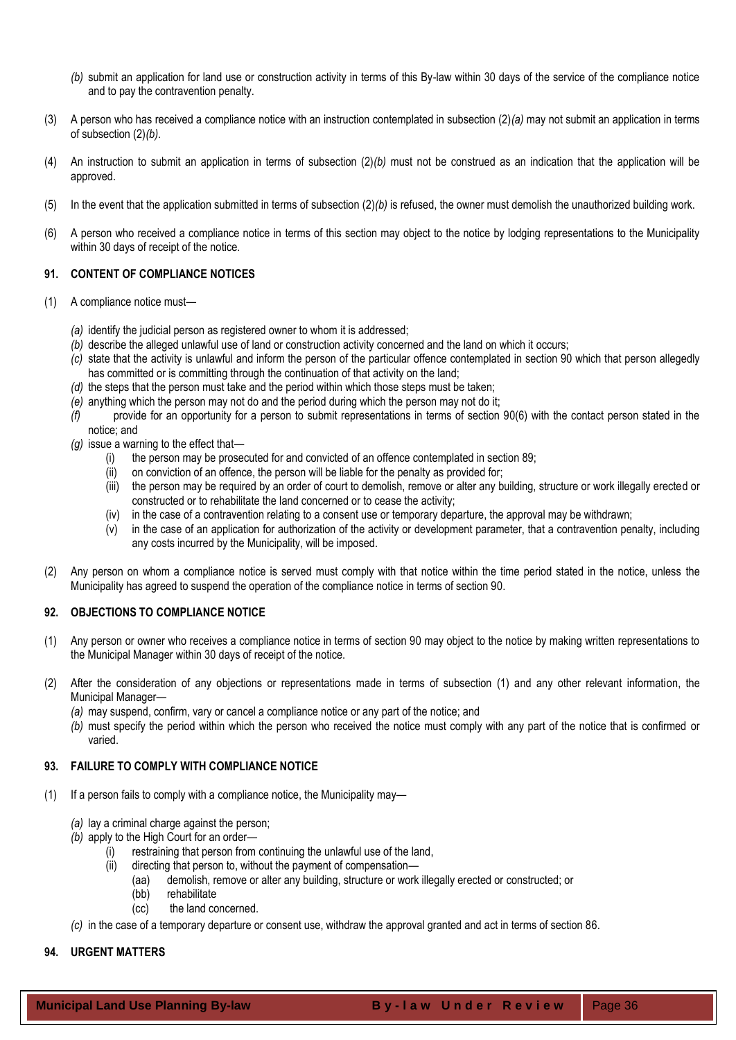- *(b)* submit an application for land use or construction activity in terms of this By-law within 30 days of the service of the compliance notice and to pay the contravention penalty.
- (3) A person who has received a compliance notice with an instruction contemplated in subsection (2)*(a)* may not submit an application in terms of subsection (2)*(b)*.
- (4) An instruction to submit an application in terms of subsection (2)*(b)* must not be construed as an indication that the application will be approved.
- (5) In the event that the application submitted in terms of subsection (2)*(b)* is refused, the owner must demolish the unauthorized building work.
- (6) A person who received a compliance notice in terms of this section may object to the notice by lodging representations to the Municipality within 30 days of receipt of the notice.

## <span id="page-35-0"></span>**91. CONTENT OF COMPLIANCE NOTICES**

- (1) A compliance notice must—
	- *(a)* identify the judicial person as registered owner to whom it is addressed;
	- *(b)* describe the alleged unlawful use of land or construction activity concerned and the land on which it occurs;
	- *(c)* state that the activity is unlawful and inform the person of the particular offence contemplated in section 90 which that person allegedly has committed or is committing through the continuation of that activity on the land;
	- *(d)* the steps that the person must take and the period within which those steps must be taken;
	- *(e)* anything which the person may not do and the period during which the person may not do it;
	- *(f)* provide for an opportunity for a person to submit representations in terms of section 90(6) with the contact person stated in the notice; and
	- *(g)* issue a warning to the effect that—
		- (i) the person may be prosecuted for and convicted of an offence contemplated in section 89;
		- (ii) on conviction of an offence, the person will be liable for the penalty as provided for;
		- (iii) the person may be required by an order of court to demolish, remove or alter any building, structure or work illegally erected or constructed or to rehabilitate the land concerned or to cease the activity;
		- (iv) in the case of a contravention relating to a consent use or temporary departure, the approval may be withdrawn;
		- (v) in the case of an application for authorization of the activity or development parameter, that a contravention penalty, including any costs incurred by the Municipality, will be imposed.
- (2) Any person on whom a compliance notice is served must comply with that notice within the time period stated in the notice, unless the Municipality has agreed to suspend the operation of the compliance notice in terms of section 90.

## <span id="page-35-1"></span>**92. OBJECTIONS TO COMPLIANCE NOTICE**

- (1) Any person or owner who receives a compliance notice in terms of section 90 may object to the notice by making written representations to the Municipal Manager within 30 days of receipt of the notice.
- (2) After the consideration of any objections or representations made in terms of subsection (1) and any other relevant information, the Municipal Manager—
	- *(a)* may suspend, confirm, vary or cancel a compliance notice or any part of the notice; and
	- *(b)* must specify the period within which the person who received the notice must comply with any part of the notice that is confirmed or varied.

## <span id="page-35-2"></span>**93. FAILURE TO COMPLY WITH COMPLIANCE NOTICE**

- (1) If a person fails to comply with a compliance notice, the Municipality may—
	- *(a)* lay a criminal charge against the person;
	- *(b)* apply to the High Court for an order—
		- (i) restraining that person from continuing the unlawful use of the land,
		- (ii) directing that person to, without the payment of compensation—
			- (aa) demolish, remove or alter any building, structure or work illegally erected or constructed; or
			- (bb) rehabilitate
			- (cc) the land concerned.
	- *(c)* in the case of a temporary departure or consent use, withdraw the approval granted and act in terms of section 86.

## <span id="page-35-3"></span>**94. URGENT MATTERS**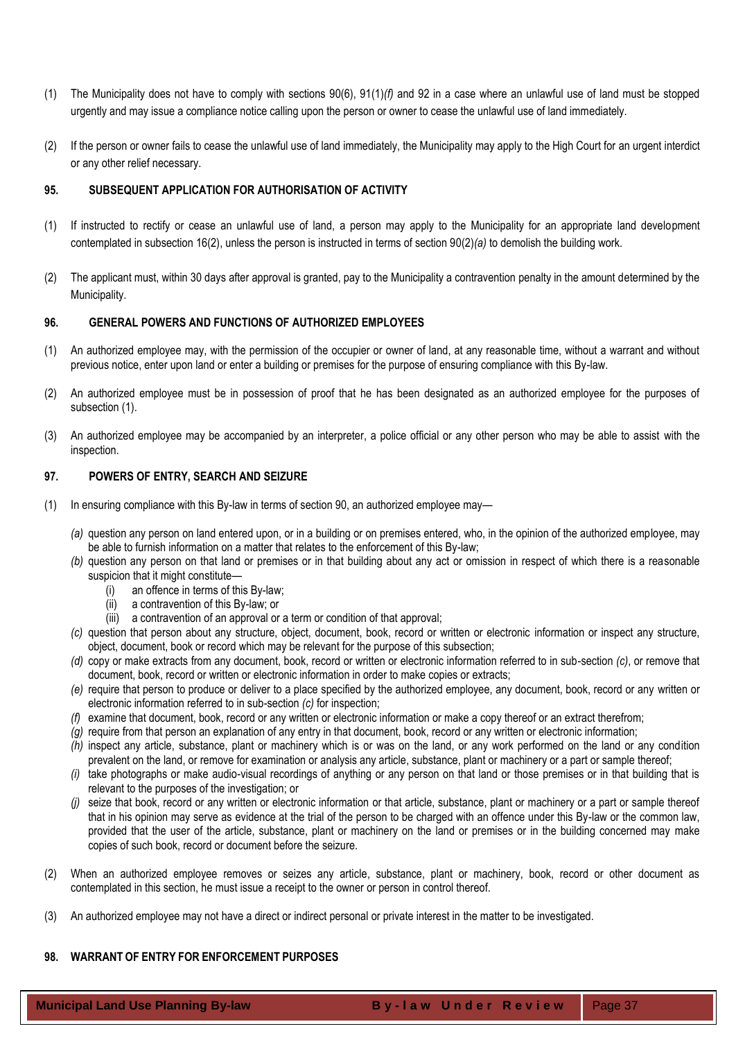- (1) The Municipality does not have to comply with sections 90(6), 91(1)*(f)* and 92 in a case where an unlawful use of land must be stopped urgently and may issue a compliance notice calling upon the person or owner to cease the unlawful use of land immediately.
- (2) If the person or owner fails to cease the unlawful use of land immediately, the Municipality may apply to the High Court for an urgent interdict or any other relief necessary.

## <span id="page-36-0"></span>**95. SUBSEQUENT APPLICATION FOR AUTHORISATION OF ACTIVITY**

- (1) If instructed to rectify or cease an unlawful use of land, a person may apply to the Municipality for an appropriate land development contemplated in subsection 16(2), unless the person is instructed in terms of section 90(2)*(a)* to demolish the building work.
- (2) The applicant must, within 30 days after approval is granted, pay to the Municipality a contravention penalty in the amount determined by the Municipality.

## <span id="page-36-1"></span>**96. GENERAL POWERS AND FUNCTIONS OF AUTHORIZED EMPLOYEES**

- (1) An authorized employee may, with the permission of the occupier or owner of land, at any reasonable time, without a warrant and without previous notice, enter upon land or enter a building or premises for the purpose of ensuring compliance with this By-law.
- (2) An authorized employee must be in possession of proof that he has been designated as an authorized employee for the purposes of subsection (1).
- (3) An authorized employee may be accompanied by an interpreter, a police official or any other person who may be able to assist with the inspection.

## <span id="page-36-2"></span>**97. POWERS OF ENTRY, SEARCH AND SEIZURE**

- (1) In ensuring compliance with this By-law in terms of section 90, an authorized employee may—
	- *(a)* question any person on land entered upon, or in a building or on premises entered, who, in the opinion of the authorized employee, may be able to furnish information on a matter that relates to the enforcement of this By-law;
	- *(b)* question any person on that land or premises or in that building about any act or omission in respect of which there is a reasonable suspicion that it might constitute—
		- (i) an offence in terms of this By-law;
		- (ii) a contravention of this By-law; or
		- (iii) a contravention of an approval or a term or condition of that approval;
	- *(c)* question that person about any structure, object, document, book, record or written or electronic information or inspect any structure, object, document, book or record which may be relevant for the purpose of this subsection;
	- *(d)* copy or make extracts from any document, book, record or written or electronic information referred to in sub-section *(c)*, or remove that document, book, record or written or electronic information in order to make copies or extracts;
	- *(e)* require that person to produce or deliver to a place specified by the authorized employee, any document, book, record or any written or electronic information referred to in sub-section *(c)* for inspection;
	- *(f)* examine that document, book, record or any written or electronic information or make a copy thereof or an extract therefrom;
	- *(g)* require from that person an explanation of any entry in that document, book, record or any written or electronic information;
	- *(h)* inspect any article, substance, plant or machinery which is or was on the land, or any work performed on the land or any condition prevalent on the land, or remove for examination or analysis any article, substance, plant or machinery or a part or sample thereof;
	- *(i)* take photographs or make audio-visual recordings of anything or any person on that land or those premises or in that building that is relevant to the purposes of the investigation; or
	- *(j)* seize that book, record or any written or electronic information or that article, substance, plant or machinery or a part or sample thereof that in his opinion may serve as evidence at the trial of the person to be charged with an offence under this By-law or the common law, provided that the user of the article, substance, plant or machinery on the land or premises or in the building concerned may make copies of such book, record or document before the seizure.
- (2) When an authorized employee removes or seizes any article, substance, plant or machinery, book, record or other document as contemplated in this section, he must issue a receipt to the owner or person in control thereof.
- <span id="page-36-3"></span>(3) An authorized employee may not have a direct or indirect personal or private interest in the matter to be investigated.

## **98. WARRANT OF ENTRY FOR ENFORCEMENT PURPOSES**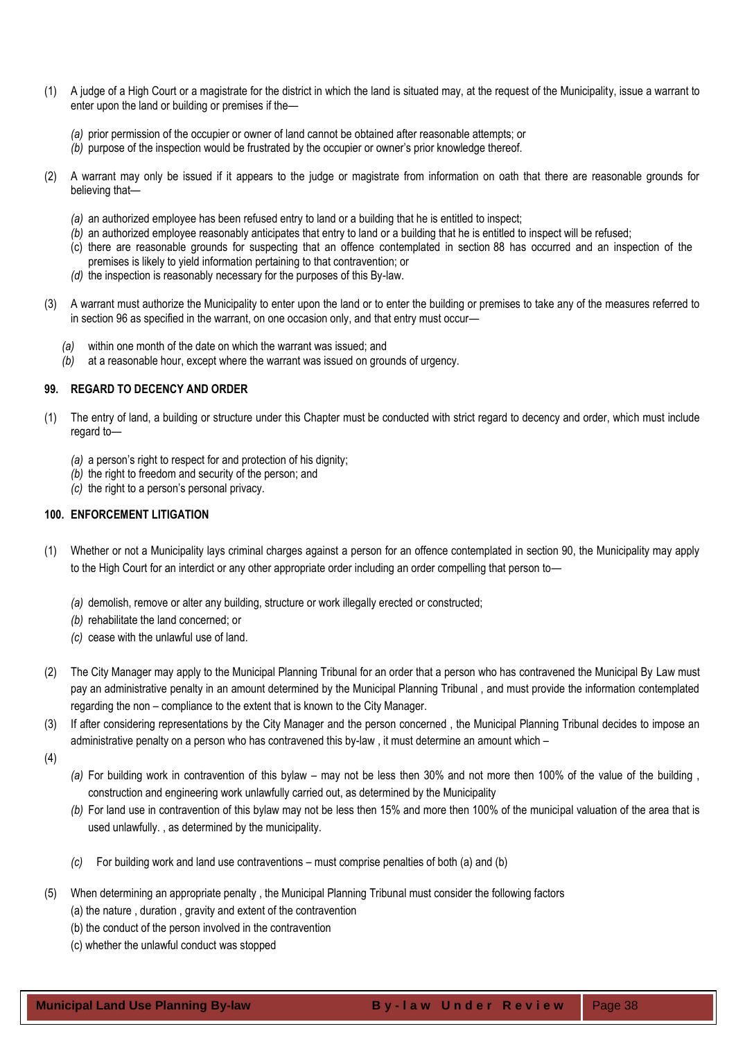- (1) A judge of a High Court or a magistrate for the district in which the land is situated may, at the request of the Municipality, issue a warrant to enter upon the land or building or premises if the—
	- *(a)* prior permission of the occupier or owner of land cannot be obtained after reasonable attempts; or
	- *(b)* purpose of the inspection would be frustrated by the occupier or owner's prior knowledge thereof.
- (2) A warrant may only be issued if it appears to the judge or magistrate from information on oath that there are reasonable grounds for believing that—
	- *(a)* an authorized employee has been refused entry to land or a building that he is entitled to inspect;
	- *(b)* an authorized employee reasonably anticipates that entry to land or a building that he is entitled to inspect will be refused;
	- (c) there are reasonable grounds for suspecting that an offence contemplated in section 88 has occurred and an inspection of the premises is likely to yield information pertaining to that contravention; or
	- *(d)* the inspection is reasonably necessary for the purposes of this By-law.
- (3) A warrant must authorize the Municipality to enter upon the land or to enter the building or premises to take any of the measures referred to in section 96 as specified in the warrant, on one occasion only, and that entry must occur—
	- *(a)* within one month of the date on which the warrant was issued; and
	- *(b)* at a reasonable hour, except where the warrant was issued on grounds of urgency.

#### <span id="page-37-0"></span>**99. REGARD TO DECENCY AND ORDER**

- (1) The entry of land, a building or structure under this Chapter must be conducted with strict regard to decency and order, which must include regard to—
	- *(a)* a person's right to respect for and protection of his dignity;
	- *(b)* the right to freedom and security of the person; and
	- *(c)* the right to a person's personal privacy.

## <span id="page-37-1"></span>**100. ENFORCEMENT LITIGATION**

- (1) Whether or not a Municipality lays criminal charges against a person for an offence contemplated in section 90, the Municipality may apply to the High Court for an interdict or any other appropriate order including an order compelling that person to—
	- *(a)* demolish, remove or alter any building, structure or work illegally erected or constructed;
	- *(b)* rehabilitate the land concerned; or
	- *(c)* cease with the unlawful use of land.
- (2) The City Manager may apply to the Municipal Planning Tribunal for an order that a person who has contravened the Municipal By Law must pay an administrative penalty in an amount determined by the Municipal Planning Tribunal , and must provide the information contemplated regarding the non – compliance to the extent that is known to the City Manager.
- (3) If after considering representations by the City Manager and the person concerned , the Municipal Planning Tribunal decides to impose an administrative penalty on a person who has contravened this by-law , it must determine an amount which –
- (4)
- *(a)* For building work in contravention of this bylaw may not be less then 30% and not more then 100% of the value of the building , construction and engineering work unlawfully carried out, as determined by the Municipality
- *(b)* For land use in contravention of this bylaw may not be less then 15% and more then 100% of the municipal valuation of the area that is used unlawfully. , as determined by the municipality.
- *(c)* For building work and land use contraventions must comprise penalties of both (a) and (b)
- (5) When determining an appropriate penalty , the Municipal Planning Tribunal must consider the following factors
	- (a) the nature , duration , gravity and extent of the contravention
	- (b) the conduct of the person involved in the contravention
	- (c) whether the unlawful conduct was stopped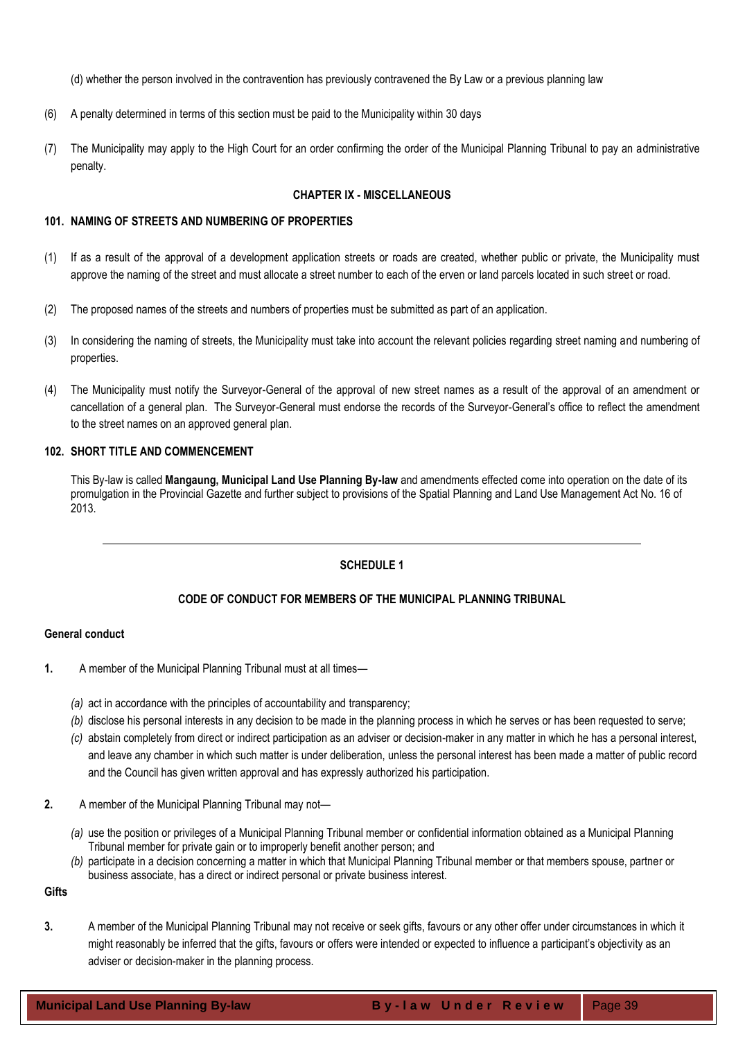- (d) whether the person involved in the contravention has previously contravened the By Law or a previous planning law
- (6) A penalty determined in terms of this section must be paid to the Municipality within 30 days
- <span id="page-38-0"></span>(7) The Municipality may apply to the High Court for an order confirming the order of the Municipal Planning Tribunal to pay an administrative penalty.

## **CHAPTER IX - MISCELLANEOUS**

## <span id="page-38-1"></span>**101. NAMING OF STREETS AND NUMBERING OF PROPERTIES**

- (1) If as a result of the approval of a development application streets or roads are created, whether public or private, the Municipality must approve the naming of the street and must allocate a street number to each of the erven or land parcels located in such street or road.
- (2) The proposed names of the streets and numbers of properties must be submitted as part of an application.
- (3) In considering the naming of streets, the Municipality must take into account the relevant policies regarding street naming and numbering of properties.
- (4) The Municipality must notify the Surveyor-General of the approval of new street names as a result of the approval of an amendment or cancellation of a general plan. The Surveyor-General must endorse the records of the Surveyor-General's office to reflect the amendment to the street names on an approved general plan.

## <span id="page-38-2"></span>**102. SHORT TITLE AND COMMENCEMENT**

This By-law is called **Mangaung, Municipal Land Use Planning By-law** and amendments effected come into operation on the date of its promulgation in the Provincial Gazette and further subject to provisions of the Spatial Planning and Land Use Management Act No. 16 of 2013.

# **SCHEDULE 1**

## **CODE OF CONDUCT FOR MEMBERS OF THE MUNICIPAL PLANNING TRIBUNAL**

## **General conduct**

- **1.** A member of the Municipal Planning Tribunal must at all times—
	- *(a)* act in accordance with the principles of accountability and transparency;
	- *(b)* disclose his personal interests in any decision to be made in the planning process in which he serves or has been requested to serve;
	- *(c)* abstain completely from direct or indirect participation as an adviser or decision-maker in any matter in which he has a personal interest, and leave any chamber in which such matter is under deliberation, unless the personal interest has been made a matter of public record and the Council has given written approval and has expressly authorized his participation.
- **2.** A member of the Municipal Planning Tribunal may not—
	- *(a)* use the position or privileges of a Municipal Planning Tribunal member or confidential information obtained as a Municipal Planning Tribunal member for private gain or to improperly benefit another person; and
	- *(b)* participate in a decision concerning a matter in which that Municipal Planning Tribunal member or that members spouse, partner or business associate, has a direct or indirect personal or private business interest.

**Gifts**

**3.** A member of the Municipal Planning Tribunal may not receive or seek gifts, favours or any other offer under circumstances in which it might reasonably be inferred that the gifts, favours or offers were intended or expected to influence a participant's objectivity as an adviser or decision-maker in the planning process.